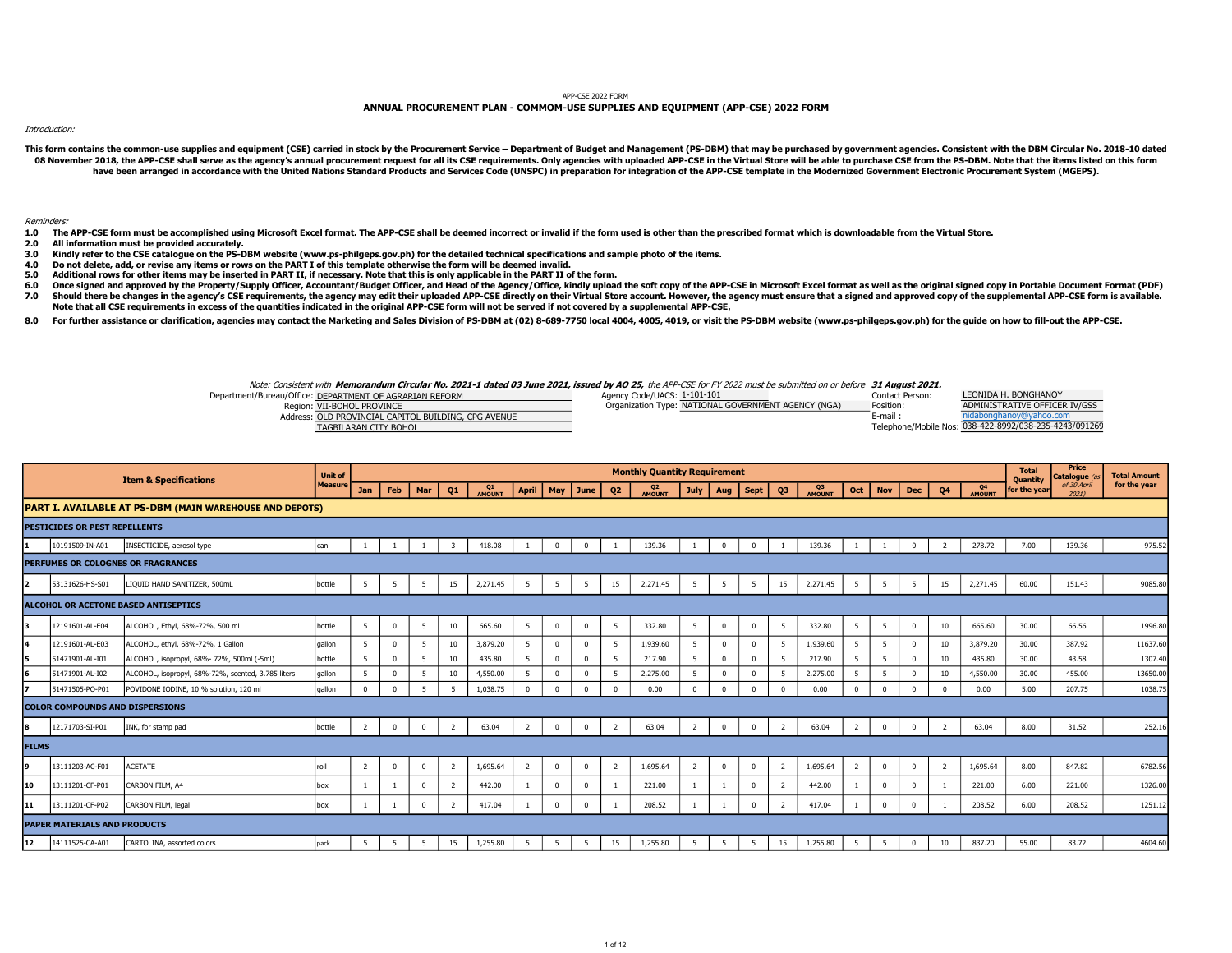## APP-CSE 2022 FORM

## ANNUAL PROCUREMENT PLAN - COMMOM-USE SUPPLIES AND EQUIPMENT (APP-CSE) 2022 FORM

Introduction:

This form contains the common-use supplies and equipment (CSE) carried in stock by the Procurement Service - Department of Budget and Management (PS-DBM) that may be purchased by government agencies. Consistent with the DB 08 November 2018, the APP-CSE shall serve as the agency's annual procurement request for all its CSE requirements. Only agencies with uploaded APP-CSE in the Virtual Store will be able to purchase CSE from the PS-DBM. Note have been arranged in accordance with the United Nations Standard Products and Services Code (UNSPC) in preparation for integration of the APP-CSE template in the Modernized Government Electronic Procurement System (MGEPS).

Reminders:

- 1.0 The APP-CSE form must be accomplished using Microsoft Excel format. The APP-CSE shall be deemed incorrect or invalid if the form used is other than the prescribed format which is downloadable from the Virtual Store.
- 2.0 All information must be provided accurately.
- 3.0 Kindly refer to the CSE catalogue on the PS-DBM website (www.ps-philgeps.gov.ph) for the detailed technical specifications and sample photo of the items.
- 4.0 Do not delete, add, or revise any items or rows on the PART I of this template otherwise the form will be deemed invalid.
- 5.0 Additional rows for other items may be inserted in PART II, if necessary. Note that this is only applicable in the PART II of the form.
- 6.0 7.0 Once signed and approved by the Property/Supply Officer, Accountant/Budget Officer, and Head of the Agency/Office, kindly upload the soft copy of the APP-CSE in Microsoft Excel format as well as the original signed copy in Should there be changes in the agency's CSE requirements, the agency may edit their uploaded APP-CSE directly on their Virtual Store account. However, the agency must ensure that a signed and approved copy of the supplemen Note that all CSE requirements in excess of the quantities indicated in the original APP-CSE form will not be served if not covered by a supplemental APP-CSE.
- 8.0 For further assistance or clarification, agencies may contact the Marketing and Sales Division of PS-DBM at (02) 8-689-7750 local 4004, 4005, 4019, or visit the PS-DBM website (www.ps-philgeps.gov.ph) for the quide on how

Note: Consistent with **Memorandum Circular No. 2021-1 dated 03 June 2021, issued by AO 25,** the APP-CSE for FY 2022 must be submitted on or before **31 August 2021.**<br>Contact Person: Agency Code/UACS: 1-101-101

Department/Bureau/Office: DEPARTMENT OF AGRARIAN REFORM 1999 1999 1999 100 Agency Code/UACS: 1-101-101 101-101 Region: VII-BOHOL PROVINCE POSITION: NATIONAL GOVERNMENT AGENCY (NGA) Position:

TAGBILARAN CITY BOHOL 038-422-8992/038-235-4243/09126987431 ADMINISTRATIVE OFFICER IV/GSS LEONIDA H. BONGHANOY

| <b>NUMBER OF BUILD AND INTERNATIONAL PROPERTY</b>    | $O(q)$ in the contract of $q$ is the contract of $\sigma$ . Entering the contract $q$ | .      |                                                 |
|------------------------------------------------------|---------------------------------------------------------------------------------------|--------|-------------------------------------------------|
| Address: OLD PROVINCIAL CAPITOL BUILDING, CPG AVENUE |                                                                                       | E-mail | nidabonghanoy@yahoo.com                         |
| TAGBILARAN CITY BOHOL                                |                                                                                       |        | Telephone/Mobile Nos: 038-422-8992/038-235-4243 |
|                                                      |                                                                                       |        |                                                 |

|              |                                        |                                                                | <b>Unit of</b> |                |              |              |                |              |                |                |              |                | <b>Monthly Quantity Requirement</b> |                |                |                |                |              |                |                |              |                  |              | <b>Total</b>             | Price<br>Catalogue (a. | <b>Total Amount</b> |
|--------------|----------------------------------------|----------------------------------------------------------------|----------------|----------------|--------------|--------------|----------------|--------------|----------------|----------------|--------------|----------------|-------------------------------------|----------------|----------------|----------------|----------------|--------------|----------------|----------------|--------------|------------------|--------------|--------------------------|------------------------|---------------------|
|              |                                        | <b>Item &amp; Specifications</b>                               | <b>Measure</b> | Jan            | Feb          | Mar          | Q1             | Q1<br>AMOUNT | <b>April</b>   |                | May June     | Q <sub>2</sub> | Q <sub>2</sub><br>AMOUNT            | <b>July</b>    | Aug            | Sept           | Q3             | Q3<br>AMOUNT | Oct            | <b>Nov</b>     | Dec          | Q4               | Q4<br>AMOUNT | Quantity<br>for the year | of 30 April<br>2021)   | for the year        |
|              |                                        | <b>PART I. AVAILABLE AT PS-DBM (MAIN WAREHOUSE AND DEPOTS)</b> |                |                |              |              |                |              |                |                |              |                |                                     |                |                |                |                |              |                |                |              |                  |              |                          |                        |                     |
|              | <b>PESTICIDES OR PEST REPELLENTS</b>   |                                                                |                |                |              |              |                |              |                |                |              |                |                                     |                |                |                |                |              |                |                |              |                  |              |                          |                        |                     |
|              | 10191509-IN-A01                        | INSECTICIDE, aerosol type                                      | can            |                |              |              | 3              | 418.08       |                | $\overline{0}$ | $\mathbf{0}$ |                | 139.36                              |                | $\Omega$       | $\Omega$       |                | 139.36       |                |                | $\Omega$     | $\overline{z}$   | 278.72       | 7.00                     | 139.36                 | 975.52              |
|              |                                        | PERFUMES OR COLOGNES OR FRAGRANCES                             |                |                |              |              |                |              |                |                |              |                |                                     |                |                |                |                |              |                |                |              |                  |              |                          |                        |                     |
| l2           | 53131626-HS-S01                        | LIQUID HAND SANITIZER, 500mL                                   | bottle         | 5              | 5            | - 5          | 15             | 2,271.45     | 5              | - 5            | 5            | 15             | 2,271.45                            | 5              | 5              | - 5            | 15             | 2,271.45     | 5              | 5              | 5            | 15               | 2,271.45     | 60.00                    | 151.43                 | 9085.80             |
|              |                                        | ALCOHOL OR ACETONE BASED ANTISEPTICS                           |                |                |              |              |                |              |                |                |              |                |                                     |                |                |                |                |              |                |                |              |                  |              |                          |                        |                     |
| lз           | 12191601-AL-E04                        | ALCOHOL, Ethyl, 68%-72%, 500 ml                                | bottle         | 5              | $\mathbf 0$  | - 5          | 10             | 665.60       | 5              | $\Omega$       | $\mathbf{0}$ | - 5            | 332.80                              | 5              | $\Omega$       | $\Omega$       | - 5            | 332.80       | 5              | 5              | $\Omega$     | 10               | 665.60       | 30.00                    | 66.56                  | 1996.80             |
| 4            | 12191601-AL-E03                        | ALCOHOL, ethyl, 68%-72%, 1 Gallon                              | gallon         | 5              | $\mathbf 0$  | -5           | 10             | 3,879.20     | 5              | $\Omega$       | $\mathbf{0}$ | -5             | 1,939.60                            | 5              | $\mathbf{0}$   | $\Omega$       | - 5            | 1,939.60     | 5              | 5              | $\Omega$     | 10 <sub>10</sub> | 3,879.20     | 30.00                    | 387.92                 | 11637.60            |
| l5.          | 51471901-AL-I01                        | ALCOHOL, isopropyl, 68%- 72%, 500ml (-5ml)                     | bottle         | 5              | $\mathbf 0$  | -5           | 10             | 435.80       | 5              | $\Omega$       | $\mathbf{0}$ | 5              | 217.90                              | 5              | $\Omega$       | $\Omega$       | 5              | 217.90       | 5              | 5              | $\Omega$     | 10               | 435.80       | 30.00                    | 43.58                  | 1307.4              |
| l6           | 51471901-AL-I02                        | ALCOHOL, isopropyl, 68%-72%, scented, 3.785 liters             | qallon         | - 5            | $\mathbf 0$  | 5            | 10             | 4,550.00     | -5             |                | $\Omega$     | 5              | 2,275.00                            | -5             | $\Omega$       | $\Omega$       | -5             | 2,275.00     | 5              | 5              | $\Omega$     | 10 <sup>°</sup>  | 4,550.00     | 30.00                    | 455.00                 | 13650.0             |
| 17           | 51471505-PO-P01                        | POVIDONE IODINE, 10 % solution, 120 ml                         | qallon         | $\Omega$       | $\mathbf{0}$ | 5            | 5              | 1,038.75     | $\Omega$       | $\Omega$       | $\Omega$     | $\Omega$       | 0.00                                | $\Omega$       | $\Omega$       | $\Omega$       |                | 0.00         | $\Omega$       | $\Omega$       | $\sqrt{2}$   |                  | 0.00         | 5.00                     | 207.75                 | 1038.75             |
|              | <b>COLOR COMPOUNDS AND DISPERSIONS</b> |                                                                |                |                |              |              |                |              |                |                |              |                |                                     |                |                |                |                |              |                |                |              |                  |              |                          |                        |                     |
| 18           | 12171703-SI-P01                        | INK, for stamp pad                                             | bottle         | $\overline{2}$ | $\mathbf 0$  | $\mathbf 0$  | $\overline{2}$ | 63.04        | $\overline{2}$ | $\overline{0}$ | $\mathbf{0}$ | $\overline{2}$ | 63.04                               | $\overline{2}$ | $\overline{0}$ | $\overline{0}$ | $\overline{2}$ | 63.04        | $\overline{2}$ | $\mathbf 0$    | $\mathbf{0}$ | $\overline{z}$   | 63.04        | 8.00                     | 31.52                  | 252.1               |
| <b>FILMS</b> |                                        |                                                                |                |                |              |              |                |              |                |                |              |                |                                     |                |                |                |                |              |                |                |              |                  |              |                          |                        |                     |
| l9           | 13111203-AC-F01                        | <b>ACETATE</b>                                                 | roll           | 2              | $^{\circ}$   | $\mathbf{0}$ | $\overline{2}$ | 1,695.64     | $\overline{2}$ | $\overline{0}$ | $\mathbf{0}$ | 2              | 1,695.64                            | $\overline{2}$ | $\overline{0}$ | $^{\circ}$     | $\overline{2}$ | 1,695.64     | $\overline{2}$ | $^{\circ}$     | $\Omega$     | 2                | 1,695.64     | 8.00                     | 847.82                 | 6782.56             |
| 10           | 13111201-CF-P01                        | CARBON FILM, A4                                                | box            | $\mathbf{1}$   |              | $^{\circ}$   | $\overline{2}$ | 442.00       |                | $\overline{0}$ | $\mathbf{0}$ |                | 221.00                              |                |                | $\mathbf{0}$   | $\overline{2}$ | 442.00       |                | $\overline{0}$ | $\Omega$     |                  | 221.00       | 6.00                     | 221.00                 | 1326.00             |
| 11           | 13111201-CF-P02                        | CARBON FILM, legal                                             | box            |                | 1            | $\Omega$     | $\overline{z}$ | 417.04       |                | $\Omega$       | $\mathbf{0}$ |                | 208.52                              |                |                | $\Omega$       | 2              | 417.04       |                | $^{\circ}$     | $\Omega$     |                  | 208.52       | 6.00                     | 208.52                 | 1251.12             |
|              | <b>PAPER MATERIALS AND PRODUCTS</b>    |                                                                |                |                |              |              |                |              |                |                |              |                |                                     |                |                |                |                |              |                |                |              |                  |              |                          |                        |                     |
| 12           | 14111525-CA-A01                        | CARTOLINA, assorted colors                                     | pack           | - 5            | -5           | -5           | 15             | 1,255.80     | - 5            | - 5            | 5            | 15             | 1,255.80                            | -5             | -5             | -5             | 15             | 1,255.80     | - 5            | - 5            | $^{\circ}$   | 10               | 837.20       | 55.00                    | 83.72                  | 4604.60             |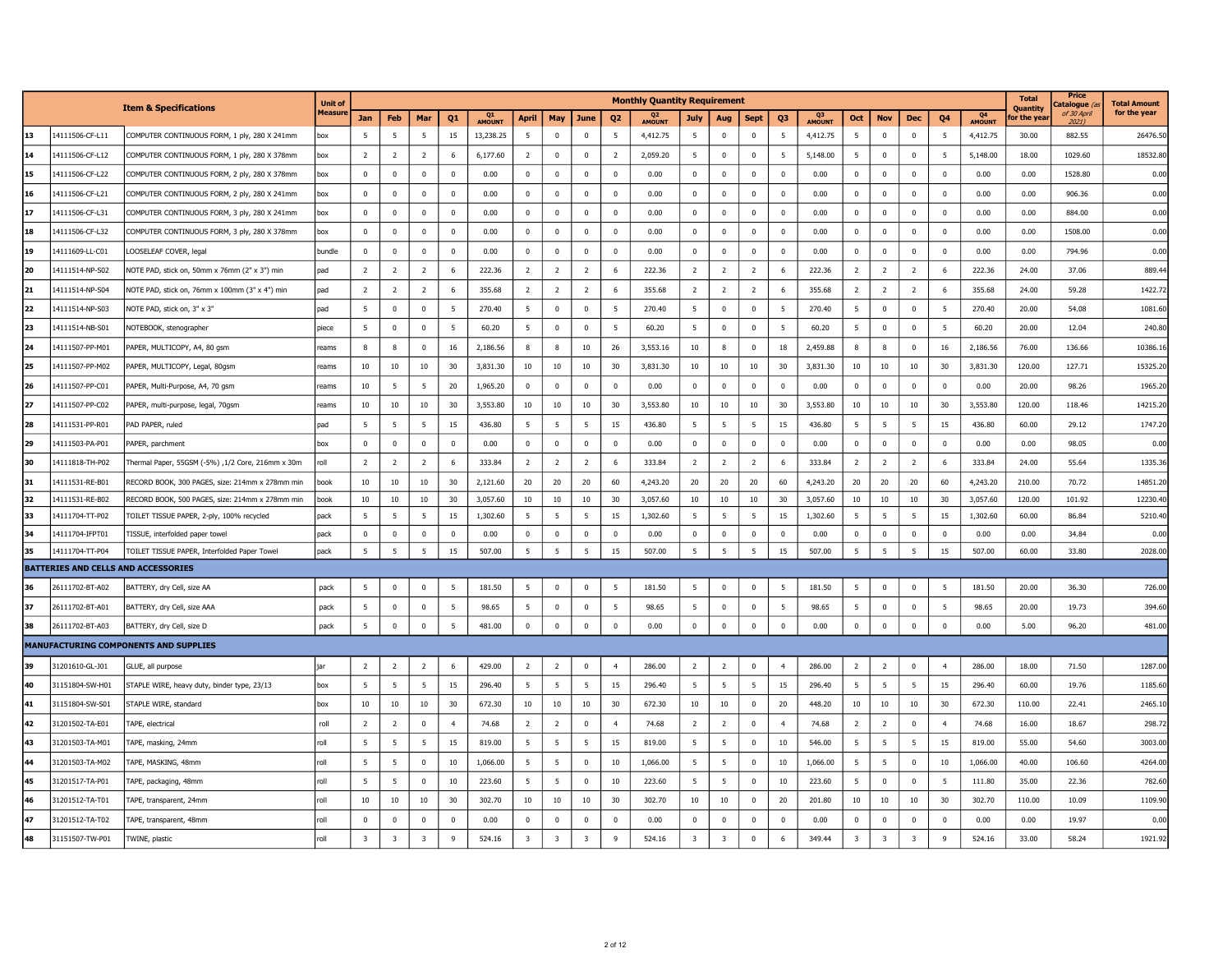|    |                                     |                                                   | <b>Unit of</b> |                |                |                 |                |              |                |                         |                |                         | <b>Monthly Quantity Requirement</b> |                 |                         |                |                |                          |                |                |                          |                |              | <b>Total</b>           | Price<br>atalogue   | <b>Total Amount</b> |
|----|-------------------------------------|---------------------------------------------------|----------------|----------------|----------------|-----------------|----------------|--------------|----------------|-------------------------|----------------|-------------------------|-------------------------------------|-----------------|-------------------------|----------------|----------------|--------------------------|----------------|----------------|--------------------------|----------------|--------------|------------------------|---------------------|---------------------|
|    |                                     | <b>Item &amp; Specifications</b>                  | Measur         | Jan            | Feb            | Mar             | Q1             | Q1<br>AMOUNT | <b>April</b>   | May                     | June           | Q <sub>2</sub>          | Q <sub>2</sub><br>AMOUNT            | July            | Aug                     | <b>Sept</b>    | Q <sub>3</sub> | Q <sub>3</sub><br>AMOUNT | Oct            | <b>Nov</b>     | <b>Dec</b>               | Q <sub>4</sub> | Q4<br>AMOUNT | Quantity<br>or the yea | of 30 April<br>2021 | for the year        |
| 13 | 14111506-CF-L11                     | COMPUTER CONTINUOUS FORM, 1 ply, 280 X 241mm      | box            | - 5            | -5             | 5               | 15             | 13,238.25    | -5             | $\overline{0}$          | $\overline{0}$ | 5                       | 4,412.75                            | 5               | $\mathbf 0$             | $\mathbf 0$    | -5             | 4,412.75                 | 5              | $\overline{0}$ | $\mathbf 0$              | -5             | 4,412.75     | 30.00                  | 882.55              | 26476.50            |
| 14 | 14111506-CF-L12                     | COMPUTER CONTINUOUS FORM, 1 ply, 280 X 378mm      | box            | $\overline{2}$ | $\overline{2}$ | $\overline{2}$  | -6             | 6,177.60     | <sup>2</sup>   | $\mathbf 0$             | $\mathbf 0$    | $\overline{2}$          | 2,059.20                            | 5               | $\mathbf 0$             | $\mathbf 0$    | -5             | 5,148.00                 | 5              | $\mathbf 0$    | $\mathbf 0$              | -5             | 5,148.00     | 18.00                  | 1029.60             | 18532.80            |
| 15 | 14111506-CF-L22                     | COMPUTER CONTINUOUS FORM, 2 ply, 280 X 378mm      | box            | $\mathbf 0$    | $\mathbf 0$    | $\mathbf 0$     | $\mathbf 0$    | 0.00         | $\mathbf 0$    | $\mathbf 0$             | $\mathbf 0$    | $\mathbf 0$             | 0.00                                | $^{\circ}$      | $\mathbf 0$             | $\mathbf 0$    | $^{\circ}$     | 0.00                     | $\mathbf 0$    | $\mathbf 0$    | $\Omega$                 | $\Omega$       | 0.00         | 0.00                   | 1528.80             | 0.00                |
| 16 | 14111506-CF-L21                     | COMPUTER CONTINUOUS FORM, 2 ply, 280 X 241mm      | box            | $\mathbf 0$    | $^{\circ}$     | $\mathbf 0$     | $\overline{0}$ | 0.00         | 0              | $\mathbf 0$             | $\bf{0}$       | $\mathbf 0$             | 0.00                                | $\mathbf 0$     | $\mathbf 0$             | $\mathbf 0$    | 0              | 0.00                     | 0              | $\mathbf 0$    | $\mathbf 0$              | $^{\circ}$     | 0.00         | 0.00                   | 906.36              | 0.00                |
| 17 | 14111506-CF-L31                     | COMPUTER CONTINUOUS FORM, 3 ply, 280 X 241mm      | box            | $\mathbf 0$    | $\Omega$       | $\overline{0}$  | $\Omega$       | 0.00         | $\Omega$       | $\Omega$                | $\Omega$       | $\Omega$                | 0.00                                | $\Omega$        | $\overline{0}$          | $\mathbf{0}$   | $\Omega$       | 0.00                     | $\Omega$       | $\mathbf{0}$   | $\Omega$                 | $\Omega$       | 0.00         | 0.00                   | 884.00              | 0.00                |
| 18 | 14111506-CF-L32                     | COMPUTER CONTINUOUS FORM, 3 ply, 280 X 378mm      | box            | $\mathbf 0$    | $\mathbf 0$    | $\mathbf 0$     | $\mathbf 0$    | 0.00         | $\mathbf 0$    | $\mathbf 0$             | $\mathbf 0$    | $\overline{0}$          | 0.00                                | $\mathbf 0$     | $\mathbf 0$             | $\mathbf 0$    | $^{\circ}$     | 0.00                     | $\mathbf 0$    | $\mathbf 0$    | $\mathbf 0$              | $^{\circ}$     | 0.00         | 0.00                   | 1508.00             | 0.00                |
| 19 | 14111609-LL-C01                     | LOOSELEAF COVER, legal                            | bundle         | $\overline{0}$ | $^{\circ}$     | $\mathbf 0$     | $\Omega$       | 0.00         | 0              | $\mathbf 0$             | $\mathbf 0$    | $\overline{0}$          | 0.00                                | $^{\circ}$      | $\mathbf 0$             | $\mathbf 0$    | $\Omega$       | 0.00                     | $\mathbf 0$    | $\mathbf 0$    | $\Omega$                 | $\Omega$       | 0.00         | 0.00                   | 794.96              | 0.00                |
| 20 | 14111514-NP-S02                     | NOTE PAD, stick on, 50mm x 76mm (2" x 3") min     | bad            | $\overline{2}$ | $\overline{2}$ | $\overline{2}$  | 6              | 222.36       | $\overline{2}$ | $\overline{2}$          | $\overline{2}$ | 6                       | 222.36                              | $\overline{2}$  | $\overline{2}$          | $\overline{2}$ |                | 222.36                   | $\overline{2}$ | $\overline{2}$ | $\overline{z}$           |                | 222.36       | 24.00                  | 37.06               | 889.44              |
| 21 | 14111514-NP-S04                     | NOTE PAD, stick on, 76mm x 100mm (3" x 4") min    | pad            | $\overline{2}$ | $\overline{2}$ | $\overline{2}$  | -6             | 355.68       | $\overline{2}$ | $\overline{2}$          | $\overline{2}$ | 6                       | 355.68                              | $\overline{2}$  | $\overline{2}$          | $\overline{2}$ | -6             | 355.68                   | $\overline{2}$ | $\overline{2}$ | $\overline{\phantom{a}}$ | 6              | 355.68       | 24.00                  | 59.28               | 1422.72             |
| 22 | 14111514-NP-S03                     | NOTE PAD, stick on, 3" x 3"                       | pad            | - 5            | $\mathbf 0$    | $\mathbf 0$     | 5              | 270.40       | -5             | $\mathbf 0$             | $\mathbf 0$    | 5                       | 270.40                              | 5               | $\mathbf 0$             | $\mathbf 0$    | 5              | 270.40                   | 5              | $\mathbf{0}$   | $\mathbf 0$              | -5             | 270.40       | 20.00                  | 54.08               | 1081.60             |
| 23 | 14111514-NB-S01                     | NOTEBOOK, stenographer                            | piece          | - 5            | $\mathbf 0$    | $\mathbf 0$     | -5             | 60.20        | 5              | $\mathbf 0$             | $\mathbf 0$    | 5                       | 60.20                               | 5               | $\mathbf 0$             | $\mathbf 0$    | -5             | 60.20                    | 5              | $\mathbf 0$    | $\mathbf 0$              | 5              | 60.20        | 20.00                  | 12.04               | 240.80              |
| 24 | 14111507-PP-M01                     | PAPER, MULTICOPY, A4, 80 gsm                      | reams          | 8              | 8              | $\mathbf 0$     | 16             | 2,186.56     | 8              | 8                       | 10             | 26                      | 3,553.16                            | 10              | 8                       | $\mathbf 0$    | 18             | 2,459.88                 | 8              | 8              | $\mathbf 0$              | 16             | 2,186.56     | 76.00                  | 136.66              | 10386.1             |
| 25 | 14111507-PP-M02                     | PAPER, MULTICOPY, Legal, 80gsm                    | reams          | 10             | 10             | 10              | 30             | 3,831.30     | 10             | 10                      | 10             | 30                      | 3,831.30                            | 10              | 10                      | 10             | 30             | 3,831.30                 | 10             | 10             | 10                       | 30             | 3,831.30     | 120.00                 | 127.71              | 15325.2             |
| 26 | 14111507-PP-C01                     | PAPER, Multi-Purpose, A4, 70 gsm                  | reams          | 10             | -5             | 5               | 20             | 1,965.20     | $\mathbf 0$    | $\mathbf 0$             | $\Omega$       | $\overline{0}$          | 0.00                                | $\Omega$        | $\overline{0}$          | $\mathbf{0}$   | $\Omega$       | 0.00                     | $\Omega$       | $\mathbf{0}$   | $\Omega$                 | $\Omega$       | 0.00         | 20.00                  | 98.26               | 1965.2              |
| 27 | 14111507-PP-C02                     | PAPER, multi-purpose, legal, 70gsm                | reams          | 10             | 10             | 10              | 30             | 3,553.80     | 10             | 10                      | 10             | 30                      | 3,553.80                            | 10              | 10                      | 10             | 30             | 3,553.80                 | 10             | 10             | 10                       | 30             | 3,553.80     | 120.00                 | 118.46              | 14215.2             |
| 28 | 14111531-PP-R01                     | PAD PAPER, ruled                                  | pad            | - 5            | 5              | 5               | 15             | 436.80       | 5              | 5                       | 5              | 15                      | 436.80                              | 5               | 5                       | 5              | 15             | 436.80                   | 5              | 5              | 5                        | 15             | 436.80       | 60.00                  | 29.12               | 1747.20             |
| 29 | 14111503-PA-P01                     | PAPER, parchment                                  | box            | $\mathbf 0$    | $\Omega$       | 0               | $\Omega$       | 0.00         | 0              | $\mathbf 0$             | $\mathbf 0$    | $\Omega$                | 0.00                                | $^{\circ}$      | $\mathbf 0$             | $\overline{0}$ | $\Omega$       | 0.00                     | $\mathbf{0}$   | $\mathbf 0$    | $\Omega$                 | $\Omega$       | 0.00         | 0.00                   | 98.05               | 0.00                |
| 30 | 14111818-TH-P02                     | Thermal Paper, 55GSM (-5%) ,1/2 Core, 216mm x 30m | roll           | $\overline{2}$ | $\overline{2}$ | $\overline{2}$  | 6              | 333.84       | <sup>2</sup>   | $\overline{2}$          | $\overline{2}$ | 6                       | 333.84                              | $\overline{2}$  | $\overline{2}$          | $\overline{2}$ | 6              | 333.84                   | $\overline{2}$ | $\overline{2}$ | $\overline{z}$           | 6              | 333.84       | 24.00                  | 55.64               | 1335.36             |
| 31 | 14111531-RE-B01                     | RECORD BOOK, 300 PAGES, size: 214mm x 278mm min   | book           | 10             | 10             | 10              | 30             | 2,121.60     | 20             | 20                      | 20             | 60                      | 4,243.20                            | 20              | 20                      | 20             | 60             | 4,243.20                 | 20             | 20             | 20                       | 60             | 4,243.20     | 210.00                 | 70.72               | 14851.20            |
| 32 | 14111531-RE-B02                     | RECORD BOOK, 500 PAGES, size: 214mm x 278mm min   | book           | 10             | 10             | 10              | 30             | 3,057.60     | 10             | 10                      | 10             | 30                      | 3,057.60                            | 10              | 10                      | 10             | 30             | 3,057.60                 | 10             | 10             | 10                       | 30             | 3,057.60     | 120.00                 | 101.92              | 12230.40            |
| 33 | 14111704-TT-P02                     | TOILET TISSUE PAPER, 2-ply, 100% recycled         | pack           | - 5            | -5             | 5               | 15             | 1,302.60     | 5              | - 5                     | 5              | 15                      | 1,302.60                            | 5               | 5                       | 5              | 15             | 1,302.60                 | 5              | -5             | 5                        | 15             | 1,302.60     | 60.00                  | 86.84               | 5210.40             |
| 34 | 14111704-IFPT01                     | TISSUE, interfolded paper towel                   | pack           | $\mathbf 0$    | $^{\circ}$     | $\pmb{0}$       | $\overline{0}$ | 0.00         | 0              | $\mathbf 0$             | $\bf{0}$       | $\overline{\mathbf{0}}$ | 0.00                                | $^{\circ}$      | $\overline{\mathbf{0}}$ | $\overline{0}$ | $\Omega$       | 0.00                     | $\mathbf 0$    | $\mathbf{0}$   | $\Omega$                 | $\Omega$       | 0.00         | 0.00                   | 34.84               | 0.00                |
| 35 | 14111704-TT-P04                     | TOILET TISSUE PAPER, Interfolded Paper Towel      | pack           | 5              | 5              | $5\overline{5}$ | 15             | 507.00       | 5              | 5                       | 5              | 15                      | 507.00                              | 5               | $5^{\circ}$             | 5              | 15             | 507.00                   | 5              | 5              | 5                        | 15             | 507.00       | 60.00                  | 33.80               | 2028.00             |
|    | BATTERIES AND CELLS AND ACCESSORIES |                                                   |                |                |                |                 |                |              |                |                         |                |                         |                                     |                 |                         |                |                |                          |                |                |                          |                |              |                        |                     |                     |
| 36 | 26111702-BT-A02                     | BATTERY, dry Cell, size AA                        | pack           | - 5            | $\mathbf 0$    | $\mathbf 0$     | 5              | 181.50       | 5              | $\mathbf 0$             | $\bf{0}$       | 5                       | 181.50                              | $5\overline{5}$ | $\mathbf 0$             | $\mathbf 0$    | -5             | 181.50                   | 5              | $\pmb{0}$      | $\Omega$                 | -5             | 181.50       | 20.00                  | 36.30               | 726.00              |
| 37 | 26111702-BT-A01                     | BATTERY, dry Cell, size AAA                       | pack           | - 5            | $\Omega$       | $\mathbf 0$     | -5             | 98.65        | 5              | $\Omega$                | $\Omega$       | 5                       | 98.65                               | -5              | $\mathbf 0$             | $\mathbf 0$    | -5             | 98.65                    | 5              | $\mathbf 0$    | $\Omega$                 | 5              | 98.65        | 20.00                  | 19.73               | 394.60              |
| 38 | 26111702-BT-A03                     | BATTERY, dry Cell, size D                         | pack           | 5              | $\mathbf 0$    | $\mathbf 0$     | 5              | 481.00       | 0              | $\pmb{0}$               | $\mathbf 0$    | $\mathbf 0$             | 0.00                                | $^{\circ}$      | $\mathbf 0$             | $\mathbf 0$    | $\mathbf{0}$   | 0.00                     | $\bf{0}$       | $\mathbf 0$    | $\mathbf 0$              | $^{\circ}$     | 0.00         | 5.00                   | 96.20               | 481.00              |
|    |                                     | MANUFACTURING COMPONENTS AND SUPPLIES             |                |                |                |                 |                |              |                |                         |                |                         |                                     |                 |                         |                |                |                          |                |                |                          |                |              |                        |                     |                     |
| 39 | 31201610-GL-J01                     | GLUE, all purpose                                 |                | $\overline{2}$ | $\overline{2}$ | $\overline{2}$  | -6             | 429.00       | $\overline{2}$ | $\overline{2}$          | $\mathbf 0$    | $\overline{4}$          | 286.00                              | $\overline{2}$  | $\overline{2}$          | $\mathbf 0$    |                | 286.00                   | $\overline{2}$ | -2             | $\Omega$                 |                | 286.00       | 18.00                  | 71.50               | 1287.0              |
| 40 | 31151804-SW-H01                     | STAPLE WIRE, heavy duty, binder type, 23/13       | box            | - 5            | 5              | 5               | 15             | 296.40       | 5              | 5                       | 5              | 15                      | 296.40                              | 5               | 5                       | 5              | 15             | 296.40                   | 5              | - 5            | 5                        | 15             | 296.40       | 60.00                  | 19.76               | 1185.60             |
| 41 | 31151804-SW-S01                     | STAPLE WIRE, standard                             | box            | 10             | 10             | 10              | 30             | 672.30       | 10             | 10                      | 10             | 30                      | 672.30                              | 10              | 10                      | $\mathbf 0$    | 20             | 448.20                   | 10             | 10             | 10                       | 30             | 672.30       | 110.00                 | 22.41               | 2465.1              |
| 42 | 31201502-TA-E01                     | TAPE, electrical                                  | roll           | $\overline{2}$ | $\overline{2}$ | $\mathbf{0}$    | $\overline{4}$ | 74.68        | $\overline{2}$ | $\overline{2}$          | $\mathbf{0}$   | $\overline{4}$          | 74.68                               | $\overline{2}$  | $\overline{2}$          | $\mathbf{0}$   | $\overline{4}$ | 74.68                    | $\overline{2}$ | $\overline{2}$ | $\Omega$                 | $\overline{4}$ | 74.68        | 16.00                  | 18.67               | 298.7               |
| 43 | 31201503-TA-M01                     | TAPE, masking, 24mm                               | roll           | 5              | -5             | 5               | 15             | 819.00       | 5              | 5                       | 5              | 15                      | 819.00                              | 5               | 5                       | $\mathbf 0$    | 10             | 546.00                   | 5              | 5              | 5                        | 15             | 819.00       | 55.00                  | 54.60               | 3003.00             |
| 44 | 31201503-TA-M02                     | TAPE, MASKING, 48mm                               | roll           | 5              | -5             | $\mathbf 0$     | 10             | 1,066.00     | - 5            | 5                       | $\mathbf 0$    | 10                      | 1,066.00                            | 5               | 5                       | $\mathbf 0$    | 10             | 1,066.00                 | 5              | - 5            | $^{\circ}$               | 10             | 1,066.00     | 40.00                  | 106.60              | 4264.00             |
| 45 | 31201517-TA-P01                     | TAPE, packaging, 48mm                             | roll           | - 5            | -5             | $\Omega$        | 10             | 223.60       | - 5            | 5                       | $\Omega$       | 10                      | 223.60                              | 5               | 5                       | $\Omega$       | 10             | 223.60                   | - 5            | $\Omega$       | $\Omega$                 | -5             | 111.80       | 35.00                  | 22.36               | 782.6               |
| 46 | 31201512-TA-T01                     | TAPE, transparent, 24mm                           | roll           | 10             | 10             | 10              | 30             | 302.70       | 10             | 10                      | 10             | 30                      | 302.70                              | 10              | 10                      | $\mathbf 0$    | 20             | 201.80                   | 10             | 10             | 10                       | 30             | 302.70       | 110.00                 | 10.09               | 1109.90             |
| 47 | 31201512-TA-T02                     | TAPE, transparent, 48mm                           | roll           | $\overline{0}$ | $\mathbf 0$    | $\mathbf 0$     | 0              | 0.00         | 0              | $\mathbf 0$             | $\mathbf 0$    | $\mathbf 0$             | 0.00                                | $^{\circ}$      | $\mathbf 0$             | $\mathbf 0$    | $\Omega$       | 0.00                     | $\mathbf 0$    | $\overline{0}$ | $\Omega$                 | $\Omega$       | 0.00         | 0.00                   | 19.97               | 0.00                |
| 48 | 31151507-TW-P01                     | TWINE, plastic                                    | roll           | 3              | 3              | 3               |                | 524.16       | 3              | $\overline{\mathbf{3}}$ | 3              | -9                      | 524.16                              | 3               | 3                       | $\Omega$       | -6             | 349.44                   | 3              | 3              |                          | -9             | 524.16       | 33.00                  | 58.24               | 1921.92             |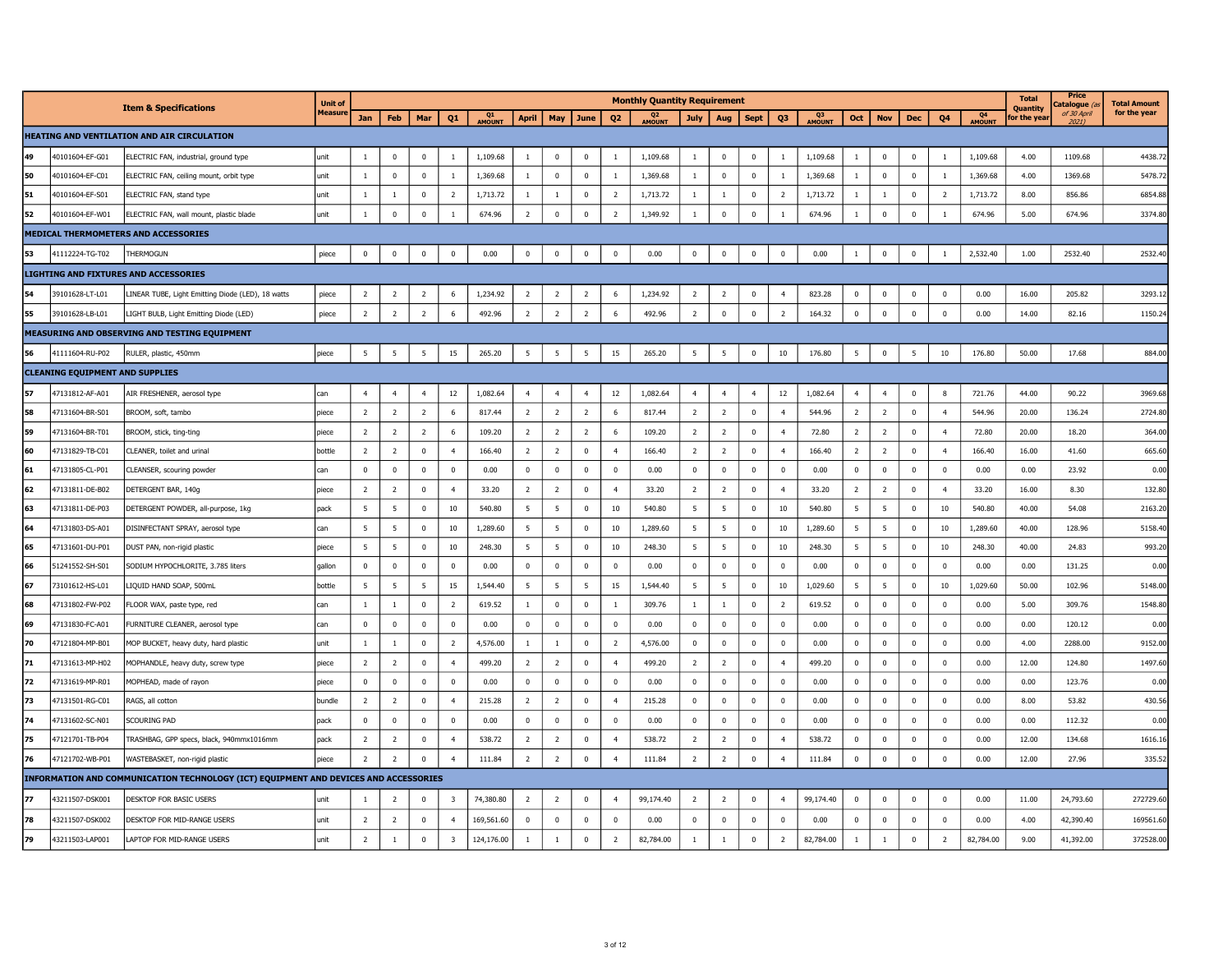|    |                                        |                                                                                      | <b>Unit of</b> |                |                         |                |                         |              |                |                 |                |                | <b>Monthly Quantity Requirement</b> |                |                         |                |                |                          |                 |                |              |                |                          | <b>Total</b><br><b>Ouantity</b> | Price<br>atalogue (     | <b>Total Amount</b> |
|----|----------------------------------------|--------------------------------------------------------------------------------------|----------------|----------------|-------------------------|----------------|-------------------------|--------------|----------------|-----------------|----------------|----------------|-------------------------------------|----------------|-------------------------|----------------|----------------|--------------------------|-----------------|----------------|--------------|----------------|--------------------------|---------------------------------|-------------------------|---------------------|
|    |                                        | <b>Item &amp; Specifications</b>                                                     | <b>Measure</b> | Jan            | Feb                     | Mar            | Q1                      | Q1<br>AMOUNT | April          | May             | June           | Q <sub>2</sub> | Q <sub>2</sub><br>AMOUNT            | July           | <b>Aug</b>              | <b>Sept</b>    | Q3             | Q <sub>3</sub><br>AMOUNT | Oct             | <b>Nov</b>     | <b>Dec</b>   | Q4             | Q <sub>4</sub><br>AMOUNT | for the yea                     | of 30 April<br>$2021$ ) | for the year        |
|    |                                        | <b>HEATING AND VENTILATION AND AIR CIRCULATION</b>                                   |                |                |                         |                |                         |              |                |                 |                |                |                                     |                |                         |                |                |                          |                 |                |              |                |                          |                                 |                         |                     |
| 49 | 40101604-EF-G01                        | ELECTRIC FAN, industrial, ground type                                                | unit           | $\overline{1}$ | $\mathbf 0$             | $\mathbf 0$    | $\overline{1}$          | 1,109.68     | $\mathbf{1}$   | $\mathbf 0$     | $\mathbf 0$    | $\overline{1}$ | 1,109.68                            | $\mathbf{1}$   | $\mathbf 0$             | $\Omega$       | $\overline{1}$ | 1,109.68                 | $\overline{1}$  | $\Omega$       | $\mathbf 0$  | $\overline{1}$ | 1,109.68                 | 4.00                            | 1109.68                 | 4438.7              |
| 50 | 40101604-EF-C01                        | ELECTRIC FAN, ceiling mount, orbit type                                              | unit           | $\mathbf{1}$   | $\mathbf{0}$            | $\mathbf 0$    | $\mathbf{1}$            | 1,369.68     | -1             | $\mathbf 0$     | $\mathbf 0$    | $\mathbf{1}$   | 1,369.68                            | $\mathbf{1}$   | $\overline{\mathbf{0}}$ | $\mathbf 0$    | 1              | 1,369.68                 | $\overline{1}$  | $\mathbf 0$    | $\mathbf 0$  | <sup>1</sup>   | 1,369.68                 | 4.00                            | 1369.68                 | 5478.72             |
| 51 | 40101604-EF-S01                        | ELECTRIC FAN, stand type                                                             | unit           | $\mathbf{1}$   | $\mathbf{1}$            | $\mathbf 0$    | $\overline{2}$          | 1,713.72     | -1             | $\mathbf{1}$    | $\mathbf 0$    | $\overline{2}$ | 1,713.72                            | $\mathbf{1}$   | -1                      | $\pmb{0}$      | $\overline{2}$ | 1,713.72                 | $\mathbf{1}$    | -1             | $\mathbf{0}$ | $\overline{2}$ | 1,713.72                 | 8.00                            | 856.86                  | 6854.88             |
| 52 | 40101604-EF-W01                        | ELECTRIC FAN, wall mount, plastic blade                                              | unit           | 1              | $\mathbf 0$             | $\pmb{0}$      |                         | 674.96       | $\overline{2}$ | $^{\circ}$      | $\mathbf 0$    | $\overline{2}$ | 1,349.92                            | $\mathbf{1}$   | $\mathbf 0$             | 0              | $\mathbf{1}$   | 674.96                   | <sup>1</sup>    | $\mathbf 0$    | $^{\circ}$   |                | 674.96                   | 5.00                            | 674.96                  | 3374.80             |
|    |                                        | MEDICAL THERMOMETERS AND ACCESSORIES                                                 |                |                |                         |                |                         |              |                |                 |                |                |                                     |                |                         |                |                |                          |                 |                |              |                |                          |                                 |                         |                     |
| 53 | 41112224-TG-T02                        | THERMOGUN                                                                            | piece          | 0              | $\mathbf 0$             | $\pmb{0}$      | 0                       | 0.00         | $\mathbf 0$    | $\mathbf 0$     | $\mathbf 0$    | $\mathbf 0$    | 0.00                                | $\mathbf 0$    | $\pmb{0}$               | $\mathbf 0$    | $\mathbf 0$    | 0.00                     | $\mathbf{1}$    | $\pmb{0}$      | 0            |                | 2,532.40                 | 1.00                            | 2532.40                 | 2532.40             |
|    |                                        | LIGHTING AND FIXTURES AND ACCESSORIES                                                |                |                |                         |                |                         |              |                |                 |                |                |                                     |                |                         |                |                |                          |                 |                |              |                |                          |                                 |                         |                     |
| 54 | 39101628-LT-L01                        | LINEAR TUBE, Light Emitting Diode (LED), 18 watts                                    | piece          | $\overline{2}$ | $\overline{2}$          | $\overline{2}$ | -6                      | 1,234.92     | $\overline{2}$ | $\overline{2}$  | $\overline{2}$ | 6              | 1,234.92                            | $\overline{2}$ | $\overline{2}$          | $\mathbf 0$    | $\overline{4}$ | 823.28                   | $\overline{0}$  | $\mathbf 0$    | $\mathbf 0$  | $\Omega$       | 0.00                     | 16.00                           | 205.82                  | 3293.1              |
| 55 | 39101628-LB-L01                        | LIGHT BULB, Light Emitting Diode (LED)                                               | piece          | $\overline{2}$ | $\overline{2}$          | $\overline{2}$ | 6                       | 492.96       | $\overline{2}$ | $\overline{2}$  | $\overline{2}$ | 6              | 492.96                              | $\overline{2}$ | $\overline{0}$          | $\mathbf 0$    | $\overline{2}$ | 164.32                   | $\mathbf 0$     | $\mathbf 0$    | $\mathbf 0$  | $\mathbf 0$    | 0.00                     | 14.00                           | 82.16                   | 1150.2              |
|    |                                        | MEASURING AND OBSERVING AND TESTING EQUIPMENT                                        |                |                |                         |                |                         |              |                |                 |                |                |                                     |                |                         |                |                |                          |                 |                |              |                |                          |                                 |                         |                     |
| 56 | 41111604-RU-P02                        | RULER, plastic, 450mm                                                                | piece          | 5              | 5                       | $\overline{5}$ | 15                      | 265.20       | 5              | $5\overline{5}$ | 5              | 15             | 265.20                              | 5              | 5                       | $\pmb{0}$      | 10             | 176.80                   | $5\overline{5}$ | $\pmb{0}$      | 5            | 10             | 176.80                   | 50.00                           | 17.68                   | 884.00              |
|    | <b>CLEANING EQUIPMENT AND SUPPLIES</b> |                                                                                      |                |                |                         |                |                         |              |                |                 |                |                |                                     |                |                         |                |                |                          |                 |                |              |                |                          |                                 |                         |                     |
| 57 | 47131812-AF-A01                        | AIR FRESHENER, aerosol type                                                          | can            | $\overline{4}$ | $\overline{4}$          | $\overline{4}$ | 12                      | 1,082.64     | $\overline{4}$ | $\overline{4}$  | $\overline{4}$ | 12             | 1,082.64                            | $\overline{4}$ | $\overline{4}$          | $\overline{4}$ | 12             | 1,082.64                 | $\overline{4}$  | $\overline{4}$ | $\mathbf 0$  | 8              | 721.76                   | 44.00                           | 90.22                   | 3969.68             |
| 58 | 47131604-BR-S01                        | BROOM, soft, tambo                                                                   | piece          | $\overline{2}$ | $\overline{2}$          | $\overline{2}$ | 6                       | 817.44       | $\overline{2}$ | $\overline{2}$  | $\overline{2}$ | 6              | 817.44                              | $\overline{2}$ | $\overline{2}$          | $\overline{0}$ | $\overline{4}$ | 544.96                   | $\overline{2}$  | 2              | $\mathbf{0}$ | $\overline{4}$ | 544.96                   | 20.00                           | 136.24                  | 2724.80             |
| 59 | 47131604-BR-T01                        | BROOM, stick, ting-ting                                                              | niece          | $\overline{2}$ | $\overline{2}$          | $\overline{2}$ | -6                      | 109.20       | $\overline{2}$ | $\overline{2}$  | $\overline{2}$ | -6             | 109.20                              | $\overline{2}$ | $\overline{2}$          | $\Omega$       | $\overline{a}$ | 72.80                    | $\overline{2}$  | $\overline{z}$ | $\Omega$     | $\overline{a}$ | 72.80                    | 20.00                           | 18.20                   | 364.00              |
| 60 | 47131829-TB-C01                        | CLEANER, toilet and urinal                                                           | bottle         | $\overline{2}$ | $\overline{2}$          | $\mathbf 0$    | $\overline{4}$          | 166.40       | $\overline{2}$ | $\overline{2}$  | $\mathbf 0$    | $\overline{4}$ | 166.40                              | $\overline{2}$ | $\overline{2}$          | $\mathbf 0$    | $\overline{4}$ | 166.40                   | $\overline{2}$  | $\overline{2}$ | $\mathbf 0$  | $\overline{4}$ | 166.40                   | 16.00                           | 41.60                   | 665.60              |
| 61 | 47131805-CL-P01                        | CLEANSER, scouring powder                                                            | can            | $\Omega$       | $\overline{\mathbf{0}}$ | $\Omega$       | $\Omega$                | 0.00         | $\mathbf 0$    | $\Omega$        | $\mathbf 0$    | $\mathbf 0$    | 0.00                                | $\Omega$       | $\overline{0}$          | $\mathbf 0$    | $\mathbf 0$    | 0.00                     | $\Omega$        | $\Omega$       | $\Omega$     | $\Omega$       | 0.00                     | 0.00                            | 23.92                   | 0.00                |
| 62 | 47131811-DE-B02                        | DETERGENT BAR, 140g                                                                  | piece          | $\overline{2}$ | $\overline{2}$          | $^{\circ}$     | $\overline{4}$          | 33.20        | $\overline{2}$ | $\overline{2}$  | $\mathbf 0$    | $\overline{4}$ | 33.20                               | $\overline{2}$ | $\overline{2}$          | $^{\circ}$     | $\overline{4}$ | 33.20                    | $\overline{2}$  | 2              | $^{\circ}$   | $\overline{4}$ | 33.20                    | 16.00                           | 8.30                    | 132.80              |
| 63 | 47131811-DE-P03                        | DETERGENT POWDER, all-purpose, 1kg                                                   | pack           | - 5            | 5                       | $\mathbf 0$    | 10                      | 540.80       | 5              | - 5             | $\mathbf 0$    | 10             | 540.80                              | 5              | 5                       | $^{\circ}$     | 10             | 540.80                   | 5               | -5             | $\mathbf 0$  | 10             | 540.80                   | 40.00                           | 54.08                   | 2163.20             |
| 64 | 47131803-DS-A01                        | DISINFECTANT SPRAY, aerosol type                                                     | can            | 5              | 5                       | $\Omega$       | 10                      | 1,289.60     | 5              | -5              | $\mathbf 0$    | 10             | 1,289.60                            | 5              | 5                       | $\Omega$       | 10             | 1,289.60                 | 5               | -5             | $\Omega$     | 10             | 1,289.60                 | 40.00                           | 128.96                  | 5158.4              |
| 65 | 47131601-DU-P01                        | DUST PAN, non-rigid plastic                                                          | piece          | 5              | $5\overline{5}$         | $\mathbf 0$    | 10                      | 248.30       | - 5            | 5               | $\mathbf 0$    | 10             | 248.30                              | 5              | 5                       | $^{\circ}$     | 10             | 248.30                   | 5               | -5             | $^{\circ}$   | 10             | 248.30                   | 40.00                           | 24.83                   | 993.20              |
| 66 | 51241552-SH-S01                        | SODIUM HYPOCHLORITE, 3.785 liters                                                    | qallon         | $\mathbf 0$    | $\mathbf 0$             | $\mathbf 0$    | $\Omega$                | 0.00         | $\mathbf 0$    | $\mathbf 0$     | $\mathbf 0$    | $\overline{0}$ | 0.00                                | $\mathbf 0$    | $\mathbf 0$             | $\overline{0}$ | $\Omega$       | 0.00                     | $\mathbf{0}$    | $\mathbf 0$    | $\Omega$     | $\Omega$       | 0.00                     | 0.00                            | 131.25                  | 0.00                |
| 67 | 73101612-HS-L01                        | LIQUID HAND SOAP, 500mL                                                              | bottle         | - 5            | 5                       | -5             | 15                      | 1,544.40     | 5              | 5               | 5              | 15             | 1,544.40                            | 5              | 5                       | $\overline{0}$ | 10             | 1,029.60                 | -5              | -5             | $^{\circ}$   | 10             | 1,029.60                 | 50.00                           | 102.96                  | 5148.00             |
| 68 | 47131802-FW-P02                        | FLOOR WAX, paste type, red                                                           | can            | $\mathbf{1}$   | $\mathbf{1}$            | $\mathbf 0$    | $\overline{2}$          | 619.52       | -1             | $\mathbf 0$     | $\mathbf 0$    | $\overline{1}$ | 309.76                              | 1              | $\mathbf{1}$            | $\mathbf 0$    | $\overline{2}$ | 619.52                   | $\mathbf 0$     | $\mathbf 0$    | $\mathbf 0$  | $\mathbf{0}$   | 0.00                     | 5.00                            | 309.76                  | 1548.80             |
| 69 | 47131830-FC-A01                        | FURNITURE CLEANER, aerosol type                                                      | can            | $\overline{0}$ | $\overline{0}$          | $\overline{0}$ | $\mathbf 0$             | 0.00         | $\mathbf{0}$   | $\mathbf 0$     | $\mathbf 0$    | $\mathbf 0$    | 0.00                                | $\mathbf 0$    | $\mathbf 0$             | $\mathbf 0$    | $\mathbf 0$    | 0.00                     | $\mathbf 0$     | $^{\circ}$     | $^{\circ}$   | $^{\circ}$     | 0.00                     | 0.00                            | 120.12                  | 0.00                |
| 70 | 47121804-MP-B01                        | MOP BUCKET, heavy duty, hard plastic                                                 | unit           | $\overline{1}$ | $\blacksquare$          | $\mathbf{0}$   | $\overline{z}$          | 4,576.00     | $\overline{1}$ | $\mathbf{1}$    | $\mathbf{0}$   | $\overline{2}$ | 4,576.00                            | $\mathbf 0$    | $\overline{0}$          | $\mathbf 0$    | $\mathbf 0$    | 0.00                     | $\Omega$        | $\mathbf{0}$   | $\Omega$     | $\Omega$       | 0.00                     | 4.00                            | 2288.00                 | 9152.00             |
| 71 | 47131613-MP-H02                        | MOPHANDLE, heavy duty, screw type                                                    | piece          | $\overline{2}$ | $\overline{2}$          | $\mathbf 0$    | $\overline{4}$          | 499.20       | $\overline{2}$ | $\overline{2}$  | $\mathbf 0$    | $\overline{4}$ | 499.20                              | $\overline{2}$ | $\overline{2}$          | $\mathbf 0$    | $\overline{4}$ | 499.20                   | $\pmb{0}$       | $^{\circ}$     | $\mathbf 0$  | $\mathbf{0}$   | 0.00                     | 12.00                           | 124.80                  | 1497.60             |
| 72 | 47131619-MP-R01                        | MOPHEAD, made of rayon                                                               | piece          | $\mathbf 0$    | $\mathbf 0$             | $\mathbf 0$    | $\mathbf 0$             | 0.00         | $\mathbf 0$    | $\mathbf 0$     | $\mathbf 0$    | $\mathbf 0$    | 0.00                                | $\mathbf 0$    | $\overline{0}$          | $\mathbf 0$    | $\mathbf 0$    | 0.00                     | $\mathbf 0$     | $\mathbf 0$    | $\mathbf 0$  | $\mathbf 0$    | 0.00                     | 0.00                            | 123.76                  | 0.00                |
| 73 | 47131501-RG-C01                        | RAGS, all cotton                                                                     | bundle         | $\overline{2}$ | $\overline{2}$          | $\mathbf 0$    | $\overline{4}$          | 215.28       | $\overline{2}$ | $\overline{2}$  | $\pmb{0}$      | $\overline{4}$ | 215.28                              | $\mathbf 0$    | 0                       | $\mathbf 0$    | $\mathbf 0$    | 0.00                     | $\mathbf 0$     | $\mathbf 0$    | $\mathbf 0$  | $\mathbf 0$    | 0.00                     | 8.00                            | 53.82                   | 430.56              |
| 74 | 47131602-SC-N01                        | SCOURING PAD                                                                         | pack           | $\mathbf 0$    | $\mathbf 0$             | $\mathbf 0$    | $^{\circ}$              | 0.00         | $\mathbf 0$    | $\mathbf 0$     | $\mathbf 0$    | $\overline{0}$ | 0.00                                | $\mathbf 0$    | $\overline{0}$          | $\mathbf 0$    | $^{\circ}$     | 0.00                     | $\mathbf{0}$    | $\mathbf 0$    | $^{\circ}$   | $\mathbf{0}$   | 0.00                     | 0.00                            | 112.32                  | 0.00                |
| 75 | 47121701-TB-P04                        | TRASHBAG, GPP specs, black, 940mmx1016mm                                             | pack           | $\overline{2}$ | $\overline{2}$          | $\mathbf 0$    |                         | 538.72       | $\overline{2}$ | $\overline{2}$  | $\overline{0}$ | $\overline{4}$ | 538.72                              | $\overline{2}$ | $\overline{2}$          | $\overline{0}$ | $\overline{4}$ | 538.72                   | $\mathbf 0$     | $\mathbf 0$    | 0            | $^{\circ}$     | 0.00                     | 12.00                           | 134.68                  | 1616.16             |
| 76 | 47121702-WB-P01                        | WASTEBASKET, non-rigid plastic                                                       | piece          | $\overline{2}$ | $\overline{z}$          | $\mathbf{0}$   |                         | 111.84       | $\overline{2}$ | $\overline{2}$  | $\mathbf 0$    | $\overline{4}$ | 111.84                              | $\overline{2}$ | $\overline{2}$          | $\mathbf 0$    | $\overline{4}$ | 111.84                   | $\mathbf 0$     | $\mathbf{0}$   | $\mathbf 0$  | $\mathbf 0$    | 0.00                     | 12.00                           | 27.96                   | 335.52              |
|    |                                        | INFORMATION AND COMMUNICATION TECHNOLOGY (ICT) EQUIPMENT AND DEVICES AND ACCESSORIES |                |                |                         |                |                         |              |                |                 |                |                |                                     |                |                         |                |                |                          |                 |                |              |                |                          |                                 |                         |                     |
| 77 | 43211507-DSK001                        | DESKTOP FOR BASIC USERS                                                              | unit           | $\overline{1}$ | $\overline{z}$          | $\Omega$       | $\overline{3}$          | 74,380.80    | $\overline{2}$ | $\overline{2}$  | $\mathbf{0}$   | $\overline{4}$ | 99,174.40                           | $\overline{2}$ | $\overline{2}$          | $\Omega$       | $\overline{4}$ | 99,174.40                | $\overline{0}$  | $\Omega$       | $\Omega$     | $\Omega$       | 0.00                     | 11.00                           | 24,793.60               | 272729.60           |
| 78 | 43211507-DSK002                        | DESKTOP FOR MID-RANGE USERS                                                          | unit           | $\overline{2}$ | $\overline{2}$          | $\mathbf{0}$   |                         | 169,561.60   | $\mathbf 0$    | $\mathbf 0$     | $\mathbf 0$    | $\Omega$       | 0.00                                | $\Omega$       | $\Omega$                | $\Omega$       | $\Omega$       | 0.00                     | $\mathbf 0$     | $\Omega$       | $\Omega$     | $\Omega$       | 0.00                     | 4.00                            | 42,390.40               | 169561.60           |
| 79 | 43211503-LAP001                        | LAPTOP FOR MID-RANGE USERS                                                           | unit           | $\overline{2}$ | $\mathbf{1}$            | $\mathbf 0$    | $\overline{\mathbf{3}}$ | 124,176.00   | $\mathbf{1}$   | $\mathbf{1}$    | $\mathbf 0$    | $\overline{2}$ | 82,784.00                           | $\mathbf{1}$   | $\mathbf{1}$            | $\mathbf 0$    | $\overline{2}$ | 82,784.00                | $\mathbf{1}$    | $\overline{1}$ | $\mathbf 0$  | $\overline{2}$ | 82,784.00                | 9.00                            | 41,392.00               | 372528.00           |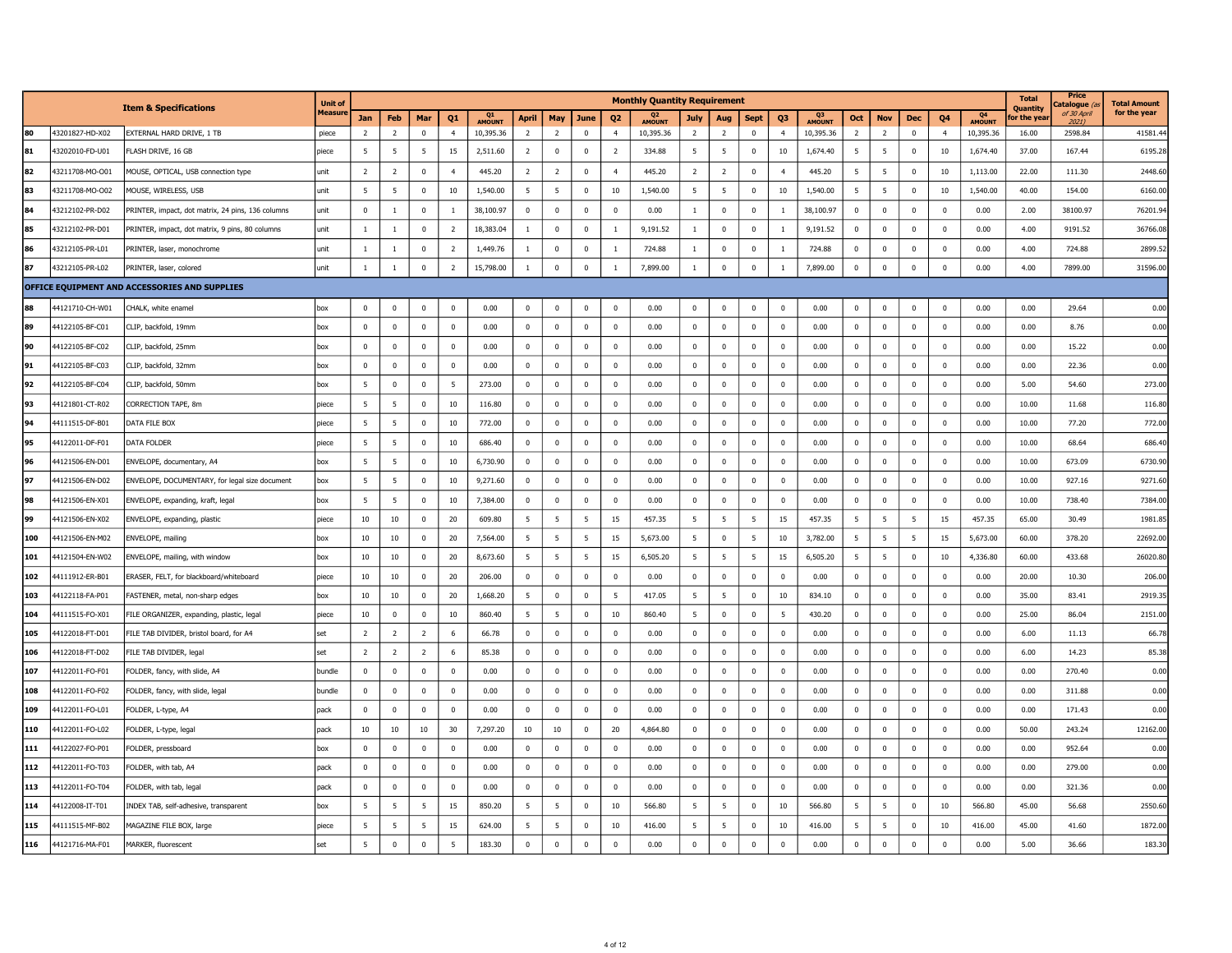|     |                 |                                                   | Unit of        |                |                |                |                |                     |                |                |             |                | <b>Monthly Quantity Requirement</b> |                |                         |                |                |                     |                |                 |                |                |                                 | <b>Total</b><br><b>Ouantity</b> | Price<br>atalogue (a | <b>Total Amount</b> |
|-----|-----------------|---------------------------------------------------|----------------|----------------|----------------|----------------|----------------|---------------------|----------------|----------------|-------------|----------------|-------------------------------------|----------------|-------------------------|----------------|----------------|---------------------|----------------|-----------------|----------------|----------------|---------------------------------|---------------------------------|----------------------|---------------------|
|     |                 | <b>Item &amp; Specifications</b>                  | <b>Measure</b> | Jan            | Feb            | Mar            | Q1             | Q1<br><b>AMOUNT</b> | <b>April</b>   | May            | June        | Q <sub>2</sub> | Q <sub>2</sub><br>AMOUNT            | July           | Aug                     | <b>Sept</b>    | Q <sub>3</sub> | Q3<br><b>AMOUNT</b> | Oct            | <b>Nov</b>      | Dec            | Q4             | Q <sub>4</sub><br><b>AMOUNT</b> | or the yea                      | of 30 April<br>2021) | for the year        |
| 80  | 43201827-HD-X02 | EXTERNAL HARD DRIVE, 1 TB                         | piece          | $\overline{2}$ | $\overline{2}$ | $\mathbf 0$    | $\overline{4}$ | 10,395.36           | $\overline{2}$ | $\overline{2}$ | $\Omega$    | $\overline{4}$ | 10,395.36                           | $\overline{2}$ | $\overline{2}$          | $\mathbf 0$    | $\overline{4}$ | 10,395.36           | $\overline{2}$ | $\overline{2}$  | $\Omega$       | $\overline{4}$ | 10,395.36                       | 16.00                           | 2598.84              | 41581.4             |
| 81  | 43202010-FD-U01 | FLASH DRIVE, 16 GB                                | piece          | 5              | 5              | - 5            | 15             | 2,511.60            | $\overline{2}$ | $\mathbf 0$    | $\mathbf 0$ | $\overline{2}$ | 334.88                              | -5             | 5                       | $\overline{0}$ | 10             | 1,674.40            | 5              | 5               | $\mathbf 0$    | 10             | 1,674.40                        | 37.00                           | 167.44               | 6195.2              |
| 82  | 43211708-MO-O01 | MOUSE, OPTICAL, USB connection type               | unit           | $\overline{2}$ | $\overline{2}$ | $\mathbf 0$    |                | 445.20              | $\overline{2}$ | $\overline{2}$ | $\mathbf 0$ | $\overline{4}$ | 445.20                              | $\overline{2}$ | $\overline{2}$          | $\overline{0}$ | $\overline{4}$ | 445.20              | 5              | 5               | $\Omega$       | 10             | 1,113.00                        | 22.00                           | 111.30               | 2448.6              |
| 83  | 43211708-MO-O02 | MOUSE, WIRELESS, USB                              | unit           | 5              | 5              | $\mathbf 0$    | 10             | 1,540.00            | 5              | 5              | $\mathbf 0$ | 10             | 1,540.00                            | 5              | 5                       | $\overline{0}$ | 10             | 1,540.00            | 5              | $5\phantom{.0}$ | $^{\circ}$     | 10             | 1,540.00                        | 40.00                           | 154.00               | 6160.0              |
| 84  | 43212102-PR-D02 | PRINTER, impact, dot matrix, 24 pins, 136 columns | unit           | $\mathbf 0$    | $\mathbf{1}$   | $\mathbf 0$    | $\overline{1}$ | 38,100.97           | $\mathbf{0}$   | $\mathbf 0$    | $\mathbf 0$ | $\mathbf 0$    | 0.00                                | $\mathbf{1}$   | $\mathbf 0$             | $\overline{0}$ | $\overline{1}$ | 38,100.97           | $\overline{0}$ | $\mathbf 0$     | $\mathbf 0$    | $\mathbf{0}$   | 0.00                            | 2.00                            | 38100.97             | 76201.9             |
| 85  | 43212102-PR-D01 | PRINTER, impact, dot matrix, 9 pins, 80 columns   | unit           | $\mathbf{1}$   | $\mathbf{1}$   | $\overline{0}$ | $\overline{2}$ | 18,383.04           | 1              | $\mathbf 0$    | 0           | $\overline{1}$ | 9,191.52                            | $\mathbf{1}$   | $\mathbf 0$             | $\overline{0}$ | 1              | 9,191.52            | $\mathbf 0$    | $\pmb{0}$       | $\overline{0}$ | $\Omega$       | 0.00                            | 4.00                            | 9191.52              | 36766.08            |
| 86  | 43212105-PR-L01 | PRINTER, laser, monochrome                        | unit           | $\mathbf{1}$   | $\mathbf{1}$   | $\overline{0}$ | $\overline{2}$ | 1,449.76            | -1             | $\mathbf 0$    | $\mathbf 0$ | $\overline{1}$ | 724.88                              | <sup>1</sup>   | $\overline{0}$          | $\mathbf 0$    | $\overline{1}$ | 724.88              | $\mathbf 0$    | $\mathbf 0$     | $\Omega$       | $\Omega$       | 0.00                            | 4.00                            | 724.88               | 2899.5              |
| 87  | 43212105-PR-L02 | PRINTER, laser, colored                           | unit           | $1\,$          | $\,1\,$        | $\mathbf 0$    | $\overline{2}$ | 15,798.00           | $\mathbf{1}$   | $\mathbf 0$    | $\mathbf 0$ | $\mathbf{1}$   | 7,899.00                            | $\mathbf{1}$   | $\mathbb O$             | $\mathbf 0$    | $\mathbf{1}$   | 7,899.00            | $\mathbf 0$    | $\pmb{0}$       | $\mathbf 0$    | $\mathbf 0$    | 0.00                            | 4.00                            | 7899.00              | 31596.00            |
|     |                 | OFFICE EQUIPMENT AND ACCESSORIES AND SUPPLIES     |                |                |                |                |                |                     |                |                |             |                |                                     |                |                         |                |                |                     |                |                 |                |                |                                 |                                 |                      |                     |
| 88  | 44121710-CH-W01 | CHALK, white enamel                               | box            | $\mathbf 0$    | $\mathbf 0$    | $\overline{0}$ | $\Omega$       | 0.00                | $\mathbf 0$    | $\Omega$       | $\mathbf 0$ | $\mathbf 0$    | 0.00                                | $\mathbf 0$    | $\mathbf 0$             | $\mathbf 0$    | $\mathbf 0$    | 0.00                | $\mathbf 0$    | $\mathbf 0$     | $\overline{0}$ | $\Omega$       | 0.00                            | 0.00                            | 29.64                | 0.00                |
| 89  | 44122105-BF-C01 | CLIP, backfold, 19mm                              | box            | $\mathbf 0$    | $\mathbf 0$    | $\mathbf 0$    | $^{\circ}$     | 0.00                | $\pmb{0}$      | $\mathbf 0$    | $\bf{0}$    | $\mathbf 0$    | 0.00                                | $\overline{0}$ | $\mathbf 0$             | $\mathbf 0$    | $\overline{0}$ | 0.00                | $\mathbf 0$    | $\mathbf 0$     | $\mathbf{0}$   | $\mathbf{0}$   | 0.00                            | 0.00                            | 8.76                 | 0.00                |
| 90  | 44122105-BF-C02 | CLIP, backfold, 25mm                              | box            | $\mathbf 0$    | $\mathbf 0$    | $\mathbf 0$    | $\Omega$       | 0.00                | $\mathbf 0$    | $\mathbf 0$    | $\mathbf 0$ | $\mathbf 0$    | 0.00                                | $\mathbf 0$    | $\mathbf 0$             | $\mathbf 0$    | $\Omega$       | 0.00                | $\overline{0}$ | $\mathbf 0$     | $\Omega$       | $\Omega$       | 0.00                            | 0.00                            | 15.22                | 0.00                |
| 91  | 44122105-BF-C03 | CLIP, backfold, 32mm                              | box            | $\mathbf 0$    | $^{\circ}$     | $\mathbf 0$    | $^{\circ}$     | 0.00                | $\mathbf{0}$   | $\overline{0}$ | $\mathbf 0$ | $\mathbf 0$    | 0.00                                | $\overline{0}$ | $\overline{\mathbf{0}}$ | $\mathbf 0$    | $\overline{0}$ | 0.00                | $\overline{0}$ | $\mathbf 0$     | $\mathbf 0$    | $\mathbf{0}$   | 0.00                            | 0.00                            | 22.36                | 0.00                |
| 92  | 44122105-BF-C04 | CLIP, backfold, 50mm                              | box            | 5              | $\mathbf 0$    | $\mathbf 0$    | 5              | 273.00              | $\mathbf{0}$   | $\mathbf 0$    | $\mathbf 0$ | $\mathbf 0$    | 0.00                                | $\mathbf 0$    | $\mathbf 0$             | $\mathbf 0$    | $\Omega$       | 0.00                | $\mathbf 0$    | $\mathbf 0$     | $\mathbf 0$    | $\mathbf 0$    | 0.00                            | 5.00                            | 54.60                | 273.0               |
| 93  | 44121801-CT-R02 | CORRECTION TAPE, 8m                               | piece          | - 5            | 5              | $\mathbf 0$    | $10\,$         | 116.80              | $\mathbf 0$    | $\mathbf 0$    | 0           | $\mathbf 0$    | 0.00                                | $\mathbf 0$    | $\mathbf 0$             | $\overline{0}$ | $^{\circ}$     | 0.00                | $\mathbf 0$    | $\pmb{0}$       | $\Omega$       | $\Omega$       | 0.00                            | 10.00                           | 11.68                | 116.8               |
| 94  | 44111515-DF-B01 | DATA FILE BOX                                     | piece          | 5              | 5              | $\mathbf 0$    | 10             | 772.00              | $\mathbf 0$    | $\mathbf 0$    | $\mathbf 0$ | $\mathbf 0$    | 0.00                                | $\mathbf 0$    | $\mathbf 0$             | $\mathbf 0$    | $\mathbf 0$    | 0.00                | $\mathbf 0$    | $\mathbf 0$     | $\Omega$       | $\Omega$       | 0.00                            | 10.00                           | 77.20                | 772.00              |
| 95  | 44122011-DF-F01 | DATA FOLDER                                       | piece          | 5              | 5              | $\mathbf 0$    | $10\,$         | 686.40              | $^{\circ}$     | $\mathbf 0$    | $\bf{0}$    | $\mathbf 0$    | 0.00                                | $\pmb{0}$      | $\mathbb O$             | $\mathbf 0$    | $\mathbf 0$    | 0.00                | $\pmb{0}$      | $\mathbf 0$     | $\mathbf 0$    | $\mathbf 0$    | 0.00                            | 10.00                           | 68.64                | 686.4               |
| 96  | 44121506-EN-D01 | ENVELOPE, documentary, A4                         | box            | 5              | 5              | $\mathbf{0}$   | 10             | 6,730.90            | $\mathbf 0$    | $\mathbf 0$    | $\mathbf 0$ | $\mathbf 0$    | 0.00                                | $\mathbf 0$    | $\mathbf 0$             | $\mathbf 0$    | $\mathbf 0$    | 0.00                | $\mathbf 0$    | $\mathbf 0$     | $\mathbf 0$    | $\mathbf 0$    | 0.00                            | 10.00                           | 673.09               | 6730.9              |
| 97  | 44121506-EN-D02 | ENVELOPE, DOCUMENTARY, for legal size document    | box            | 5              | 5              | $\mathbf 0$    | 10             | 9,271.60            | $\mathbf 0$    | $\mathbf 0$    | $\mathbf 0$ | $\mathbf 0$    | 0.00                                | 0              | $\mathbf 0$             | $\mathbf 0$    | $\mathbf 0$    | 0.00                | $\mathbf 0$    | $\pmb{0}$       | $\overline{0}$ | $\mathbf{0}$   | 0.00                            | 10.00                           | 927.16               | 9271.6              |
| 98  | 44121506-EN-X01 | ENVELOPE, expanding, kraft, legal                 | box            | 5              | 5              | $\mathbf 0$    | 10             | 7,384.00            | $\overline{0}$ | $\mathbf 0$    | $\mathbf 0$ | $\mathbf 0$    | 0.00                                | $\mathbf 0$    | $\overline{0}$          | $\overline{0}$ | $\mathbf 0$    | 0.00                | $\mathbf 0$    | $\mathbf 0$     | $\Omega$       | $\mathbf 0$    | 0.00                            | 10.00                           | 738.40               | 7384.0              |
| 99  | 44121506-EN-X02 | ENVELOPE, expanding, plastic                      | piece          | 10             | 10             | $\mathbf{0}$   | 20             | 609.80              | 5              | 5              | 5           | 15             | 457.35                              | 5              | 5                       | 5              | 15             | 457.35              | 5              | 5               | 5              | 15             | 457.35                          | 65.00                           | 30.49                | 1981.8              |
| 100 | 44121506-EN-M02 | ENVELOPE, mailing                                 | box            | $10\,$         | 10             | $\overline{0}$ | 20             | 7,564.00            | 5              | 5              | 5           | 15             | 5,673.00                            | -5             | $\mathbf 0$             | 5              | 10             | 3,782.00            | 5              | 5               | 5              | 15             | 5,673.00                        | 60.00                           | 378.20               | 22692.0             |
| 101 | 44121504-EN-W02 | ENVELOPE, mailing, with window                    | box            | 10             | 10             | $\mathbf 0$    | 20             | 8,673.60            | 5              | 5              | 5           | 15             | 6,505.20                            | -5             | 5                       | 5              | 15             | 6,505.20            | 5              | 5               | $\Omega$       | 10             | 4,336.80                        | 60.00                           | 433.68               | 26020.8             |
| 102 | 44111912-ER-B01 | ERASER, FELT, for blackboard/whiteboard           | piece          | 10             | 10             | $\mathbf 0$    | 20             | 206.00              | $\mathbf{0}$   | $\mathbf 0$    | $\mathbf 0$ | $\mathbf 0$    | 0.00                                | $^{\circ}$     | $\mathbf 0$             | $\mathbf 0$    | $^{\circ}$     | 0.00                | $\mathbf 0$    | $\mathbf 0$     | $\mathbf 0$    | $\mathbf 0$    | 0.00                            | 20.00                           | 10.30                | 206.00              |
| 103 | 44122118-FA-P01 | FASTENER, metal, non-sharp edges                  | box            | 10             | 10             | $\mathbf{0}$   | 20             | 1,668.20            | 5              | $\overline{0}$ | $\mathbf 0$ | 5              | 417.05                              | -5             | 5                       | $\mathbf 0$    | 10             | 834.10              | $\overline{0}$ | $\pmb{0}$       | $\mathbf 0$    | $\mathbf 0$    | 0.00                            | 35.00                           | 83.41                | 2919.3              |
| 104 | 44111515-FO-X01 | FILE ORGANIZER, expanding, plastic, legal         | piece          | $10\,$         | $\mathbf 0$    | $\bf{0}$       | 10             | 860.40              | -5             | -5             | $\mathbf 0$ | $10\,$         | 860.40                              | - 5            | $\mathbf 0$             | $\mathbf 0$    | - 5            | 430.20              | $\pmb{0}$      | $\pmb{0}$       | $^{\circ}$     | $\mathbf{0}$   | 0.00                            | 25.00                           | 86.04                | 2151.0              |
| 105 | 44122018-FT-D01 | FILE TAB DIVIDER, bristol board, for A4           | set            | $\overline{2}$ | $\overline{2}$ | $\overline{2}$ | 6              | 66.78               | $\mathbf 0$    | $\Omega$       | $\mathbf 0$ | $\mathbf{0}$   | 0.00                                | $\Omega$       | $\mathbf 0$             | $\mathbf 0$    | $\Omega$       | 0.00                | $\mathbf 0$    | $\pmb{0}$       | $\Omega$       | $\Omega$       | 0.00                            | 6.00                            | 11.13                | 66.7                |
| 106 | 44122018-FT-D02 | FILE TAB DIVIDER, legal                           | set            | $\overline{2}$ | $\overline{2}$ | $\overline{2}$ | -6             | 85.38               | $\pmb{0}$      | $\mathbf 0$    | $\bf{0}$    | $\mathbf 0$    | 0.00                                | $\Omega$       | $\mathbb O$             | $\mathbf 0$    | $\Omega$       | 0.00                | $\mathbf 0$    | $\pmb{0}$       | $\Omega$       | $\Omega$       | 0.00                            | 6.00                            | 14.23                | 85.3                |
| 107 | 44122011-FO-F01 | FOLDER, fancy, with slide, A4                     | bundle         | $\pmb{0}$      | $\mathbf 0$    | $\overline{0}$ | $\Omega$       | 0.00                | $\pmb{0}$      | $\mathbf 0$    | $\mathbf 0$ | $\Omega$       | 0.00                                | $\mathbf 0$    | $\mathbf 0$             | $\mathbf 0$    | $\Omega$       | 0.00                | $\pmb{0}$      | $\mathbf{0}$    | $\Omega$       | $\Omega$       | 0.00                            | 0.00                            | 270.40               | 0.00                |
| 108 | 44122011-FO-F02 | FOLDER, fancy, with slide, legal                  | bundle         | $\pmb{0}$      | $\Omega$       | $\mathbf{0}$   | $\Omega$       | 0.00                | $\pmb{0}$      | $\mathbf 0$    | $\mathbf 0$ | $\mathbf 0$    | 0.00                                | $\pmb{0}$      | $\mathbf 0$             | $\mathbf 0$    | $\Omega$       | 0.00                | $\mathbf 0$    | $\mathbf 0$     | $\Omega$       | $\Omega$       | 0.00                            | 0.00                            | 311.88               | 0.00                |
| 109 | 44122011-FO-L01 | FOLDER, L-type, A4                                | pack           | $\mathbf 0$    | $\Omega$       | $\Omega$       | $\Omega$       | 0.00                | $\mathbf 0$    | $\mathbf 0$    | $\mathbf 0$ | $\mathbf 0$    | 0.00                                | $\mathbf 0$    | $\mathbf 0$             | $\mathbf 0$    | $\Omega$       | 0.00                | $\mathbf 0$    | $\mathbf 0$     | $\Omega$       | $\Omega$       | 0.00                            | 0.00                            | 171.43               | 0.00                |
| 110 | 44122011-FO-L02 | FOLDER, L-type, legal                             | pack           | $10\,$         | 10             | $10\,$         | 30             | 7,297.20            | 10             | $10\,$         | $\mathbf 0$ | $20\,$         | 4,864.80                            | $\mathbf 0$    | $\mathbf 0$             | $\mathbf 0$    | $\mathbf 0$    | 0.00                | $\mathbf 0$    | $\mathbf 0$     | $\Omega$       | $\Omega$       | 0.00                            | 50.00                           | 243.24               | 12162.00            |
| 111 | 44122027-FO-P01 | FOLDER, pressboard                                | box            | $\mathbf 0$    | $\mathbf 0$    | $\mathbf 0$    | $\Omega$       | 0.00                | $\mathbf 0$    | $\mathbf 0$    | $\mathbf 0$ | $\mathbf 0$    | 0.00                                | $\mathbf 0$    | $\mathbf 0$             | $\mathbf 0$    | $\mathbf 0$    | 0.00                | $\mathbf 0$    | $\mathbf 0$     | $\Omega$       | $\mathbf 0$    | 0.00                            | 0.00                            | 952.64               | 0.00                |
| 112 | 44122011-FO-T03 | FOLDER, with tab, A4                              | pack           | $\mathbf 0$    | $\mathbf 0$    | $\mathbf 0$    | $\Omega$       | 0.00                | $\mathbf 0$    | $\mathbf 0$    | $\mathbf 0$ | $\mathbf 0$    | 0.00                                | $\mathbf 0$    | $\mathbf 0$             | $\overline{0}$ | $\overline{0}$ | 0.00                | $\mathbf 0$    | $\mathbf 0$     | $\Omega$       | $\mathbf{0}$   | 0.00                            | 0.00                            | 279.00               | 0.00                |
| 113 | 44122011-FO-T04 | FOLDER, with tab, legal                           | pack           | $\mathbf 0$    | $\mathbf 0$    | $\Omega$       | $\Omega$       | 0.00                | $\mathbf 0$    | $\mathbf 0$    | $\mathbf 0$ | $\mathbf 0$    | 0.00                                | $\mathbf 0$    | $\overline{0}$          | $\mathbf 0$    | $\Omega$       | 0.00                | $\mathbf 0$    | $\mathbf 0$     | $\Omega$       | $\Omega$       | 0.00                            | 0.00                            | 321.36               | 0.00                |
| 114 | 44122008-IT-T01 | INDEX TAB, self-adhesive, transparent             | box            | 5              | 5              | 5              | 15             | 850.20              | 5              | 5              | $\mathbf 0$ | 10             | 566.80                              | 5              | 5                       | $\overline{0}$ | 10             | 566.80              | 5              | 5               | $\mathbf 0$    | 10             | 566.80                          | 45.00                           | 56.68                | 2550.6              |
| 115 | 44111515-MF-B02 | MAGAZINE FILE BOX, large                          | piece          | - 5            | 5              | 5              | 15             | 624.00              | -5             | 5              | $\mathbf 0$ | 10             | 416.00                              | -5             | 5                       | $\mathbf 0$    | 10             | 416.00              | 5              | 5               | $\Omega$       | 10             | 416.00                          | 45.00                           | 41.60                | 1872.00             |
| 116 | 44121716-MA-F01 | MARKER, fluorescent                               | set            | 5              | $\Omega$       | $\Omega$       | 5              | 183.30              | $\mathbf 0$    | $\mathbf 0$    | $\mathbf 0$ | $\mathbf 0$    | 0.00                                | $\mathbf 0$    | $\mathbf 0$             | $\mathbf 0$    | $\Omega$       | 0.00                | $\mathbf 0$    | $\overline{0}$  | $\Omega$       | $\Omega$       | 0.00                            | 5.00                            | 36.66                | 183.30              |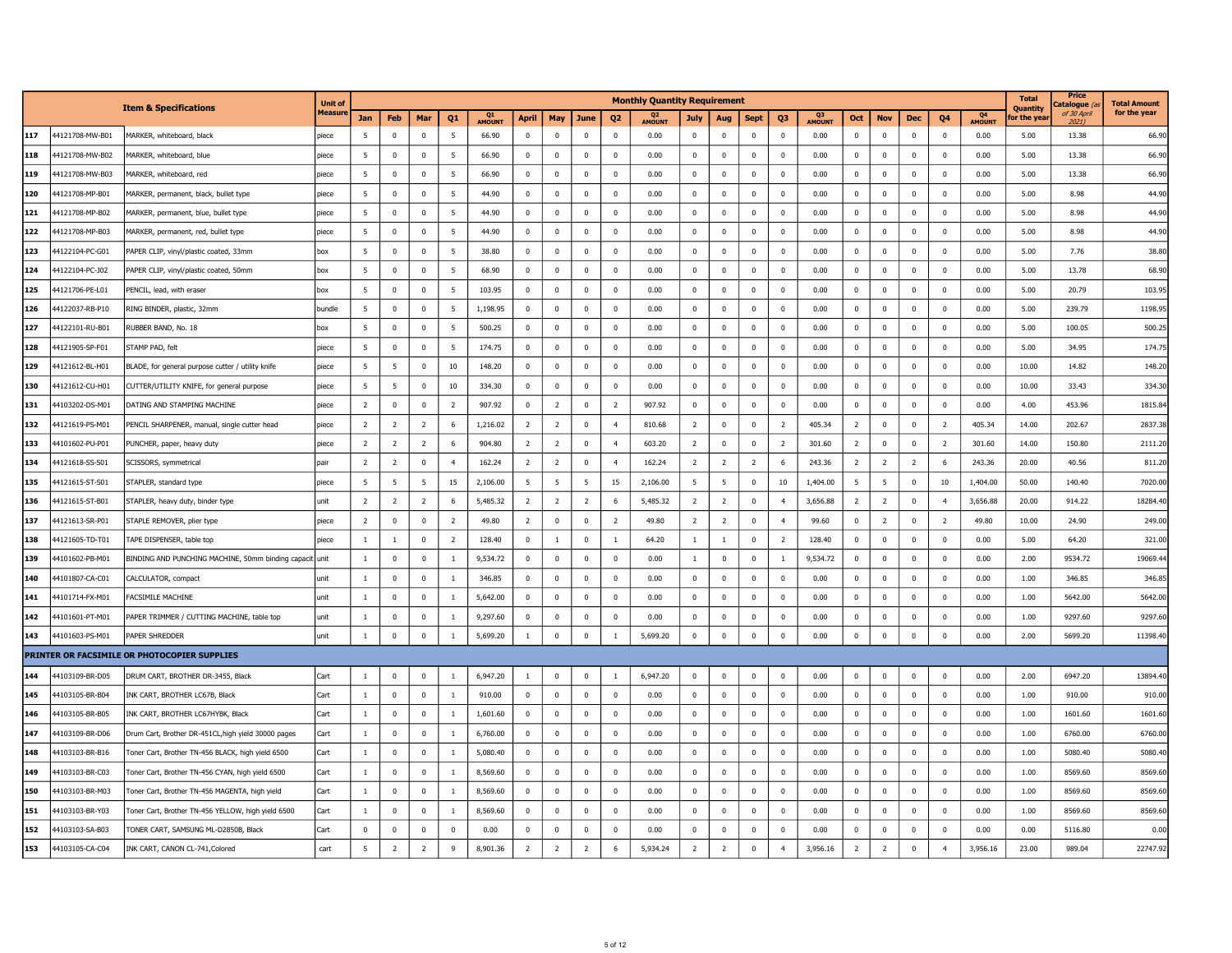|     |                 | <b>Item &amp; Specifications</b>                        | <b>Unit of</b> |                |                |                |                |              |                |                |                         |                | <b>Monthly Quantity Requirement</b> |                |                         |                |                |              |                |                |              |                |                          | <b>Total</b><br><b>Quantity</b> | Price<br>atalogue <i>(</i> | <b>Total Amount</b> |
|-----|-----------------|---------------------------------------------------------|----------------|----------------|----------------|----------------|----------------|--------------|----------------|----------------|-------------------------|----------------|-------------------------------------|----------------|-------------------------|----------------|----------------|--------------|----------------|----------------|--------------|----------------|--------------------------|---------------------------------|----------------------------|---------------------|
|     |                 |                                                         | Measur         | Jan            | Feb            | Mar            | Q <sub>1</sub> | Q1<br>AMOUNT | April          | May            | June                    | Q <sub>2</sub> | Q <sub>2</sub><br>AMOUNT            | <b>July</b>    | Aug                     | <b>Sept</b>    | Q3             | Q3<br>AMOUNT | Oct            | <b>Nov</b>     | Dec          | Q4             | Q <sub>4</sub><br>AMOUNT | or the yea'                     | of 30 April<br>2021)       | for the year        |
| 117 | 44121708-MW-B01 | MARKER, whiteboard, black                               | piece          | 5              | $\mathbf 0$    | $^{\circ}$     | 5              | 66.90        | $\mathbf 0$    | $^{\circ}$     | $\overline{\mathbf{0}}$ | $\mathbf 0$    | 0.00                                | $\mathbf 0$    | $\overline{0}$          | $\bf{0}$       | $\mathbf 0$    | 0.00         | $^{\circ}$     | $^{\circ}$     | $\mathbf 0$  | $^{\circ}$     | 0.00                     | 5.00                            | 13.38                      | 66.90               |
| 118 | 44121708-MW-B02 | MARKER, whiteboard, blue                                | piece          | -5             | $\mathbf 0$    | $^{\circ}$     | 5              | 66.90        | $\mathbf{0}$   | $\mathbf 0$    | $\overline{0}$          | $^{\circ}$     | 0.00                                | $\mathbf 0$    | $\mathbf 0$             | $\mathbf 0$    | $\mathbf{0}$   | 0.00         | $^{\circ}$     | $^{\circ}$     | $^{\circ}$   | $^{\circ}$     | 0.00                     | 5.00                            | 13.38                      | 66.90               |
| 119 | 44121708-MW-B03 | MARKER, whiteboard, red                                 | piece          | -5             | $^{\circ}$     | $\mathbf 0$    | 5              | 66.90        | $\mathbf 0$    | $\mathbf 0$    | $\overline{\mathbf{0}}$ | $\mathbf 0$    | 0.00                                | $\mathbf 0$    | $\mathbf 0$             | $\overline{0}$ | $\mathbf 0$    | 0.00         | $\mathbf 0$    | $\mathbf 0$    | 0            | $\mathbf 0$    | 0.00                     | 5.00                            | 13.38                      | 66.9                |
| 120 | 44121708-MP-B01 | MARKER, permanent, black, bullet type                   | piece          | 5              | $\Omega$       | $\Omega$       | 5              | 44.90        | $\mathbf 0$    | $\mathbf 0$    | $\overline{0}$          | $\Omega$       | 0.00                                | $\mathbf 0$    | $\mathbf 0$             | $\mathbf 0$    | $\mathbf 0$    | 0.00         | $\mathbf 0$    | $\Omega$       | $\mathbf 0$  | $\mathbf 0$    | 0.00                     | 5.00                            | 8.98                       | 44.90               |
| 121 | 44121708-MP-B02 | MARKER, permanent, blue, bullet type                    | piece          | 5              | $\mathbf 0$    | $^{\circ}$     | 5              | 44.90        | $\mathbf{0}$   | $\mathbf 0$    | $\overline{0}$          | $\mathbf 0$    | 0.00                                | $\pmb{0}$      | $\mathbf 0$             | $\overline{0}$ | $^{\circ}$     | 0.00         | $\pmb{0}$      | $^{\circ}$     | $^{\circ}$   | $^{\circ}$     | 0.00                     | 5.00                            | 8.98                       | 44.90               |
| 122 | 44121708-MP-B03 | MARKER, permanent, red, bullet type                     | piece          | 5              | $\mathbf 0$    | $\Omega$       | 5              | 44.90        | $\mathbf{0}$   | $\mathbf 0$    | $\overline{0}$          | $\Omega$       | 0.00                                | $\mathbf 0$    | $\mathbf 0$             | $\Omega$       | $\Omega$       | 0.00         | $\mathbf 0$    | $\Omega$       | $\Omega$     | $^{\circ}$     | 0.00                     | 5.00                            | 8.98                       | 44.90               |
| 123 | 44122104-PC-G01 | PAPER CLIP, vinyl/plastic coated, 33mm                  | box            | 5              | $\mathbf 0$    | $\Omega$       | 5              | 38.80        | $\mathbf 0$    | $\mathbf 0$    | $\overline{\mathbf{0}}$ | $\mathbf 0$    | 0.00                                | $\mathbf 0$    | $\mathbf 0$             | $\mathbf 0$    | $\mathbf 0$    | 0.00         | $\mathbf 0$    | $\Omega$       | $\Omega$     | $^{\circ}$     | 0.00                     | 5.00                            | 7.76                       | 38.80               |
| 124 | 44122104-PC-J02 | PAPER CLIP, vinyl/plastic coated, 50mm                  | box            | 5              | $\mathbf 0$    | $\mathbf 0$    | 5              | 68.90        | $\mathbf 0$    | $\mathbf 0$    | $\overline{0}$          | $\mathbf 0$    | 0.00                                | $\mathbf 0$    | $\mathbf 0$             | $\mathbf 0$    | $\mathbf 0$    | 0.00         | $\mathbf 0$    | $\mathbf 0$    | $\mathbf 0$  | $\bf{0}$       | 0.00                     | 5.00                            | 13.78                      | 68.90               |
| 125 | 44121706-PE-L01 | PENCIL, lead, with eraser                               | hox            | -5             | $\mathbf{0}$   | $\Omega$       | -5             | 103.95       | $\Omega$       | $\Omega$       | $\mathbf 0$             | $\Omega$       | 0.00                                | $\overline{0}$ | $\mathbf{0}$            | $\Omega$       | $\Omega$       | 0.00         | $\Omega$       | $\Omega$       | $\Omega$     | $\Omega$       | 0.00                     | 5.00                            | 20.79                      | 103.95              |
| 126 | 44122037-RB-P10 | RING BINDER, plastic, 32mm                              | bundle         | 5              | $\pmb{0}$      | $\mathbf 0$    | 5              | 1,198.95     | $\overline{0}$ | $\mathbf 0$    | $\mathbf 0$             | $\mathbf 0$    | 0.00                                | $\overline{0}$ | $\mathbf 0$             | $\mathbf 0$    | $\mathbf 0$    | 0.00         | $\pmb{0}$      | $\pmb{0}$      | $\mathbf 0$  | $\mathbf 0$    | 0.00                     | 5.00                            | 239.79                     | 1198.9              |
| 127 | 44122101-RU-B01 | RUBBER BAND, No. 18                                     | hox            | 5              | $\mathbf 0$    | $\Omega$       | -5             | 500.25       | $\Omega$       | $\mathbf 0$    | $\mathbf 0$             | $\Omega$       | 0.00                                | $\mathbf 0$    | $\mathbf 0$             | $\Omega$       | $\mathbf 0$    | 0.00         | $\mathbf 0$    | $\Omega$       | $\Omega$     | $\Omega$       | 0.00                     | 5.00                            | 100.05                     | 500.2               |
| 128 | 44121905-SP-F01 | STAMP PAD, felt                                         | piece          | 5              | $^{\circ}$     | $^{\circ}$     | 5              | 174.75       | $\mathbf 0$    | $\mathbf 0$    | $\overline{\mathbf{0}}$ | 0              | 0.00                                | $\mathbf 0$    | $\mathbf 0$             | $\mathbf 0$    | $\mathbf 0$    | 0.00         | $\mathbf{0}$   | $\mathbf 0$    | $\mathbf 0$  | $\mathbf 0$    | 0.00                     | 5.00                            | 34.95                      | 174.7               |
| 129 | 44121612-BL-H01 | BLADE, for general purpose cutter / utility knife       | piece          | 5              | 5              | $^{\circ}$     | 10             | 148.20       | $\mathbf{0}$   | $\mathbf 0$    | $\overline{\mathbf{0}}$ | $\mathbf{0}$   | 0.00                                | $\mathbf 0$    | $\mathbf 0$             | $\overline{0}$ | $^{\circ}$     | 0.00         | $\mathbf{0}$   | $^{\circ}$     | $^{\circ}$   | $^{\circ}$     | 0.00                     | 10.00                           | 14.82                      | 148.20              |
| 130 | 44121612-CU-H01 | CUTTER/UTILITY KNIFE, for general purpose               | piece          | 5              | 5              | $\mathbf 0$    | 10             | 334.30       | $\overline{0}$ | $\mathbf 0$    | 0                       | $\mathbf{0}$   | 0.00                                | $\overline{0}$ | $\overline{\mathbf{0}}$ | $\overline{0}$ | 0              | 0.00         | $\mathbf 0$    | $\mathbf 0$    | $\mathbf 0$  | $\mathbf 0$    | 0.00                     | 10.00                           | 33.43                      | 334.3               |
| 131 | 44103202-DS-M01 | DATING AND STAMPING MACHINE                             | piece          | $\overline{2}$ | $\mathbf 0$    | $\Omega$       | $\overline{2}$ | 907.92       | $\mathbf 0$    | $\overline{2}$ | $\overline{0}$          | $\overline{2}$ | 907.92                              | $\mathbf 0$    | $\mathbf 0$             | $\mathbf 0$    | $\mathbf 0$    | 0.00         | $\mathbf 0$    | $\Omega$       | $\mathbf 0$  | $\mathbf 0$    | 0.00                     | 4.00                            | 453.96                     | 1815.84             |
| 132 | 44121619-PS-M01 | PENCIL SHARPENER, manual, single cutter head            | piece          | $\overline{2}$ | $\overline{2}$ | $\overline{2}$ | 6              | 1,216.02     | $\overline{2}$ | $\overline{2}$ | $\mathbf 0$             | $\overline{4}$ | 810.68                              | $\overline{2}$ | $\mathbf 0$             | $\mathbf 0$    | $\overline{2}$ | 405.34       | $\overline{2}$ | $\mathbf 0$    | $\mathbf{0}$ | $\overline{2}$ | 405.34                   | 14.00                           | 202.67                     | 2837.38             |
| 133 | 44101602-PU-P01 | PUNCHER, paper, heavy duty                              | piece          | $\overline{2}$ | $\overline{2}$ | $\overline{2}$ | 6              | 904.80       | $\overline{2}$ | $\overline{2}$ | $\overline{0}$          | $\overline{4}$ | 603.20                              | $\overline{2}$ | $\mathbf 0$             | $\mathbf 0$    | $\overline{2}$ | 301.60       | $\overline{2}$ | $\mathbf 0$    | $\mathbf{0}$ | $\overline{2}$ | 301.60                   | 14.00                           | 150.80                     | 2111.20             |
| 134 | 44121618-SS-S01 | SCISSORS, symmetrical                                   | pair           | $\overline{2}$ | $\overline{2}$ | $\mathbf 0$    | $\overline{4}$ | 162.24       | $\overline{2}$ | $\overline{2}$ | $\mathbf 0$             | $\overline{4}$ | 162.24                              | $\overline{2}$ | $\overline{2}$          | $\overline{2}$ | 6              | 243.36       | $\overline{2}$ | 2              | 2            | 6              | 243.36                   | 20.00                           | 40.56                      | 811.2               |
| 135 | 44121615-ST-S01 | STAPLER, standard type                                  | piece          | 5              | 5              | -5             | 15             | 2,106.00     | -5             | 5              | 5                       | 15             | 2,106.00                            | 5              | - 5                     | $\Omega$       | 10             | 1,404.00     | 5              | -5             | $\mathbf 0$  | 10             | 1,404.00                 | 50.00                           | 140.40                     | 7020.00             |
| 136 | 44121615-ST-B01 | STAPLER, heavy duty, binder type                        | unit           | $\overline{2}$ | $\overline{2}$ | 2              | 6              | 5,485.32     | $\overline{2}$ | $\overline{2}$ | $\overline{2}$          | 6              | 5,485.32                            | $\overline{2}$ | $\overline{2}$          | $\mathbf{0}$   | $\overline{4}$ | 3,656.88     | $\overline{2}$ | $\overline{2}$ | $^{\circ}$   | $\overline{4}$ | 3,656.88                 | 20.00                           | 914.22                     | 18284.40            |
| 137 | 44121613-SR-P01 | STAPLE REMOVER, plier type                              | piece          | $\overline{2}$ | $\mathbf 0$    | $\Omega$       | $\overline{2}$ | 49.80        | $\overline{2}$ | $\mathbf 0$    | $\overline{0}$          | $\overline{2}$ | 49.80                               | $\overline{2}$ | $\overline{2}$          | $\Omega$       | $\overline{4}$ | 99.60        | $\pmb{0}$      | $\overline{2}$ | $\Omega$     | $\overline{2}$ | 49.80                    | 10.00                           | 24.90                      | 249.00              |
| 138 | 44121605-TD-T01 | TAPE DISPENSER, table top                               | piece          | $\mathbf{1}$   | $\overline{1}$ | $\Omega$       | $\overline{2}$ | 128.40       | $\mathbf 0$    | $\mathbf{1}$   | $\pmb{0}$               | $\mathbf{1}$   | 64.20                               | $\mathbf{1}$   | 1                       | $\Omega$       | $\overline{2}$ | 128.40       | $\mathbf 0$    | $\Omega$       | $\Omega$     | $\Omega$       | 0.00                     | 5.00                            | 64.20                      | 321.00              |
| 139 | 44101602-PB-M01 | BINDING AND PUNCHING MACHINE, 50mm binding capacit unit |                | $\mathbf{1}$   | $\mathbf 0$    | $\mathbf 0$    | 1              | 9,534.72     | $\mathbf{0}$   | $\mathbf 0$    | $\overline{0}$          | $\mathbf 0$    | 0.00                                | $\mathbf{1}$   | $\overline{0}$          | $\mathbf 0$    | 1              | 9,534.72     | $\mathbf 0$    | $\mathbf{0}$   | $\mathbf 0$  | $^{\circ}$     | 0.00                     | 2.00                            | 9534.72                    | 19069.44            |
| 140 | 44101807-CA-C01 | CALCULATOR, compact                                     | unit           | $\mathbf{1}$   | $\overline{0}$ | $\mathbf 0$    | $\mathbf{1}$   | 346.85       | $\mathbf{0}$   | $\mathbf 0$    | $\mathbf 0$             | $\mathbf{0}$   | 0.00                                | $\overline{0}$ | $\mathbf 0$             | $\mathbf{0}$   | $\mathbf 0$    | 0.00         | $\mathbf{0}$   | $\mathbf 0$    | $^{\circ}$   | $^{\circ}$     | 0.00                     | 1.00                            | 346.85                     | 346.85              |
| 141 | 44101714-FX-M01 | FACSIMILE MACHINE                                       | unit           | 1              | $\mathbf 0$    | $\mathbf 0$    |                | 5,642.00     | $\mathbf{0}$   | $\mathbf 0$    | $\overline{0}$          | $\mathbf 0$    | 0.00                                | $\pmb{0}$      | $\mathbf 0$             | $\overline{0}$ | 0              | 0.00         | $^{\circ}$     | $\mathbf 0$    | 0            | $^{\circ}$     | 0.00                     | 1.00                            | 5642.00                    | 5642.00             |
| 142 | 44101601-PT-M01 | PAPER TRIMMER / CUTTING MACHINE, table top              | lunit          | $\mathbf{1}$   | $\mathbf 0$    | $\Omega$       | $\overline{1}$ | 9,297.60     | $\mathbf 0$    | $\mathbf 0$    | $\overline{\mathbf{0}}$ | $\Omega$       | 0.00                                | $\mathbf 0$    | $\mathbf 0$             | $\Omega$       | $\mathbf 0$    | 0.00         | $\mathbf 0$    | $\mathbf 0$    | $\mathbf 0$  | $\mathbf 0$    | 0.00                     | 1.00                            | 9297.60                    | 9297.6              |
| 143 | 44101603-PS-M01 | PAPER SHREDDER                                          | unit           | $\mathbf{1}$   | $\mathbf 0$    | $\mathbf 0$    | $\mathbf{1}$   | 5,699.20     | 1              | $\mathbf 0$    | $\mathbf 0$             | $\mathbf{1}$   | 5,699.20                            | $\mathbf 0$    | $\mathbf 0$             | $\mathbf 0$    | $\mathbf 0$    | 0.00         | $\mathbf 0$    | $\mathbf 0$    | $\mathbf 0$  | $\mathbf 0$    | 0.00                     | 2.00                            | 5699.20                    | 11398.40            |
|     |                 | PRINTER OR FACSIMILE OR PHOTOCOPIER SUPPLIES            |                |                |                |                |                |              |                |                |                         |                |                                     |                |                         |                |                |              |                |                |              |                |                          |                                 |                            |                     |
| 144 | 44103109-BR-D05 | DRUM CART, BROTHER DR-3455, Black                       | Cart           | $\mathbf{1}$   | $\mathbf 0$    | $\Omega$       | $\mathbf{1}$   | 6,947.20     | $\mathbf{1}$   | $\mathbf 0$    | $\overline{0}$          | $\overline{1}$ | 6,947.20                            | $\mathbf 0$    | $\mathbf 0$             | $\Omega$       | $\mathbf 0$    | 0.00         | $\mathbf 0$    | $\mathbf 0$    | $\mathbf 0$  | $\mathbf 0$    | 0.00                     | 2.00                            | 6947.20                    | 13894.4             |
| 145 | 44103105-BR-B04 | INK CART, BROTHER LC67B, Black                          | Cart           | $\mathbf{1}$   | $\pmb{0}$      | $\Omega$       |                | 910.00       | $\overline{0}$ | $\mathbf 0$    | $\overline{0}$          | $\mathbf 0$    | 0.00                                | $\mathbf 0$    | $\mathbf 0$             | $\mathbf 0$    | $\overline{0}$ | 0.00         | $\pmb{0}$      | $\overline{0}$ | 0            | $\mathbf 0$    | 0.00                     | 1.00                            | 910.00                     | 910.00              |
| 146 | 44103105-BR-B05 | INK CART, BROTHER LC67HYBK, Black                       | Cart           | $\mathbf{1}$   | $\mathbf 0$    | $\Omega$       | $\mathbf{1}$   | 1,601.60     | $\Omega$       | $\mathbf 0$    | $\mathbf 0$             | $\Omega$       | 0.00                                | $\mathbf 0$    | $\mathbf 0$             | $\Omega$       | $\mathbf 0$    | 0.00         | $\mathbf 0$    | $\Omega$       | $\Omega$     | $\Omega$       | 0.00                     | 1.00                            | 1601.60                    | 1601.60             |
| 147 | 44103109-BR-D06 | Drum Cart, Brother DR-451CL, high yield 30000 pages     | Cart           | $\mathbf{1}$   | $\mathbf 0$    | $^{\circ}$     | -1             | 6,760.00     | $\mathbf 0$    | $\mathbf 0$    | 0                       | 0              | 0.00                                | $\bf{0}$       | $\mathbf 0$             | $\mathbf 0$    | $\mathbf 0$    | 0.00         | $\mathbf 0$    | $\mathbf 0$    | 0            | $\bf{0}$       | 0.00                     | 1.00                            | 6760.00                    | 6760.00             |
| 148 | 44103103-BR-B16 | Toner Cart, Brother TN-456 BLACK, high yield 6500       | Cart           | $\mathbf{1}$   | $\mathbf 0$    | $\mathbf 0$    | -1             | 5,080.40     | $\mathbf{0}$   | $\mathbf 0$    | $\overline{0}$          | $\mathbf 0$    | 0.00                                | $\mathbf{0}$   | $\mathbf 0$             | $\mathbf 0$    | $\mathbf 0$    | 0.00         | $\mathbf 0$    | $\mathbf 0$    | $^{\circ}$   | $\bf{0}$       | 0.00                     | 1.00                            | 5080.40                    | 5080.40             |
| 149 | 44103103-BR-C03 | Toner Cart, Brother TN-456 CYAN, high yield 6500        | Cart           | 1              | $\mathbf 0$    | $\mathbf 0$    |                | 8,569.60     | $\mathbf 0$    | $\mathbf 0$    | 0                       | 0              | 0.00                                | $\mathbf{0}$   | $\mathbf 0$             | $\mathbf 0$    | 0              | 0.00         | $\mathbf 0$    | $\mathbf 0$    | 0            | $\mathbf 0$    | 0.00                     | 1.00                            | 8569.60                    | 8569.6              |
| 150 | 44103103-BR-M03 | Toner Cart, Brother TN-456 MAGENTA, high yield          | Cart           | $\mathbf{1}$   | $\overline{0}$ | $\Omega$       | $\overline{1}$ | 8,569.60     | $\mathbf{0}$   | $\mathbf 0$    | $\overline{0}$          | $\mathbf 0$    | 0.00                                | $\mathbf 0$    | $\mathbf 0$             | $\mathbf 0$    | $\mathbf 0$    | 0.00         | $\mathbf 0$    | $\Omega$       | $^{\circ}$   | $\mathbf 0$    | 0.00                     | 1.00                            | 8569.60                    | 8569.60             |
| 151 | 44103103-BR-Y03 | Toner Cart, Brother TN-456 YELLOW, high yield 6500      | Cart           | 1              | $^{\circ}$     | $^{\circ}$     | $\mathbf{1}$   | 8,569.60     | $\mathbf 0$    | $\mathbf 0$    | 0                       | $\mathbf 0$    | 0.00                                | $\pmb{0}$      | $\mathbf 0$             | $\overline{0}$ | 0              | 0.00         | $\mathbf 0$    | $^{\circ}$     | 0            | $^{\circ}$     | 0.00                     | 1.00                            | 8569.60                    | 8569.60             |
| 152 | 44103103-SA-B03 | TONER CART, SAMSUNG ML-D2850B, Black                    | Cart           | $^{\circ}$     | $\mathbf 0$    | $\Omega$       | $\Omega$       | 0.00         | $\mathbf 0$    | $\mathbf 0$    | $\mathbf 0$             | $\Omega$       | 0.00                                | $\mathbf 0$    | $\mathbf 0$             | $\Omega$       | $\mathbf 0$    | 0.00         | $\mathbf 0$    | $\Omega$       | $\Omega$     | $^{\circ}$     | 0.00                     | 0.00                            | 5116.80                    | 0.00                |
| 153 | 44103105-CA-C04 | INK CART, CANON CL-741, Colored                         | cart           | 5              | $\overline{z}$ | $\overline{z}$ | 9              | 8,901.36     | $\overline{2}$ | $\overline{2}$ | $\overline{2}$          | 6              | 5,934.24                            | $\overline{2}$ | $\overline{2}$          | $\Omega$       | $\overline{4}$ | 3,956.16     | $\overline{2}$ | $\overline{z}$ | $\Omega$     | $\overline{4}$ | 3,956.16                 | 23.00                           | 989.04                     | 22747.92            |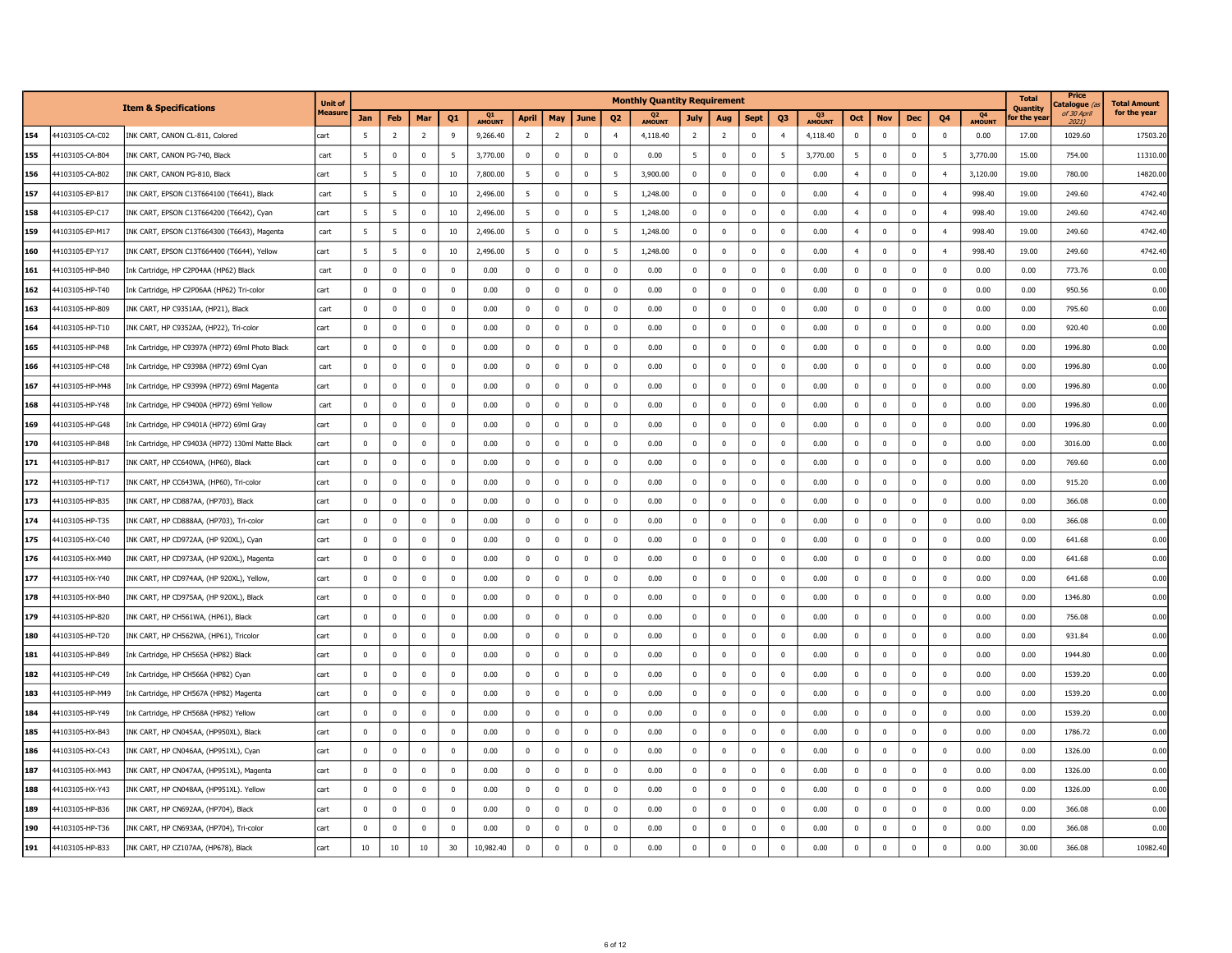|     |                 |                                                   | Unit of |             |                |                |                |              |                |                |                         |                | <b>Monthly Quantity Requirement</b> |                |                |                |                |              |                |              |              |                |              | <b>Total</b><br>Quantity | Price<br>، atalogue  | <b>Total Amount</b> |
|-----|-----------------|---------------------------------------------------|---------|-------------|----------------|----------------|----------------|--------------|----------------|----------------|-------------------------|----------------|-------------------------------------|----------------|----------------|----------------|----------------|--------------|----------------|--------------|--------------|----------------|--------------|--------------------------|----------------------|---------------------|
|     |                 | <b>Item &amp; Specifications</b>                  | Measun  | <b>Jan</b>  | Feb            | Mar            | Q <sub>1</sub> | Q1<br>AMOUNT | April          | May            | June                    | Q <sub>2</sub> | Q <sub>2</sub><br>AMOUNT            | <b>July</b>    | Aug            | <b>Sept</b>    | Q3             | Q3<br>AMOUNT | Oct            | <b>Nov</b>   | <b>Dec</b>   | Q <sub>4</sub> | Q4<br>AMOUNT | or the yea               | of 30 April<br>20211 | for the year        |
| 154 | 44103105-CA-C02 | INK CART, CANON CL-811, Colored                   | cart    | -5          | $\overline{2}$ | 2              | 9              | 9,266.40     | $\overline{2}$ | $\overline{2}$ | $\overline{0}$          | $\overline{4}$ | 4,118.40                            | $\overline{2}$ | $\overline{2}$ | $\overline{0}$ | $\overline{4}$ | 4,118.40     | $\mathbf 0$    | $\mathbf 0$  | $^{\circ}$   | $\mathbf{0}$   | 0.00         | 17.00                    | 1029.60              | 17503.20            |
| 155 | 44103105-CA-B04 | INK CART, CANON PG-740, Black                     | cart    | 5           | $\mathbf 0$    | $\mathbf 0$    | -5             | 3,770.00     | $\mathbf 0$    | $\mathbf 0$    | $\mathbf 0$             | $\mathbf{0}$   | 0.00                                | 5              | $\mathbf 0$    | $\overline{0}$ | 5              | 3,770.00     | 5              | $\mathbf 0$  | $^{\circ}$   | 5              | 3,770.00     | 15.00                    | 754.00               | 11310.00            |
| 156 | 44103105-CA-B02 | INK CART, CANON PG-810, Black                     | cart    | -5          | 5              | $^{\circ}$     | 10             | 7,800.00     | -5             | $^{\circ}$     | $\mathbf 0$             | - 5            | 3,900.00                            | $\mathbf 0$    | $\mathbf 0$    | $\overline{0}$ | $\mathbf 0$    | 0.00         | $\overline{4}$ | $\mathbf 0$  | $^{\circ}$   | $\overline{4}$ | 3,120.00     | 19.00                    | 780.00               | 14820.00            |
| 157 | 44103105-EP-B17 | INK CART, EPSON C13T664100 (T6641), Black         | cart    | -5          | 5              | $\mathbf{0}$   | 10             | 2,496.00     | -5             | $\mathbf 0$    | $\mathbf 0$             | - 5            | 1,248.00                            | $\mathbf 0$    | $\mathbf 0$    | $\overline{0}$ | $\mathbf 0$    | 0.00         | $\overline{4}$ | $^{\circ}$   | $^{\circ}$   | $\overline{4}$ | 998.40       | 19.00                    | 249.60               | 4742.4              |
| 158 | 44103105-EP-C17 | INK CART, EPSON C13T664200 (T6642), Cyan          | cart    | -5          | 5              | $\mathbf 0$    | 10             | 2,496.00     | 5              | $\mathbf 0$    | $\mathbf 0$             | - 5            | 1,248.00                            | $\mathbf 0$    | $\overline{0}$ | $\mathbf 0$    | $\mathbf 0$    | 0.00         | $\overline{4}$ | $\mathbf 0$  | $^{\circ}$   | $\overline{4}$ | 998.40       | 19.00                    | 249.60               | 4742.40             |
| 159 | 44103105-EP-M17 | INK CART, EPSON C13T664300 (T6643), Magenta       | cart    | 5           | 5              | $\Omega$       | 10             | 2,496.00     | -5             | $\mathbf 0$    | $\mathbf 0$             | - 5            | 1,248.00                            | $\mathbf 0$    | $\overline{0}$ | $\mathbf 0$    | $\Omega$       | 0.00         | $\overline{4}$ | $\mathbf 0$  | $\Omega$     | $\overline{4}$ | 998.40       | 19.00                    | 249.60               | 4742.40             |
| 160 | 44103105-EP-Y17 | INK CART, EPSON C13T664400 (T6644), Yellow        | cart    | 5           | 5              | $\mathbf 0$    | 10             | 2,496.00     | -5             | $\mathbf 0$    | $\overline{0}$          | 5              | 1,248.00                            | $\mathbf 0$    | $\mathbf 0$    | $\mathbf 0$    | $\mathbf 0$    | 0.00         | $\overline{4}$ | $\mathbf 0$  | $^{\circ}$   | $\overline{4}$ | 998.40       | 19.00                    | 249.60               | 4742.40             |
| 161 | 44103105-HP-B40 | Ink Cartridge, HP C2P04AA (HP62) Black            | cart    | $\Omega$    | $\mathbf{0}$   | $\Omega$       | $\Omega$       | 0.00         | $\mathbf 0$    | $\mathbf 0$    | $\mathbf 0$             | $\overline{0}$ | 0.00                                | $\mathbf 0$    | $\mathbf 0$    | $\mathbf 0$    | $\mathbf 0$    | 0.00         | $\mathbf 0$    | $\Omega$     | $\Omega$     | $\mathbf 0$    | 0.00         | 0.00                     | 773.76               | 0.00                |
| 162 | 44103105-HP-T40 | Ink Cartridge, HP C2P06AA (HP62) Tri-color        | cart    | $\mathbf 0$ | $\mathbf 0$    | $\mathbf 0$    | $^{\circ}$     | 0.00         | $\mathbf 0$    | $\mathbf 0$    | $\mathbf 0$             | $\mathbf 0$    | 0.00                                | $\mathbf 0$    | $\overline{0}$ | $\mathbf 0$    | $\mathbf 0$    | 0.00         | $\mathbf 0$    | $\mathbf 0$  | $^{\circ}$   | $\mathbf 0$    | 0.00         | 0.00                     | 950.56               | 0.00                |
| 163 | 44103105-HP-B09 | INK CART, HP C9351AA, (HP21), Black               | cart    | $\mathbf 0$ | $\mathbf 0$    | $\mathbf 0$    | $\mathbf 0$    | 0.00         | $\mathbf 0$    | $\mathbf 0$    | $\mathbf 0$             | $\mathbf 0$    | 0.00                                | $\mathbf 0$    | $\mathbf 0$    | $\mathbf 0$    | $\mathbf 0$    | 0.00         | $\mathbf 0$    | $\mathbf 0$  | $\mathbf 0$  | $\mathbf 0$    | 0.00         | 0.00                     | 795.60               | 0.00                |
| 164 | 44103105-HP-T10 | INK CART, HP C9352AA, (HP22), Tri-color           | cart    | $\mathbf 0$ | $\mathbf 0$    | $\overline{0}$ | $^{\circ}$     | 0.00         | $\bf{0}$       | $\mathbf 0$    | $\overline{0}$          | $\overline{0}$ | 0.00                                | $\mathbf 0$    | $\overline{0}$ | $\overline{0}$ | $\mathbf 0$    | 0.00         | $\mathbf 0$    | $^{\circ}$   | $^{\circ}$   | $\mathbf{0}$   | 0.00         | 0.00                     | 920.40               | 0.00                |
| 165 | 44103105-HP-P48 | Ink Cartridge, HP C9397A (HP72) 69ml Photo Black  | cart    | $\Omega$    | $\Omega$       | $\Omega$       | $\Omega$       | 0.00         | $\pmb{0}$      | $\mathbf 0$    | $\mathbf 0$             | $\Omega$       | 0.00                                | $\mathbf 0$    | $\mathbf 0$    | $\Omega$       | $\mathbf 0$    | 0.00         | $\pmb{0}$      | $\Omega$     | $\Omega$     | $\Omega$       | 0.00         | 0.00                     | 1996.80              | 0.00                |
| 166 | 44103105-HP-C48 | Ink Cartridge, HP C9398A (HP72) 69ml Cyan         | cart    | $^{\circ}$  | $\mathbf 0$    | $\Omega$       | $\Omega$       | 0.00         | $^{\circ}$     | $\mathbf 0$    | $\mathbf 0$             | $^{\circ}$     | 0.00                                | $\mathbf 0$    | $\mathbf 0$    | $^{\circ}$     | $^{\circ}$     | 0.00         | $\mathbf 0$    | $\pmb{0}$    | $^{\circ}$   | $^{\circ}$     | 0.00         | 0.00                     | 1996.80              | 0.00                |
| 167 | 44103105-HP-M48 | Ink Cartridge, HP C9399A (HP72) 69ml Magenta      | cart    | $\Omega$    | $\mathbf 0$    | $\Omega$       | $\Omega$       | 0.00         | $\mathbf 0$    | $\mathbf 0$    | 0                       | $\Omega$       | 0.00                                | $\mathbf 0$    | $\Omega$       | $\Omega$       | $\Omega$       | 0.00         | $\mathbf 0$    | $\Omega$     | $\Omega$     | $\Omega$       | 0.00         | 0.00                     | 1996.80              | 0.00                |
| 168 | 44103105-HP-Y48 | Ink Cartridge, HP C9400A (HP72) 69ml Yellow       | cart    | $\mathbf 0$ | $\mathbf 0$    | $\overline{0}$ | $^{\circ}$     | 0.00         | $\mathbf 0$    | $\mathbf 0$    | $\mathbf 0$             | $\mathbf 0$    | 0.00                                | $\mathbf 0$    | $\mathbf 0$    | $\overline{0}$ | $^{\circ}$     | 0.00         | $\pmb{0}$      | $\mathbf{0}$ | $^{\circ}$   | $^{\circ}$     | 0.00         | 0.00                     | 1996.80              | 0.00                |
| 169 | 44103105-HP-G48 | Ink Cartridge, HP C9401A (HP72) 69ml Gray         | cart    | $\mathbf 0$ | $\mathbf 0$    | $\mathbf 0$    | $^{\circ}$     | 0.00         | $^{\circ}$     | $\mathbf 0$    | $\mathbf 0$             | $\overline{0}$ | 0.00                                | $\mathbf 0$    | $\mathbf 0$    | $\mathbf 0$    | $\mathbf 0$    | 0.00         | $\mathbf 0$    | $\mathbf 0$  | $^{\circ}$   | $^{\circ}$     | 0.00         | 0.00                     | 1996.80              | 0.00                |
| 170 | 44103105-HP-B48 | Ink Cartridge, HP C9403A (HP72) 130ml Matte Black | cart    | $\mathbf 0$ | $\mathbf 0$    | $\mathbf 0$    | $^{\circ}$     | 0.00         | $\mathbf 0$    | $\mathbf 0$    | $\mathbf 0$             | $\overline{0}$ | 0.00                                | $\mathbf 0$    | $\mathbf 0$    | $\mathbf 0$    | $\mathbf 0$    | 0.00         | $\mathbf 0$    | $\mathbf 0$  | $\mathbf{0}$ | $\mathbf 0$    | 0.00         | 0.00                     | 3016.00              | 0.00                |
| 171 | 44103105-HP-B17 | INK CART, HP CC640WA, (HP60), Black               | cart    | $^{\circ}$  | $\mathbf 0$    | $^{\circ}$     | $^{\circ}$     | 0.00         | $^{\circ}$     | $^{\circ}$     | $\mathbf 0$             | $\overline{0}$ | 0.00                                | $\mathbf 0$    | $\mathbf 0$    | $\overline{0}$ | $\mathbf 0$    | 0.00         | $^{\circ}$     | $^{\circ}$   | $^{\circ}$   | $^{\circ}$     | 0.00         | 0.00                     | 769.60               | 0.00                |
| 172 | 44103105-HP-T17 | INK CART, HP CC643WA, (HP60), Tri-color           | cart    | $\mathbf 0$ | $\mathbf 0$    | $\Omega$       | $^{\circ}$     | 0.00         | $\pmb{0}$      | $\mathbf 0$    | $\mathbf 0$             | $\overline{0}$ | 0.00                                | $\mathbf 0$    | $\overline{0}$ | $\mathbf 0$    | $\mathbf 0$    | 0.00         | $\mathbf 0$    | $\mathbf{0}$ | $^{\circ}$   | $^{\circ}$     | 0.00         | 0.00                     | 915.20               | 0.00                |
| 173 | 44103105-HP-B35 | INK CART, HP CD887AA, (HP703), Black              | cart    | $\mathbf 0$ | $\mathbf 0$    | $^{\circ}$     | $^{\circ}$     | 0.00         | $\mathbf 0$    | $\mathbf 0$    | $\mathbf 0$             | $\mathbf 0$    | 0.00                                | $\mathbf 0$    | $\overline{0}$ | $\mathbf 0$    | $\mathbf 0$    | 0.00         | $\mathbf 0$    | $\mathbf 0$  | $^{\circ}$   | $^{\circ}$     | 0.00         | 0.00                     | 366.08               | 0.00                |
| 174 | 44103105-HP-T35 | INK CART, HP CD888AA, (HP703), Tri-color          | cart    | $\mathbf 0$ | $\Omega$       | $\Omega$       | $\Omega$       | 0.00         | $\mathbf{0}$   | $\mathbf 0$    | $\mathbf 0$             | $\overline{0}$ | 0.00                                | $\Omega$       | $\overline{0}$ | $\mathbf 0$    | $\Omega$       | 0.00         | $\mathbf{0}$   | $\Omega$     | $\Omega$     | $\Omega$       | 0.00         | 0.00                     | 366.08               | 0.00                |
| 175 | 44103105-HX-C40 | INK CART, HP CD972AA, (HP 920XL), Cyan            | cart    | $\mathbf 0$ | $\mathbf 0$    | $\mathbf 0$    | $\mathbf 0$    | 0.00         | $^{\circ}$     | $\mathbf 0$    | $\overline{0}$          | $\overline{0}$ | 0.00                                | $\mathbf 0$    | $\mathbf 0$    | $\overline{0}$ | $\mathbf 0$    | 0.00         | $\mathbf 0$    | $\mathbf{0}$ | $\mathbf 0$  | $^{\circ}$     | 0.00         | 0.00                     | 641.68               | 0.00                |
| 176 | 44103105-HX-M40 | INK CART, HP CD973AA, (HP 920XL), Magenta         | cart    | $\Omega$    | $\Omega$       | $\Omega$       | $\Omega$       | 0.00         | $\mathbf 0$    | $\mathbf 0$    | $\mathbf 0$             | $\Omega$       | 0.00                                | $\mathbf 0$    | $\mathbf 0$    | $\Omega$       | $\Omega$       | 0.00         | $\mathbf 0$    | $\Omega$     | $\Omega$     | $\Omega$       | 0.00         | 0.00                     | 641.68               | 0.00                |
| 177 | 44103105-HX-Y40 | INK CART, HP CD974AA, (HP 920XL), Yellow,         | cart    | $\mathbf 0$ | $\mathbf 0$    | $\mathbf 0$    | $\mathbf 0$    | 0.00         | $\mathbf 0$    | $\mathbf 0$    | $\mathbf 0$             | $\mathbf 0$    | 0.00                                | $\mathbf 0$    | $\mathbf 0$    | $\mathbf 0$    | $\mathbf 0$    | 0.00         | $\mathbf 0$    | $\mathbf 0$  | $\mathbf 0$  | $\mathbf 0$    | 0.00         | 0.00                     | 641.68               | 0.00                |
| 178 | 44103105-HX-B40 | INK CART, HP CD975AA, (HP 920XL), Black           | cart    | $\Omega$    | $\mathbf 0$    | $\Omega$       | $\Omega$       | 0.00         | $\Omega$       | $\Omega$       | $\mathbf{0}$            | $\Omega$       | 0.00                                | $\mathbf{0}$   | $\mathbf 0$    | $\mathbf 0$    | $\mathbf 0$    | 0.00         | $\mathbf{0}$   | $\Omega$     | $\Omega$     | $\Omega$       | 0.00         | 0.00                     | 1346.80              | 0.00                |
| 179 | 44103105-HP-B20 | INK CART, HP CH561WA, (HP61), Black               | cart    | $\mathbf 0$ | $\mathbf 0$    | $\mathbf 0$    | $\mathbf 0$    | 0.00         | $\mathbf 0$    | $\mathbf 0$    | $\mathbf 0$             | $\mathbf 0$    | 0.00                                | $\mathbf 0$    | $\mathbf 0$    | $\mathbf 0$    | $\mathbf 0$    | 0.00         | $\mathbf 0$    | $\mathbf 0$  | $^{\circ}$   | $\mathbf 0$    | 0.00         | 0.00                     | 756.08               | 0.00                |
| 180 | 44103105-HP-T20 | INK CART, HP CH562WA, (HP61), Tricolor            | cart    | $\Omega$    | $\mathbf 0$    | $\Omega$       | $\Omega$       | 0.00         | $\Omega$       | $\Omega$       | $\mathbf{0}$            | $\Omega$       | 0.00                                | $\Omega$       | $\overline{0}$ | $\Omega$       | $\Omega$       | 0.00         | $\Omega$       | $\Omega$     | $\Omega$     | $\Omega$       | 0.00         | 0.00                     | 931.84               | 0.00                |
| 181 | 44103105-HP-B49 | Ink Cartridge, HP CH565A (HP82) Black             | cart    | $\mathbf 0$ | $\mathbf 0$    | $\Omega$       | $\mathbf 0$    | 0.00         | $\pmb{0}$      | $\mathbf 0$    | $\mathbf 0$             | $\mathbf 0$    | 0.00                                | $\pmb{0}$      | $\mathbf 0$    | $\mathbf 0$    | $\mathbf 0$    | 0.00         | $\pmb{0}$      | $\pmb{0}$    | $\mathbf 0$  | $\mathbf 0$    | 0.00         | 0.00                     | 1944.80              | 0.00                |
| 182 | 44103105-HP-C49 | Ink Cartridge, HP CH566A (HP82) Cyan              | cart    | $\Omega$    | $\mathbf 0$    | $\Omega$       | $\Omega$       | 0.00         | $\Omega$       | $\Omega$       | $\mathbf 0$             | $\Omega$       | 0.00                                | $\Omega$       | $\Omega$       | $\Omega$       | $\Omega$       | 0.00         | $\Omega$       | $\Omega$     | $\Omega$     | $\Omega$       | 0.00         | 0.00                     | 1539.20              | 0.00                |
| 183 | 44103105-HP-M49 | Ink Cartridge, HP CH567A (HP82) Magenta           | cart    | 0           | $\mathbf 0$    | $^{\circ}$     | $^{\circ}$     | 0.00         | $\mathbf 0$    | $\mathbf 0$    | $\overline{\mathbf{0}}$ | $\overline{0}$ | 0.00                                | 0              | $\mathbf 0$    | $\overline{0}$ | 0              | 0.00         | $\mathbf 0$    | $\mathbf{0}$ | $\mathbf 0$  | 0              | 0.00         | 0.00                     | 1539.20              | 0.00                |
| 184 | 44103105-HP-Y49 | Ink Cartridge, HP CH568A (HP82) Yellow            | cart    | $\mathbf 0$ | $\mathbf 0$    | $\mathbf 0$    | $^{\circ}$     | 0.00         | $\mathbf{0}$   | $\mathbf 0$    | $\mathbf 0$             | $\overline{0}$ | 0.00                                | $\mathbf 0$    | $\mathbf 0$    | $\mathbf 0$    | $\mathbf 0$    | 0.00         | $\mathbf 0$    | $\mathbf 0$  | $^{\circ}$   | $\mathbf{0}$   | 0.00         | 0.00                     | 1539.20              | 0.00                |
| 185 | 44103105-HX-B43 | INK CART, HP CN045AA, (HP950XL), Black            | cart    | $\mathbf 0$ | $\mathbf 0$    | $\mathbf 0$    | $^{\circ}$     | 0.00         | 0              | $\mathbf 0$    | $\mathbf 0$             | $\mathbf 0$    | 0.00                                | $\pmb{0}$      | $\mathbf 0$    | $\mathbf 0$    | $\bf{0}$       | 0.00         | $\pmb{0}$      | $\mathbf 0$  | $^{\circ}$   | $^{\circ}$     | 0.00         | 0.00                     | 1786.72              | 0.00                |
| 186 | 44103105-HX-C43 | INK CART, HP CN046AA, (HP951XL), Cyan             | cart    | $^{\circ}$  | $\mathbf 0$    | $^{\circ}$     | $^{\circ}$     | 0.00         | $^{\circ}$     | $\mathbf 0$    | $\mathbf 0$             | $^{\circ}$     | 0.00                                | $\mathbf 0$    | $\mathbf 0$    | $^{\circ}$     | $\mathbf 0$    | 0.00         | $\mathbf 0$    | $^{\circ}$   | $^{\circ}$   | $^{\circ}$     | 0.00         | 0.00                     | 1326.00              | 0.00                |
| 187 | 44103105-HX-M43 | INK CART, HP CN047AA, (HP951XL), Magenta          | cart    | $^{\circ}$  | $\mathbf 0$    | $\overline{0}$ | $^{\circ}$     | 0.00         | $\mathbf 0$    | $\mathbf 0$    | $\mathbf 0$             | $\overline{0}$ | 0.00                                | $\mathbf 0$    | $\overline{0}$ | $\overline{0}$ | $\mathbf 0$    | 0.00         | $\mathbf 0$    | $\mathbf 0$  | $^{\circ}$   | $\mathbf{0}$   | 0.00         | 0.00                     | 1326.00              | 0.00                |
| 188 | 44103105-HX-Y43 | INK CART, HP CN048AA, (HP951XL). Yellow           | cart    | $^{\circ}$  | $\mathbf 0$    | $^{\circ}$     | $^{\circ}$     | 0.00         | $\mathbf 0$    | $\mathbf 0$    | $\mathbf 0$             | $\overline{0}$ | 0.00                                | $\mathbf 0$    | $\mathbf 0$    | $\overline{0}$ | $\mathbf 0$    | 0.00         | $\mathbf 0$    | $\mathbf{0}$ | $^{\circ}$   | $^{\circ}$     | 0.00         | 0.00                     | 1326.00              | 0.00                |
| 189 | 44103105-HP-B36 | INK CART, HP CN692AA, (HP704), Black              | cart    | $^{\circ}$  | $\mathbf 0$    | $\Omega$       | $\Omega$       | 0.00         | $^{\circ}$     | $\mathbf 0$    | $\mathbf 0$             | $\overline{0}$ | 0.00                                | $\mathbf 0$    | $\overline{0}$ | $^{\circ}$     | $^{\circ}$     | 0.00         | $^{\circ}$     | $^{\circ}$   | $^{\circ}$   | $\mathbf{0}$   | 0.00         | 0.00                     | 366.08               | 0.00                |
| 190 | 44103105-HP-T36 | INK CART, HP CN693AA, (HP704), Tri-color          | cart    | $^{\circ}$  | $\mathbf 0$    | $\mathbf 0$    | $\mathbf 0$    | 0.00         | $\mathbf{0}$   | $\mathbf 0$    | $\mathbf 0$             |                | 0.00                                | $^{\circ}$     | $\overline{0}$ |                | $\mathbf 0$    | 0.00         | $\mathbf 0$    | $\mathbf{0}$ |              | $^{\circ}$     | 0.00         | 0.00                     | 366.08               | 0.00                |
| 191 | 44103105-HP-B33 | INK CART, HP CZ107AA, (HP678), Black              | cart    | 10          | 10             | 10             | 30             | 10,982.40    | $\mathbf 0$    | $\mathbf 0$    | $\overline{0}$          | $\Omega$       | 0.00                                | $\mathbf 0$    | $\mathbf 0$    | $\Omega$       | $\mathbf 0$    | 0.00         | $\mathbf 0$    | $\Omega$     | $\mathbf{0}$ | $\mathbf 0$    | 0.00         | 30.00                    | 366.08               | 10982.40            |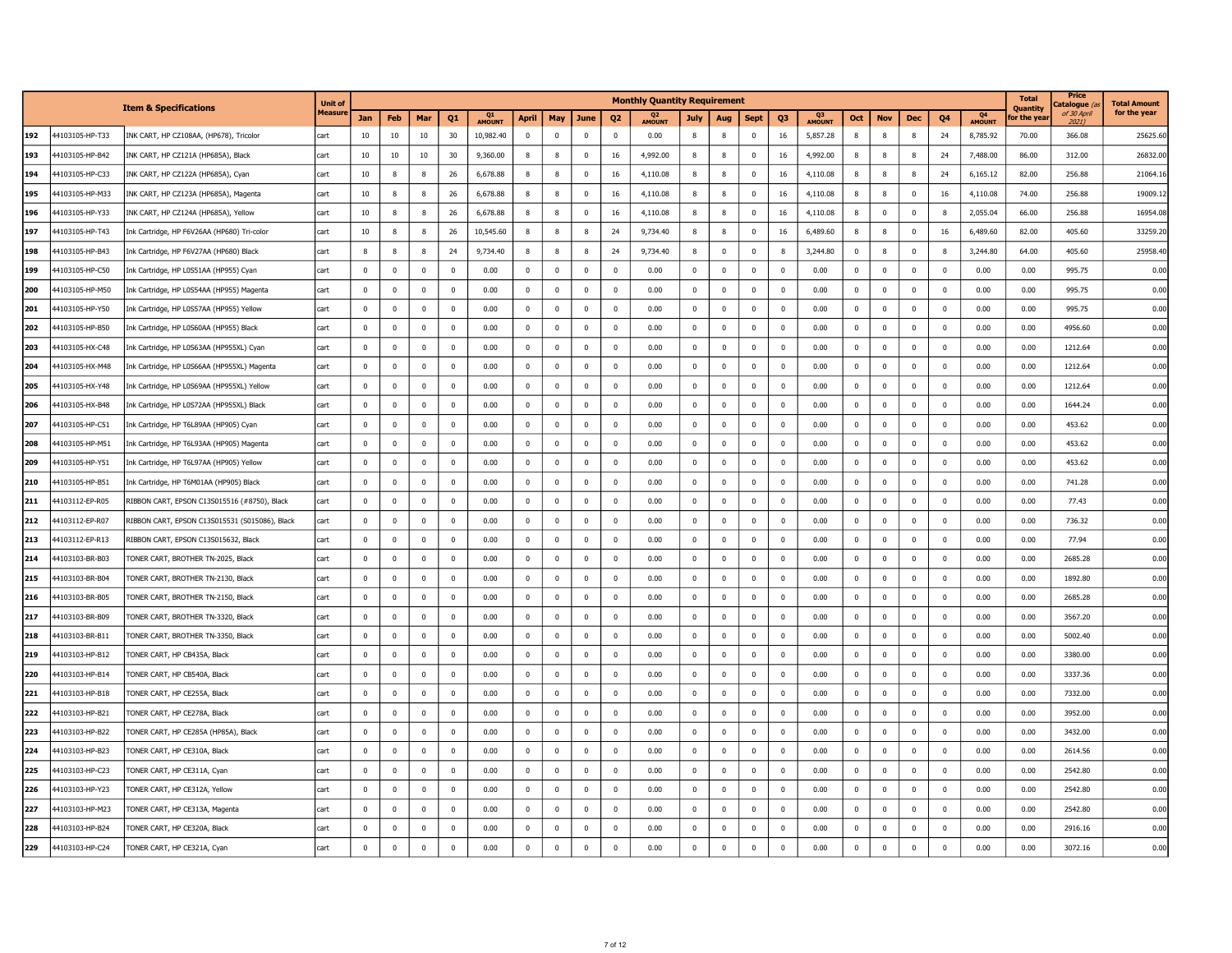|     |                 |                                                | <b>Unit of</b> |              |                         |             |             |                     |              |             |                         |                | <b>Monthly Quantity Requirement</b> |                         |                |                |                |                     |              |                |              |             |                                 | <b>Total</b><br><b>Ouantity</b> | <b>Price</b><br>atalogue | <b>Total Amount</b> |
|-----|-----------------|------------------------------------------------|----------------|--------------|-------------------------|-------------|-------------|---------------------|--------------|-------------|-------------------------|----------------|-------------------------------------|-------------------------|----------------|----------------|----------------|---------------------|--------------|----------------|--------------|-------------|---------------------------------|---------------------------------|--------------------------|---------------------|
|     |                 | <b>Item &amp; Specifications</b>               | <b>Measur</b>  | Jan          | Feb                     | Mar         | Q1          | Q1<br><b>AMOUNT</b> | <b>April</b> | May         | June                    | Q <sub>2</sub> | Q <sub>2</sub><br><b>AMOUNT</b>     | July                    | Aug            | <b>Sept</b>    | Q <sub>3</sub> | Q3<br><b>AMOUNT</b> | Oct          | <b>Nov</b>     | <b>Dec</b>   | Q4          | Q <sub>4</sub><br><b>AMOUNT</b> | or the yea                      | of 30 April<br>20211     | for the year        |
| 192 | 44103105-HP-T33 | INK CART, HP CZ108AA, (HP678), Tricolor        | cart           | 10           | 10                      | 10          | 30          | 10,982.40           | $\Omega$     | $\mathbf 0$ | $\overline{0}$          | $\Omega$       | 0.00                                | 8                       | 8              | $\Omega$       | 16             | 5,857.28            | 8            | 8              | 8            | 24          | 8,785.92                        | 70.00                           | 366.08                   | 25625.60            |
| 193 | 44103105-HP-B42 | INK CART, HP CZ121A (HP685A), Black            | cart           | 10           | 10                      | 10          | 30          | 9,360.00            | 8            | 8           | $\mathbf 0$             | 16             | 4,992.00                            | 8                       | 8              | $\overline{0}$ | 16             | 4,992.00            | 8            | 8              | 8            | 24          | 7,488.00                        | 86.00                           | 312.00                   | 26832.00            |
| 194 | 44103105-HP-C33 | INK CART, HP CZ122A (HP685A), Cyan             | cart           | 10           | 8                       | 8           | 26          | 6,678.88            | 8            | 8           | $\mathbf 0$             | 16             | 4,110.08                            | 8                       | 8              | $\mathbf 0$    | 16             | 4,110.08            | 8            | 8              | 8            | 24          | 6,165.12                        | 82.00                           | 256.88                   | 21064.1             |
| 195 | 44103105-HP-M33 | INK CART, HP CZ123A (HP685A), Magenta          | cart           | 10           | 8                       |             | 26          | 6,678.88            | 8            | 8           | $\overline{0}$          | 16             | 4,110.08                            | 8                       | 8              | $\overline{0}$ | 16             | 4,110.08            | 8            | 8              | 0            | 16          | 4,110.08                        | 74.00                           | 256.88                   | 19009.1             |
| 196 | 44103105-HP-Y33 | INK CART, HP CZ124A (HP685A), Yellow           | cart           | 10           | 8                       |             | 26          | 6,678.88            | $\mathbf{g}$ | 8           | $\overline{0}$          | 16             | 4,110.08                            | 8                       | 8              | $\Omega$       | 16             | 4,110.08            | 8            | $\Omega$       | $\mathbf 0$  | 8           | 2,055.04                        | 66.00                           | 256.88                   | 16954.08            |
| 197 | 44103105-HP-T43 | Ink Cartridge, HP F6V26AA (HP680) Tri-color    | cart           | 10           | -8                      | -8          | 26          | 10,545.60           | 8            | 8           | 8                       | 24             | 9,734.40                            | 8                       | 8              | 0              | 16             | 6,489.60            | $\,$ 8       | -8             | 0            | 16          | 6,489.60                        | 82.00                           | 405.60                   | 33259.20            |
| 198 | 44103105-HP-B43 | Ink Cartridge, HP F6V27AA (HP680) Black        | cart           | 8            | 8                       |             | 24          | 9,734.40            | 8            | 8           | 8                       | 24             | 9,734.40                            | 8                       | $\overline{0}$ | $\overline{0}$ |                | 3,244.80            | $^{\circ}$   |                | 0            | 8           | 3,244.80                        | 64.00                           | 405.60                   | 25958.4             |
| 199 | 44103105-HP-C50 | Ink Cartridge, HP L0S51AA (HP955) Cyan         | cart           | $\mathbf 0$  | $\mathbf 0$             | $\Omega$    | $^{\circ}$  | 0.00                | $\mathbf 0$  | $\mathbf 0$ | $\overline{\mathbf{0}}$ | $\mathbf 0$    | 0.00                                | $\mathbf 0$             | $\mathbf 0$    | $\mathbf 0$    | $\mathbf 0$    | 0.00                | $\mathbf 0$  | $\overline{0}$ | $\mathbf 0$  | $\mathbf 0$ | 0.00                            | 0.00                            | 995.75                   | 0.00                |
| 200 | 44103105-HP-M50 | Ink Cartridge, HP L0S54AA (HP955) Magenta      | cart           | $\bf{0}$     | $\mathbf 0$             | $\mathbf 0$ | $^{\circ}$  | 0.00                | $\mathbf 0$  | $\mathbf 0$ | $\mathbf 0$             | $\mathbf 0$    | 0.00                                | $\pmb{0}$               | $\mathbf 0$    | $\mathbf 0$    | $\mathbf 0$    | 0.00                | $\mathbf 0$  | $^{\circ}$     | 0            | $\mathbf 0$ | 0.00                            | 0.00                            | 995.75                   | 0.00                |
| 201 | 44103105-HP-Y50 | Ink Cartridge, HP L0S57AA (HP955) Yellow       | cart           | $\mathbf 0$  | $\mathbf 0$             | $\mathbf 0$ | $\mathbf 0$ | 0.00                | $\mathbf 0$  | $\mathbf 0$ | $\overline{0}$          | $\mathbf 0$    | 0.00                                | $\mathbf 0$             | $\mathbf 0$    | $\mathbf 0$    | $\mathbf 0$    | 0.00                | $\mathbf 0$  | $\mathbf 0$    | $\mathbf 0$  | $\mathbf 0$ | 0.00                            | 0.00                            | 995.75                   | 0.00                |
| 202 | 44103105-HP-B50 | Ink Cartridge, HP L0S60AA (HP955) Black        | cart           | $\mathbf 0$  | $^{\circ}$              | $\mathbf 0$ | 0           | 0.00                | $\mathbf 0$  | $\mathbf 0$ | $\mathbf 0$             | $\mathbf 0$    | 0.00                                | $\mathbf 0$             | $\mathbf 0$    | $\mathbf 0$    | $\mathbf 0$    | 0.00                | $\mathbf 0$  | $\mathbf 0$    | 0            | $\mathbf 0$ | 0.00                            | 0.00                            | 4956.60                  | 0.00                |
| 203 | 44103105-HX-C48 | Ink Cartridge, HP L0S63AA (HP955XL) Cyan       | cart           | $\mathbf 0$  | $\Omega$                | $\Omega$    | $\mathbf 0$ | 0.00                | $\mathbf 0$  | $\mathbf 0$ | $\overline{0}$          | $\Omega$       | 0.00                                | $\mathbf 0$             | $\mathbf{0}$   | $\Omega$       | $\mathbf 0$    | 0.00                | $\mathbf 0$  | $\Omega$       | $\mathbf 0$  | $\mathbf 0$ | 0.00                            | 0.00                            | 1212.64                  | 0.00                |
| 204 | 44103105-HX-M48 | Ink Cartridge, HP L0S66AA (HP955XL) Magenta    | cart           | $^{\circ}$   | $\Omega$                | $^{\circ}$  | $^{\circ}$  | 0.00                | $\mathbf{0}$ | $^{\circ}$  | $\overline{0}$          | $\mathbf{0}$   | 0.00                                | $\bf{0}$                | $\mathbf 0$    | $\overline{0}$ | $^{\circ}$     | 0.00                | $\mathbf 0$  | $^{\circ}$     | $\mathbf 0$  | $^{\circ}$  | 0.00                            | 0.00                            | 1212.64                  | 0.00                |
| 205 | 44103105-HX-Y48 | Ink Cartridge, HP L0S69AA (HP955XL) Yellow     | cart           | $\mathbf 0$  | $\Omega$                | $\Omega$    | $\Omega$    | 0.00                | $\mathbf 0$  | $\mathbf 0$ | $\overline{0}$          | $\Omega$       | 0.00                                | $\mathbf 0$             | $\mathbf 0$    | $\Omega$       | $\Omega$       | 0.00                | $\mathbf 0$  | $\Omega$       | $\Omega$     | $\mathbf 0$ | 0.00                            | 0.00                            | 1212.64                  | 0.00                |
| 206 | 44103105-HX-B48 | Ink Cartridge, HP L0S72AA (HP955XL) Black      | cart           | $\bf{0}$     | $\mathbf 0$             | $\Omega$    | $^{\circ}$  | 0.00                | $\pmb{0}$    | $\mathbf 0$ | $\mathbf 0$             | $\Omega$       | 0.00                                | $\mathbf 0$             | $\mathbf 0$    | $\Omega$       | $\mathbf 0$    | 0.00                | $\mathbf 0$  | $\Omega$       | $\Omega$     | $\mathbf 0$ | 0.00                            | 0.00                            | 1644.24                  | 0.00                |
| 207 | 44103105-HP-C51 | Ink Cartridge, HP T6L89AA (HP905) Cyan         | cart           | $^{\circ}$   | $\mathbf 0$             | $\mathbf 0$ | $^{\circ}$  | 0.00                | $\mathbf 0$  | $\mathbf 0$ | $\overline{0}$          | $\mathbf 0$    | 0.00                                | $\mathbf 0$             | $\overline{0}$ | $\overline{0}$ | $^{\circ}$     | 0.00                | $\mathbf 0$  | $^{\circ}$     | $\mathbf 0$  | $^{\circ}$  | 0.00                            | 0.00                            | 453.62                   | 0.00                |
| 208 | 44103105-HP-M51 | Ink Cartridge, HP T6L93AA (HP905) Magenta      | cart           | $\mathbf 0$  | $\mathbf 0$             | $\mathbf 0$ | $^{\circ}$  | 0.00                | $\mathbf{0}$ | $^{\circ}$  | $\mathbf 0$             | $\overline{0}$ | 0.00                                | $\mathbf 0$             | $\mathbf 0$    | $\mathbf 0$    | $\pmb{0}$      | 0.00                | $\mathbf{0}$ | $\mathbf 0$    | $\mathbf{0}$ | $^{\circ}$  | 0.00                            | 0.00                            | 453.62                   | 0.00                |
| 209 | 44103105-HP-Y51 | Ink Cartridge, HP T6L97AA (HP905) Yellow       | cart           | $^{\circ}$   | $^{\circ}$              | $\mathbf 0$ | $^{\circ}$  | 0.00                | $\mathbf{0}$ | $\mathbf 0$ | $\overline{0}$          | $\mathbf{0}$   | 0.00                                | $\pmb{0}$               | $\mathbf 0$    | $\overline{0}$ | 0              | 0.00                | $^{\circ}$   | $^{\circ}$     | $\mathbf 0$  | $^{\circ}$  | 0.00                            | 0.00                            | 453.62                   | 0.00                |
| 210 | 44103105-HP-B51 | Ink Cartridge, HP T6M01AA (HP905) Black        | cart           | $\Omega$     | $\Omega$                | $\Omega$    | $^{\circ}$  | 0.00                | $\mathbf 0$  | $\mathbf 0$ | $\overline{\mathbf{0}}$ | $\Omega$       | 0.00                                | $\mathbf 0$             | $\mathbf 0$    | $\Omega$       | $\overline{0}$ | 0.00                | $\mathbf 0$  | $\Omega$       | $^{\circ}$   | $\mathbf 0$ | 0.00                            | 0.00                            | 741.28                   | 0.00                |
| 211 | 44103112-EP-R05 | RIBBON CART, EPSON C13S015516 (#8750), Black   | cart           | $\mathbf 0$  | $\overline{0}$          | $\mathbf 0$ | $^{\circ}$  | 0.00                | $\mathbf 0$  | $\mathbf 0$ | $\overline{0}$          | $\mathbf 0$    | 0.00                                | $\mathbf 0$             | $\mathbf 0$    | $\mathbf 0$    | $\mathbf 0$    | 0.00                | $\mathbf 0$  | $^{\circ}$     | $\mathbf 0$  | $^{\circ}$  | 0.00                            | 0.00                            | 77.43                    | 0.00                |
| 212 | 44103112-EP-R07 | RIBBON CART, EPSON C13S015531 (S015086), Black | cart           | $\mathbf 0$  | $\Omega$                | $\Omega$    | $\Omega$    | 0.00                | $\Omega$     | $\Omega$    | $\Omega$                | $\Omega$       | 0.00                                | $\mathbf 0$             | $\Omega$       | $\Omega$       | $\Omega$       | 0.00                | $\Omega$     | $\Omega$       | $\Omega$     | $\Omega$    | 0.00                            | 0.00                            | 736.32                   | 0.00                |
| 213 | 44103112-EP-R13 | RIBBON CART, EPSON C13S015632, Black           | cart           | $\mathbf 0$  | $\overline{0}$          |             | $\mathbf 0$ | 0.00                | $\mathbf 0$  | $\mathbf 0$ | $\overline{0}$          | $\mathbf 0$    | 0.00                                | $\overline{0}$          | $\mathbf 0$    | $\overline{0}$ | $\overline{0}$ | 0.00                | $\mathbf 0$  | $\Omega$       | $\mathbf 0$  | $^{\circ}$  | 0.00                            | 0.00                            | 77.94                    | 0.00                |
| 214 | 44103103-BR-B03 | TONER CART, BROTHER TN-2025, Black             | cart           | $\mathbf{0}$ | $\overline{0}$          | $\Omega$    | $\Omega$    | 0.00                | $\Omega$     | $\Omega$    | $\overline{0}$          | $\Omega$       | 0.00                                | $\mathbf{0}$            | $\mathbf{0}$   | $\Omega$       | $\Omega$       | 0.00                | $\mathbf 0$  | $\Omega$       | $\Omega$     | $\Omega$    | 0.00                            | 0.00                            | 2685.28                  | 0.00                |
| 215 | 44103103-BR-B04 | TONER CART, BROTHER TN-2130, Black             | cart           | $\bf{0}$     | $\mathbf 0$             | $\Omega$    | $\mathbf 0$ | 0.00                | $\pmb{0}$    | $\mathbf 0$ | $\mathbf 0$             | $\mathbf 0$    | 0.00                                | $\pmb{0}$               | $\mathbf 0$    | $\mathbf 0$    | $\mathbf 0$    | 0.00                | $\pmb{0}$    | $\pmb{0}$      | $\mathbf 0$  | $\mathbf 0$ | 0.00                            | 0.00                            | 1892.80                  | 0.00                |
| 216 | 44103103-BR-B05 | TONER CART, BROTHER TN-2150, Black             | cart           | $^{\circ}$   | $\mathbf 0$             | $^{\circ}$  | $^{\circ}$  | 0.00                | $\mathbf{0}$ | $^{\circ}$  | $\mathbf 0$             | $\mathbf 0$    | 0.00                                | $\mathbf 0$             | $\mathbf 0$    | $\pmb{0}$      | $\mathbf 0$    | 0.00                | $\mathbf 0$  | $^{\circ}$     | 0            | $^{\circ}$  | 0.00                            | 0.00                            | 2685.28                  | 0.00                |
| 217 | 44103103-BR-B09 | TONER CART, BROTHER TN-3320, Black             | cart           | $\mathbf 0$  | $^{\circ}$              | $^{\circ}$  | 0           | 0.00                | $\mathbf 0$  | $\mathbf 0$ | 0                       | 0              | 0.00                                | $\mathbf 0$             | $\mathbf 0$    | $\mathbf 0$    | $\mathbf 0$    | 0.00                | $\mathbf 0$  | $\mathbf 0$    | 0            | $\mathbf 0$ | 0.00                            | 0.00                            | 3567.20                  | 0.00                |
| 218 | 44103103-BR-B11 | TONER CART, BROTHER TN-3350, Black             | cart           | $^{\circ}$   | $\overline{\mathbf{0}}$ | $\Omega$    | $^{\circ}$  | 0.00                | $\mathbf{0}$ | $^{\circ}$  | $\overline{\mathbf{0}}$ | $\mathbf 0$    | 0.00                                | $\mathbf 0$             | $\mathbf 0$    | $\overline{0}$ | $\mathbf 0$    | 0.00                | $\mathbf 0$  | $^{\circ}$     | 0            | $^{\circ}$  | 0.00                            | 0.00                            | 5002.40                  | 0.00                |
| 219 | 44103103-HP-B12 | TONER CART, HP CB435A, Black                   | cart           | $^{\circ}$   | $^{\circ}$              | $^{\circ}$  | $^{\circ}$  | 0.00                | $\mathbf 0$  | $^{\circ}$  | $\overline{\mathbf{0}}$ | $\mathbf 0$    | 0.00                                | $\mathbf 0$             | $\overline{0}$ | $\overline{0}$ | $\mathbf 0$    | 0.00                | $\mathbf{0}$ | $^{\circ}$     | $\mathbf 0$  | $^{\circ}$  | 0.00                            | 0.00                            | 3380.00                  | 0.00                |
| 220 | 44103103-HP-B14 | TONER CART, HP CB540A, Black                   | cart           | $^{\circ}$   | $\mathbf 0$             | $\Omega$    | $\Omega$    | 0.00                | $\mathbf{0}$ | $\mathbf 0$ | $\overline{0}$          | $\mathbf 0$    | 0.00                                | $\mathbf 0$             | $\mathbf 0$    | $\overline{0}$ | $\mathbf 0$    | 0.00                | $\mathbf 0$  | $^{\circ}$     | $\mathbf 0$  | $^{\circ}$  | 0.00                            | 0.00                            | 3337.36                  | 0.00                |
| 221 | 44103103-HP-B18 | TONER CART, HP CE255A, Black                   | cart           | $^{\circ}$   | $\mathbf 0$             | $\Omega$    | $^{\circ}$  | 0.00                | $\mathbf 0$  | $^{\circ}$  | $\overline{\mathbf{0}}$ | $\mathbf 0$    | 0.00                                | $\mathbf 0$             | $\overline{0}$ | $\overline{0}$ | $\overline{0}$ | 0.00                | $\mathbf 0$  | $\Omega$       | $\Omega$     | $^{\circ}$  | 0.00                            | 0.00                            | 7332.00                  | 0.00                |
| 222 | 44103103-HP-B21 | TONER CART, HP CE278A, Black                   | cart           | $\Omega$     | $\mathbf{0}$            | $\Omega$    | $\Omega$    | 0.00                | $\mathbf 0$  | $\mathbf 0$ | $\overline{0}$          | $\Omega$       | 0.00                                | $\mathbf 0$             | $\mathbf 0$    | $\Omega$       | $\mathbf 0$    | 0.00                | $\mathbf 0$  | $\Omega$       | $\Omega$     | $\Omega$    | 0.00                            | 0.00                            | 3952.00                  | 0.00                |
| 223 | 44103103-HP-B22 | TONER CART, HP CE285A (HP85A), Black           | cart           | $\mathbf 0$  | $\mathbf 0$             | $\Omega$    | $\Omega$    | 0.00                | $\pmb{0}$    | $\mathbf 0$ | $\overline{0}$          | $\mathbf 0$    | 0.00                                | $\mathbf 0$             | $\mathbf 0$    | $\pmb{0}$      | $\pmb{0}$      | 0.00                | $\mathbf 0$  | $\Omega$       | $\Omega$     | $\Omega$    | 0.00                            | 0.00                            | 3432.00                  | 0.00                |
| 224 | 44103103-HP-B23 | TONER CART, HP CE310A, Black                   | cart           | $\bf{0}$     | $\overline{0}$          | $\mathbf 0$ | $^{\circ}$  | 0.00                | $\mathbf 0$  | $\mathbf 0$ | $\mathbf 0$             | $\mathbf 0$    | 0.00                                | $\overline{0}$          | $\mathbf 0$    | $\overline{0}$ | $\mathbf 0$    | 0.00                | $\pmb{0}$    | $^{\circ}$     | 0            | $^{\circ}$  | 0.00                            | 0.00                            | 2614.56                  | 0.00                |
| 225 | 44103103-HP-C23 | TONER CART, HP CE311A, Cyan                    | cart           | $\Omega$     | $\Omega$                | $\Omega$    | $\Omega$    | 0.00                | $\Omega$     | $\mathbf 0$ | $\mathbf 0$             | $\Omega$       | 0.00                                | $\mathbf 0$             | $\mathbf 0$    | $\Omega$       | $\mathbf 0$    | 0.00                | $\mathbf 0$  | $\Omega$       | $\Omega$     | $\Omega$    | 0.00                            | 0.00                            | 2542.80                  | 0.00                |
| 226 | 44103103-HP-Y23 | TONER CART, HP CE312A, Yellow                  | cart           | $\mathbf 0$  | $^{\circ}$              | $\mathbf 0$ | 0           | 0.00                | $\mathbf 0$  | $\mathbf 0$ | 0                       | 0              | 0.00                                | $\bf{0}$                | $\mathbf 0$    | $\mathbf 0$    | 0              | 0.00                | $\mathbf 0$  | $\mathbf 0$    | 0            | $\mathbf 0$ | 0.00                            | 0.00                            | 2542.80                  | 0.00                |
| 227 | 44103103-HP-M23 | TONER CART, HP CE313A, Magenta                 | cart           | $^{\circ}$   | $\mathbf 0$             | $\mathbf 0$ | $^{\circ}$  | 0.00                | $\mathbf{0}$ | $\mathbf 0$ | $\overline{0}$          | $\mathbf 0$    | 0.00                                | $\mathbf 0$             | $\mathbf 0$    | $\overline{0}$ | $\mathbf 0$    | 0.00                | $\mathbf 0$  | $\mathbf 0$    | $\mathbf 0$  | $^{\circ}$  | 0.00                            | 0.00                            | 2542.80                  | 0.00                |
| 228 | 44103103-HP-B24 | TONER CART, HP CE320A, Black                   | cart           | $\mathbf 0$  | 0                       |             | 0           | 0.00                | $\mathbf 0$  | $\mathbf 0$ | 0                       | $\mathbf 0$    | 0.00                                | $\overline{\mathbf{0}}$ | 0              | $\overline{0}$ | 0              | 0.00                | $\mathbf 0$  | $^{\circ}$     | 0            | 0           | 0.00                            | 0.00                            | 2916.16                  | 0.00                |
| 229 | 44103103-HP-C24 | TONER CART, HP CE321A, Cyan                    | cart           | $\Omega$     | $\Omega$                | $\Omega$    | $\mathbf 0$ | 0.00                | $\mathbf 0$  | $\mathbf 0$ | $\overline{0}$          | $\Omega$       | 0.00                                | $\overline{0}$          | $\overline{0}$ | $\Omega$       | $\mathbf 0$    | 0.00                | $\mathbf 0$  | $\Omega$       | $\mathbf 0$  | $\mathbf 0$ | 0.00                            | 0.00                            | 3072.16                  | 0.00                |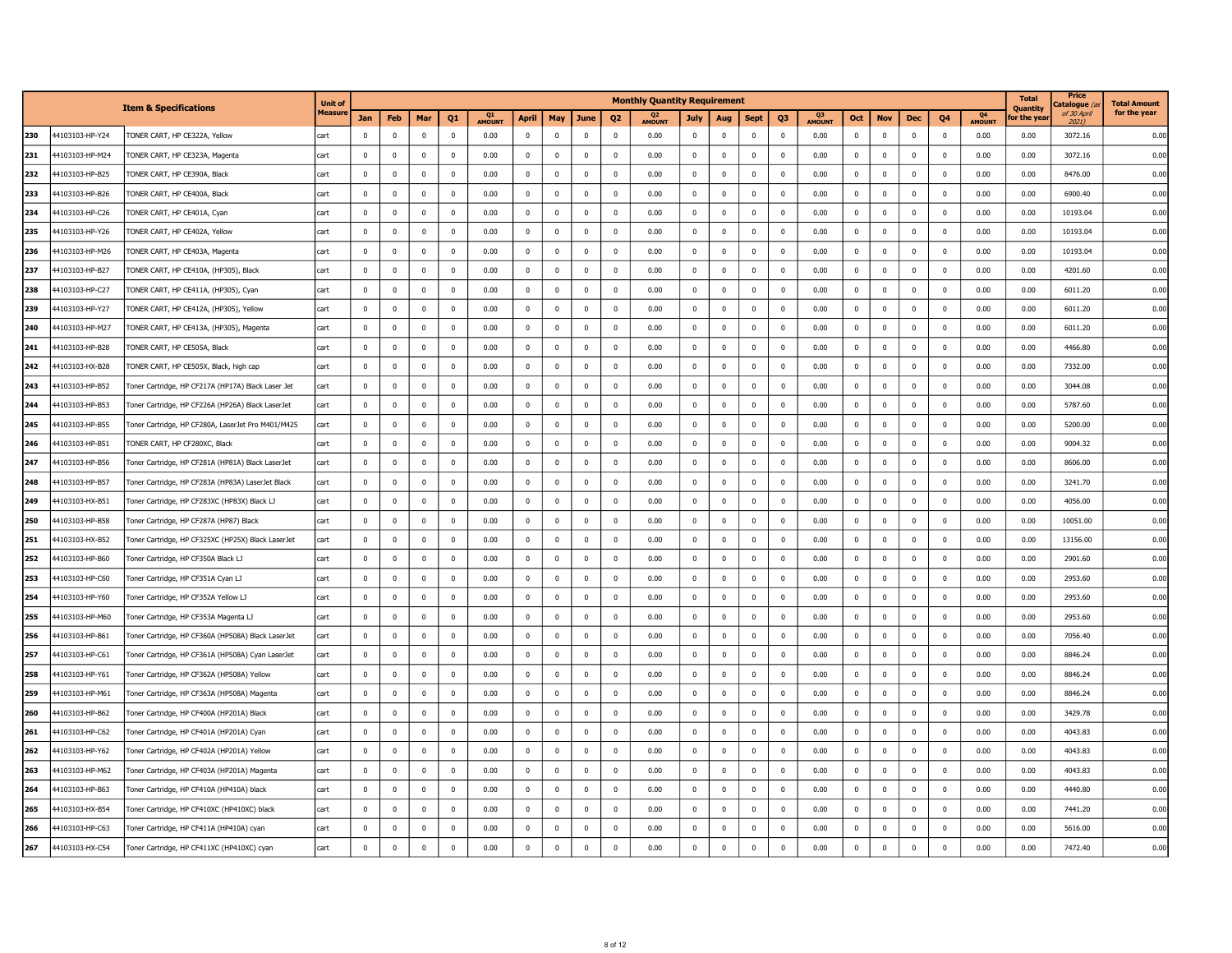|     |                 | <b>Item &amp; Specifications</b>                   | Unit of       |              |             |                         |                |              |                |             |                         |                | <b>Monthly Quantity Requirement</b> |              |                |                |              |              |              |                |                |                |                          | <b>Total</b><br><b>Quantity</b> | Price<br>atalogue <i>(</i> | <b>Total Amount</b> |
|-----|-----------------|----------------------------------------------------|---------------|--------------|-------------|-------------------------|----------------|--------------|----------------|-------------|-------------------------|----------------|-------------------------------------|--------------|----------------|----------------|--------------|--------------|--------------|----------------|----------------|----------------|--------------------------|---------------------------------|----------------------------|---------------------|
|     |                 |                                                    | <b>Measur</b> | Jan          | Feb         | Mar                     | Q <sub>1</sub> | Q1<br>AMOUNT | April          | May         | June                    | Q <sub>2</sub> | Q <sub>2</sub><br>AMOUNT            | July         | Aug            | <b>Sept</b>    | Q3           | Q3<br>AMOUNT | Oct          | <b>Nov</b>     | Dec            | Q <sub>4</sub> | Q <sub>4</sub><br>AMOUNT | or the yea                      | of 30 April<br>2021        | for the year        |
| 230 | 44103103-HP-Y24 | TONER CART, HP CE322A, Yellow                      | cart          | $\mathbf 0$  | $\mathbf 0$ | $\mathbf{0}$            | $^{\circ}$     | 0.00         | 0              | $\mathbf 0$ | $\mathbf 0$             | $\mathbf 0$    | 0.00                                | $\mathbf 0$  | $\mathbf 0$    | $\mathbf 0$    | $\mathbf 0$  | 0.00         | $\bf{0}$     | $\mathbf 0$    | $\overline{0}$ | $\mathbf{0}$   | 0.00                     | 0.00                            | 3072.16                    | 0.00                |
| 231 | 44103103-HP-M24 | TONER CART, HP CE323A, Magenta                     | cart          | $^{\circ}$   | $\mathbf 0$ | $\mathbf{0}$            | $^{\circ}$     | 0.00         | $^{\circ}$     | $\mathbf 0$ | $\mathbf 0$             | $^{\circ}$     | 0.00                                | $\mathbf 0$  | $\overline{0}$ | $\mathbf 0$    | $\mathbf 0$  | 0.00         | $^{\circ}$   | $^{\circ}$     | $\mathbf{0}$   | $^{\circ}$     | 0.00                     | 0.00                            | 3072.16                    | 0.00                |
| 232 | 44103103-HP-B25 | TONER CART, HP CE390A, Black                       | cart          | 0            | 0           | $\mathbf 0$             | 0              | 0.00         | $\mathbf 0$    | $\mathbf 0$ | $\mathbf 0$             | $\mathbf 0$    | 0.00                                | 0            | $\mathbf 0$    | $\mathbf 0$    | 0            | 0.00         | $\mathbf 0$  | $\mathbf 0$    | 0              | 0              | 0.00                     | 0.00                            | 8476.00                    | 0.00                |
| 233 | 44103103-HP-B26 | TONER CART, HP CE400A, Black                       | cart          | $^{\circ}$   | $\mathbf 0$ | $\Omega$                | $^{\circ}$     | 0.00         | $^{\circ}$     | $\mathbf 0$ | $\mathbf 0$             | $\overline{0}$ | 0.00                                | $\mathbf 0$  | $\overline{0}$ | $\overline{0}$ | $\mathbf 0$  | 0.00         | $\mathbf 0$  | $\mathbf 0$    | $^{\circ}$     | $\mathbf{0}$   | 0.00                     | 0.00                            | 6900.40                    | 0.00                |
| 234 | 44103103-HP-C26 | TONER CART, HP CE401A, Cyan                        | cart          | 0            | $\mathbf 0$ | $\mathbf{0}$            | $^{\circ}$     | 0.00         | $\mathbf 0$    | $\mathbf 0$ | $\mathbf 0$             | $\overline{0}$ | 0.00                                | 0            | $\overline{0}$ | $\mathbf 0$    | 0            | 0.00         | $\mathbf 0$  | $^{\circ}$     | 0              | $\mathbf 0$    | 0.00                     | 0.00                            | 10193.04                   | 0.00                |
| 235 | 44103103-HP-Y26 | TONER CART, HP CE402A, Yellow                      | cart          | $^{\circ}$   | $\mathbf 0$ | $\Omega$                | $\Omega$       | 0.00         | $^{\circ}$     | $\mathbf 0$ | $\mathbf 0$             | $\Omega$       | 0.00                                | $^{\circ}$   | $\mathbf 0$    | $\overline{0}$ | $^{\circ}$   | 0.00         | $^{\circ}$   | $^{\circ}$     | $^{\circ}$     | $^{\circ}$     | 0.00                     | 0.00                            | 10193.04                   | 0.00                |
| 236 | 44103103-HP-M26 | TONER CART, HP CE403A, Magenta                     | cart          | $^{\circ}$   | $\mathbf 0$ | $\Omega$                | $\mathbf 0$    | 0.00         | $\mathbf 0$    | $\mathbf 0$ | $\mathbf 0$             | $\overline{0}$ | 0.00                                | $\mathbf 0$  | $\mathbf 0$    | $\overline{0}$ | $^{\circ}$   | 0.00         | $\mathbf 0$  | $\mathbf 0$    | $\mathbf 0$    | $^{\circ}$     | 0.00                     | 0.00                            | 10193.04                   | 0.00                |
| 237 | 44103103-HP-B27 | TONER CART, HP CE410A, (HP305), Black              | cart          | $\mathbf 0$  | $\mathbf 0$ | $\mathbf 0$             | $^{\circ}$     | 0.00         | $\mathbf 0$    | $\mathbf 0$ | $\mathbf 0$             | $\mathbf 0$    | 0.00                                | $\mathbf 0$  | $\mathbf 0$    | $\mathbf 0$    | $\mathbf 0$  | 0.00         | $\mathbf 0$  | $\mathbf 0$    | $^{\circ}$     | $^{\circ}$     | 0.00                     | 0.00                            | 4201.60                    | 0.00                |
| 238 | 44103103-HP-C27 | TONER CART, HP CE411A, (HP305), Cyan               | cart          | $\mathbf{0}$ | $\mathbf 0$ | $\mathbf 0$             | $^{\circ}$     | 0.00         | $^{\circ}$     | $\mathbf 0$ | $\mathbf 0$             | $\overline{0}$ | 0.00                                | $\mathbf 0$  | $\overline{0}$ | $\mathbf 0$    | $\mathbf 0$  | 0.00         | $\mathbf{0}$ | $\mathbf 0$    | $\mathbf{0}$   | $^{\circ}$     | 0.00                     | 0.00                            | 6011.20                    | 0.00                |
| 239 | 44103103-HP-Y27 | TONER CART, HP CE412A, (HP305), Yellow             | cart          | $^{\circ}$   | $\mathbf 0$ | $^{\circ}$              | $^{\circ}$     | 0.00         | $\mathbf 0$    | $\mathbf 0$ | $\mathbf 0$             | $\overline{0}$ | 0.00                                | $\mathbf 0$  | $\mathbf 0$    | $\overline{0}$ | $\mathbf 0$  | 0.00         | $\mathbf 0$  | $\mathbf 0$    | $^{\circ}$     | $^{\circ}$     | 0.00                     | 0.00                            | 6011.20                    | 0.00                |
| 240 | 44103103-HP-M27 | TONER CART, HP CE413A, (HP305), Magenta            | cart          | $\mathbf 0$  | $\mathbf 0$ | $\Omega$                | $^{\circ}$     | 0.00         | $^{\circ}$     | $\mathbf 0$ | $\mathbf 0$             | $\Omega$       | 0.00                                | $\mathbf 0$  | $\overline{0}$ | $\overline{0}$ | $\mathbf 0$  | 0.00         | $\mathbf 0$  | $^{\circ}$     | $^{\circ}$     | $\mathbf{0}$   | 0.00                     | 0.00                            | 6011.20                    | 0.00                |
| 241 | 44103103-HP-B28 | TONER CART, HP CE505A, Black                       | cart          | $^{\circ}$   | $\mathbf 0$ | $^{\circ}$              | $^{\circ}$     | 0.00         | $\mathbf 0$    | $\mathbf 0$ | $\mathbf 0$             | $\mathbf 0$    | 0.00                                | $\mathbf 0$  | $\mathbf 0$    | $\overline{0}$ | $\mathbf 0$  | 0.00         | $\mathbf 0$  | $^{\circ}$     | $^{\circ}$     | $^{\circ}$     | 0.00                     | 0.00                            | 4466.80                    | 0.00                |
| 242 | 44103103-HX-B28 | TONER CART, HP CE505X, Black, high cap             | cart          | $^{\circ}$   | $\mathbf 0$ | $\Omega$                | $\Omega$       | 0.00         | $^{\circ}$     | $\mathbf 0$ | $\mathbf 0$             | $\overline{0}$ | 0.00                                | $\mathbf 0$  | $\overline{0}$ | $^{\circ}$     | $^{\circ}$   | 0.00         | $\mathbf{0}$ | $^{\circ}$     | $^{\circ}$     | $\mathbf{0}$   | 0.00                     | 0.00                            | 7332.00                    | 0.00                |
| 243 | 44103103-HP-B52 | Toner Cartridge, HP CF217A (HP17A) Black Laser Jet | cart          | $^{\circ}$   | $\mathbf 0$ | $\mathbf 0$             | $\mathbf 0$    | 0.00         | $\mathbf{0}$   | $\mathbf 0$ | $\overline{0}$          |                | 0.00                                | $\mathbf 0$  | $\mathbf 0$    | $\overline{0}$ | $\mathbf 0$  | 0.00         | $\mathbf 0$  | $\mathbf{0}$   |                | $^{\circ}$     | 0.00                     | 0.00                            | 3044.08                    | 0.00                |
| 244 | 44103103-HP-B53 | Toner Cartridge, HP CF226A (HP26A) Black LaserJet  | cart          | $\mathbf 0$  | $\mathbf 0$ | $\Omega$                | $\Omega$       | 0.00         | $^{\circ}$     | $\mathbf 0$ | $\mathbf 0$             | $\Omega$       | 0.00                                | $\mathbf 0$  | $\mathbf 0$    | $\mathbf 0$    | $\mathbf 0$  | 0.00         | $\mathbf 0$  | $\Omega$       | $\Omega$       | $\Omega$       | 0.00                     | 0.00                            | 5787.60                    | 0.00                |
| 245 | 44103103-HP-B55 | Toner Cartridge, HP CF280A, LaserJet Pro M401/M425 | cart          | $\mathbf 0$  | $\mathbf 0$ | $\mathbf 0$             | $\mathbf 0$    | 0.00         | $\mathbf 0$    | $\mathbf 0$ | $\mathbf 0$             | $\overline{0}$ | 0.00                                | $\mathbf 0$  | $\mathbf 0$    | $\mathbf 0$    | $\mathbf 0$  | 0.00         | $\mathbf{0}$ | $\mathbf 0$    | $\mathbf 0$    | $\mathbf 0$    | 0.00                     | 0.00                            | 5200.00                    | 0.00                |
| 246 | 44103103-HP-B51 | TONER CART, HP CF280XC, Black                      | cart          | $\Omega$     | $\mathbf 0$ | $\Omega$                | $\Omega$       | 0.00         | $\mathbf 0$    | $\mathbf 0$ | $\mathbf 0$             | $\mathbf 0$    | 0.00                                | $\mathbf 0$  | $\mathbf 0$    | $\mathbf 0$    | $\mathbf 0$  | 0.00         | $\mathbf{0}$ | $\mathbf 0$    | $\mathbf{0}$   | $\mathbf 0$    | 0.00                     | 0.00                            | 9004.32                    | 0.00                |
| 247 | 44103103-HP-B56 | Toner Cartridge, HP CF281A (HP81A) Black LaserJet  | cart          | $\mathbf 0$  | $\mathbf 0$ | $^{\circ}$              | $^{\circ}$     | 0.00         | $\mathbf 0$    | $\mathbf 0$ | $\mathbf 0$             | $\overline{0}$ | 0.00                                | $\mathbf 0$  | $\mathbf 0$    | $\overline{0}$ | $\mathbf 0$  | 0.00         | $\mathbf 0$  | $\mathbf 0$    | $^{\circ}$     | $^{\circ}$     | 0.00                     | 0.00                            | 8606.00                    | 0.00                |
| 248 | 44103103-HP-B57 | Toner Cartridge, HP CF283A (HP83A) LaserJet Black  | cart          | $\Omega$     | $\Omega$    | $\Omega$                | $\Omega$       | 0.00         | $\mathbf 0$    | $\mathbf 0$ | $\mathbf 0$             | $\Omega$       | 0.00                                | $\mathbf 0$  | $\overline{0}$ | $\Omega$       | $\mathbf 0$  | 0.00         | $\mathbf 0$  | $\Omega$       | $\Omega$       | $\Omega$       | 0.00                     | 0.00                            | 3241.70                    | 0.00                |
| 249 | 44103103-HX-B51 | Toner Cartridge, HP CF283XC (HP83X) Black LJ       | cart          | $\mathbf 0$  | $\mathbf 0$ | $\mathbf 0$             | $^{\circ}$     | 0.00         | $\mathbf 0$    | $\mathbf 0$ | $\mathbf 0$             | $\overline{0}$ | 0.00                                | $\mathbf 0$  | $\overline{0}$ | $\mathbf 0$    | $\mathbf 0$  | 0.00         | $\mathbf 0$  | $\mathbf 0$    | $\mathbf 0$    | $\mathbf 0$    | 0.00                     | 0.00                            | 4056.00                    | 0.00                |
| 250 | 44103103-HP-B58 | Toner Cartridge, HP CF287A (HP87) Black            | cart          | $\Omega$     | $\mathbf 0$ | $\Omega$                | $\Omega$       | 0.00         | $\Omega$       | $\Omega$    | $\mathbf{0}$            | $\Omega$       | 0.00                                | $\mathbf{0}$ | $\Omega$       | $\Omega$       | $\Omega$     | 0.00         | $\Omega$     | $\Omega$       | $\Omega$       | $\Omega$       | 0.00                     | 0.00                            | 10051.00                   | 0.00                |
| 251 | 44103103-HX-B52 | Toner Cartridge, HP CF325XC (HP25X) Black LaserJet | cart          | $\mathbf 0$  | $\mathbf 0$ | $\mathbf 0$             | $^{\circ}$     | 0.00         | $\mathbf 0$    | $\mathbf 0$ | $\overline{0}$          | $\overline{0}$ | 0.00                                | $\mathbf 0$  | $\mathbf 0$    | $\mathbf 0$    | $\mathbf 0$  | 0.00         | $\pmb{0}$    | $\overline{0}$ | $\mathbf 0$    | $\mathbf 0$    | 0.00                     | 0.00                            | 13156.00                   | 0.00                |
| 252 | 44103103-HP-B60 | Toner Cartridge, HP CF350A Black LJ                | cart          | $\mathbf 0$  | $\Omega$    | $\Omega$                | $\Omega$       | 0.00         | $\Omega$       | $\mathbf 0$ | $\mathbf 0$             | $\Omega$       | 0.00                                | $\mathbf 0$  | $\Omega$       | $\Omega$       | $\mathbf 0$  | 0.00         | $\mathbf 0$  | $\Omega$       | $\Omega$       | $\Omega$       | 0.00                     | 0.00                            | 2901.60                    | 0.00                |
| 253 | 44103103-HP-C60 | Toner Cartridge, HP CF351A Cyan LJ                 | cart          | $\mathbf 0$  | $\mathbf 0$ | $\mathbf 0$             | 0              | 0.00         | 0              | $\mathbf 0$ | $\mathbf 0$             | $\mathbf 0$    | 0.00                                | $\mathbf 0$  | $\mathbf 0$    | $\mathbf 0$    | $\mathbf 0$  | 0.00         | $\mathbf 0$  | $\mathbf 0$    | $\bf{0}$       | 0              | 0.00                     | 0.00                            | 2953.60                    | 0.00                |
| 254 | 44103103-HP-Y60 | Toner Cartridge, HP CF352A Yellow LJ               | cart          | $\mathbf 0$  | $\mathbf 0$ | $\mathbf 0$             | $^{\circ}$     | 0.00         | $^{\circ}$     | $\mathbf 0$ | $\mathbf 0$             | $\mathbf 0$    | 0.00                                | $\mathbf 0$  | $\overline{0}$ | $\mathbf 0$    | $\mathbf 0$  | 0.00         | $\mathbf{0}$ | $^{\circ}$     | $\mathbf{0}$   | $^{\circ}$     | 0.00                     | 0.00                            | 2953.60                    | 0.00                |
| 255 | 44103103-HP-M60 | Toner Cartridge, HP CF353A Magenta LJ              | cart          | $\mathbf 0$  | 0           | $\mathbf{0}$            | 0              | 0.00         | $\mathbf 0$    | $\mathbf 0$ | $\overline{\mathbf{0}}$ | $\mathbf 0$    | 0.00                                | $\mathbf 0$  | $\mathbf 0$    | $\mathbf 0$    | $\mathbf 0$  | 0.00         | $\mathbf 0$  | $\mathbf 0$    | 0              | 0              | 0.00                     | 0.00                            | 2953.60                    | 0.00                |
| 256 | 44103103-HP-B61 | Toner Cartridge, HP CF360A (HP508A) Black LaserJet | cart          | $^{\circ}$   | $\mathbf 0$ | $\overline{\mathbf{0}}$ | $^{\circ}$     | 0.00         | $^{\circ}$     | $\mathbf 0$ | $\mathbf 0$             | $\mathbf 0$    | 0.00                                | $^{\circ}$   | $\overline{0}$ | $\overline{0}$ | $\mathbf 0$  | 0.00         | $\mathbf 0$  | $\mathbf 0$    | $^{\circ}$     | $\mathbf{0}$   | 0.00                     | 0.00                            | 7056.40                    | 0.00                |
| 257 | 44103103-HP-C61 | Toner Cartridge, HP CF361A (HP508A) Cyan LaserJet  | cart          | 0            | $\mathbf 0$ | $\mathbf{0}$            | $^{\circ}$     | 0.00         | $\mathbf 0$    | $\mathbf 0$ | $\mathbf 0$             | $\overline{0}$ | 0.00                                | $\mathbf 0$  | $\mathbf 0$    | $\mathbf 0$    | $\mathbf 0$  | 0.00         | $\mathbf 0$  | $^{\circ}$     | 0              | 0              | 0.00                     | 0.00                            | 8846.24                    | 0.00                |
| 258 | 44103103-HP-Y61 | Toner Cartridge, HP CF362A (HP508A) Yellow         | cart          | $^{\circ}$   | $\mathbf 0$ | $^{\circ}$              | $^{\circ}$     | 0.00         | $^{\circ}$     | $\mathbf 0$ | $\mathbf 0$             | $^{\circ}$     | 0.00                                | $^{\circ}$   | $\mathbf 0$    | $\overline{0}$ | $\mathbf 0$  | 0.00         | $^{\circ}$   | $^{\circ}$     | $^{\circ}$     | $^{\circ}$     | 0.00                     | 0.00                            | 8846.24                    | 0.00                |
| 259 | 44103103-HP-M61 | Toner Cartridge, HP CF363A (HP508A) Magenta        | cart          | $^{\circ}$   | $\mathbf 0$ | $\mathbf 0$             | $\mathbf 0$    | 0.00         | $\mathbf 0$    | $\mathbf 0$ | $\overline{\mathbf{0}}$ | $\overline{0}$ | 0.00                                | 0            | $\mathbf 0$    | $\overline{0}$ | $\mathbf 0$  | 0.00         | $\mathbf 0$  | $\mathbf 0$    | $\mathbf 0$    | $^{\circ}$     | 0.00                     | 0.00                            | 8846.24                    | 0.00                |
| 260 | 44103103-HP-B62 | Toner Cartridge, HP CF400A (HP201A) Black          | cart          | $\mathbf 0$  | $\mathbf 0$ | $\Omega$                | $\Omega$       | 0.00         | $^{\circ}$     | $\mathbf 0$ | $\mathbf 0$             | $\mathbf 0$    | 0.00                                | $\mathbf 0$  | $\mathbf 0$    | $\mathbf 0$    | $\mathbf 0$  | 0.00         | $\mathbf 0$  | $\mathbf 0$    | $^{\circ}$     | $^{\circ}$     | 0.00                     | 0.00                            | 3429.78                    | 0.00                |
| 261 | 44103103-HP-C62 | Toner Cartridge, HP CF401A (HP201A) Cyan           | cart          | $^{\circ}$   | $\mathbf 0$ | $\mathbf{0}$            | $^{\circ}$     | 0.00         | 0              | $\mathbf 0$ | $\mathbf 0$             | $\mathbf 0$    | 0.00                                | $\mathbf 0$  | $\mathbf 0$    | $\mathbf 0$    | $\mathbf 0$  | 0.00         | $\pmb{0}$    | $^{\circ}$     | $^{\circ}$     | $^{\circ}$     | 0.00                     | 0.00                            | 4043.83                    | 0.00                |
| 262 | 44103103-HP-Y62 | Toner Cartridge, HP CF402A (HP201A) Yellow         | cart          | $^{\circ}$   | $\mathbf 0$ | $^{\circ}$              | $^{\circ}$     | 0.00         | $\mathbf 0$    | $\mathbf 0$ | $\mathbf 0$             | $^{\circ}$     | 0.00                                | $\mathbf 0$  | $\mathbf 0$    | $\overline{0}$ | $\mathbf 0$  | 0.00         | $^{\circ}$   | $\mathbf 0$    | $^{\circ}$     | $^{\circ}$     | 0.00                     | 0.00                            | 4043.83                    | 0.00                |
| 263 | 44103103-HP-M62 | Toner Cartridge, HP CF403A (HP201A) Magenta        | cart          | $^{\circ}$   | $\mathbf 0$ | $\Omega$                | $^{\circ}$     | 0.00         | $\mathbf 0$    | $\mathbf 0$ | $\mathbf 0$             | $\overline{0}$ | 0.00                                | $\mathbf 0$  | $\overline{0}$ | $\overline{0}$ | $\mathbf 0$  | 0.00         | $\mathbf 0$  | $\mathbf 0$    | $^{\circ}$     | $\mathbf{0}$   | 0.00                     | 0.00                            | 4043.83                    | 0.00                |
| 264 | 44103103-HP-B63 | Toner Cartridge, HP CF410A (HP410A) black          | cart          | $^{\circ}$   | $\mathbf 0$ | $^{\circ}$              | $^{\circ}$     | 0.00         | $\mathbf 0$    | $\mathbf 0$ | $\mathbf 0$             | $\overline{0}$ | 0.00                                | $\mathbf 0$  | $\mathbf 0$    | $\overline{0}$ | $\mathbf 0$  | 0.00         | $\mathbf 0$  | $\mathbf 0$    | $^{\circ}$     | $^{\circ}$     | 0.00                     | 0.00                            | 4440.80                    | 0.00                |
| 265 | 44103103-HX-B54 | Toner Cartridge, HP CF410XC (HP410XC) black        | cart          | $^{\circ}$   | $^{\circ}$  | $\Omega$                | $\Omega$       | 0.00         | $\overline{0}$ | $\mathbf 0$ | $\mathbf 0$             | $\mathbf 0$    | 0.00                                | $\mathbf 0$  | $\overline{0}$ | $^{\circ}$     | $^{\circ}$   | 0.00         | $^{\circ}$   | $\Omega$       | $\Omega$       | $^{\circ}$     | 0.00                     | 0.00                            | 7441.20                    | 0.00                |
| 266 | 44103103-HP-C63 | Toner Cartridge, HP CF411A (HP410A) cyan           | cart          | $^{\circ}$   | $\mathbf 0$ |                         | $\mathbf 0$    | 0.00         | $\mathbf{0}$   | $\mathbf 0$ | $\mathbf 0$             |                | 0.00                                | $^{\circ}$   | $\overline{0}$ |                | $^{\circ}$   | 0.00         | $\mathbf 0$  | $\mathbf{0}$   |                | $^{\circ}$     | 0.00                     | 0.00                            | 5616.00                    | 0.00                |
| 267 | 44103103-HX-C54 | Toner Cartridge, HP CF411XC (HP410XC) cyan         | cart          | $\mathbf 0$  | $\Omega$    | $\Omega$                | $\mathbf 0$    | 0.00         | $\mathbf 0$    | $\mathbf 0$ | $\overline{0}$          | $\overline{0}$ | 0.00                                | $\mathbf 0$  | $\mathbf 0$    | $\Omega$       | $\mathbf{0}$ | 0.00         | $\mathbf 0$  | $\Omega$       | $\mathbf 0$    | $\mathbf 0$    | 0.00                     | 0.00                            | 7472.40                    | 0.00                |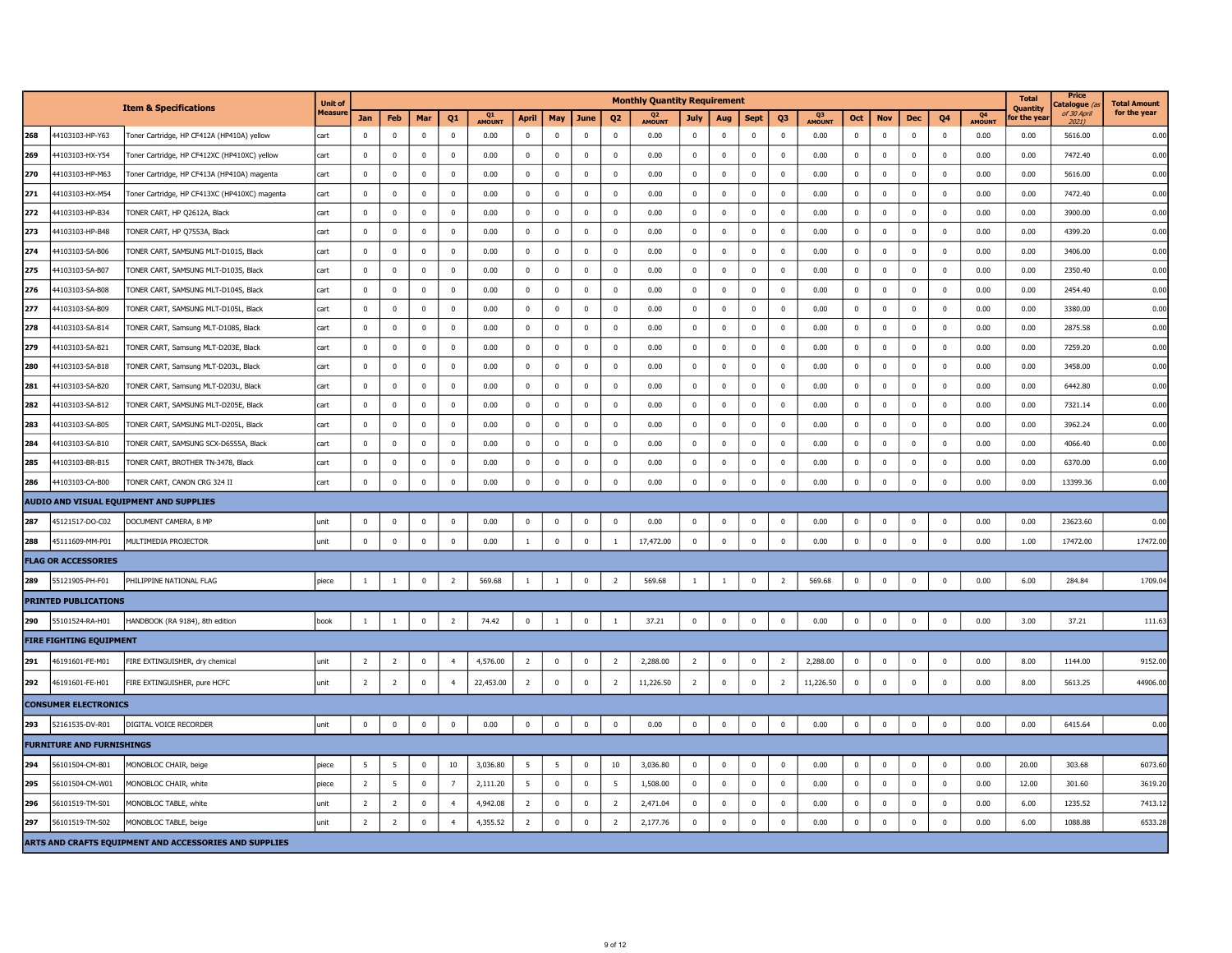|     |                                  | <b>Item &amp; Specifications</b>                       | <b>Unit of</b> |                |                |                |                |              |                |              |                         |                | <b>Monthly Quantity Requirement</b> |                |                         |             |                |              |             |              |                |              |              | <b>Total</b><br>Quantity | Price<br>atalogue <sub>(</sub> | <b>Total Amount</b> |
|-----|----------------------------------|--------------------------------------------------------|----------------|----------------|----------------|----------------|----------------|--------------|----------------|--------------|-------------------------|----------------|-------------------------------------|----------------|-------------------------|-------------|----------------|--------------|-------------|--------------|----------------|--------------|--------------|--------------------------|--------------------------------|---------------------|
|     |                                  |                                                        | <b>Measure</b> | Jan            | Feb            | Mar            | Q1             | Q1<br>AMOUNT | April          | May          | June                    | Q <sub>2</sub> | Q <sub>2</sub><br>AMOUNT            | July           | Aug                     | <b>Sept</b> | Q3             | Q3<br>AMOUNT | Oct         | <b>Nov</b>   | <b>Dec</b>     | Q4           | Q4<br>AMOUNT | or the yea               | of 30 April<br>$2021$ )        | for the year        |
| 268 | 44103103-HP-Y63                  | Toner Cartridge, HP CF412A (HP410A) yellow             | cart           | $\mathbf 0$    | $\mathbf 0$    | $\mathbf 0$    | $\mathbf 0$    | 0.00         | $\mathbf 0$    | $\mathbf 0$  | $\mathbf 0$             | $\mathbf 0$    | 0.00                                | $\mathbf 0$    | $\mathbf 0$             | $\mathbf 0$ | $\mathbf 0$    | 0.00         | $\mathbf 0$ | $\mathbf 0$  | $\mathbf 0$    | $\mathbf 0$  | 0.00         | 0.00                     | 5616.00                        | 0.00                |
| 269 | 44103103-HX-Y54                  | Toner Cartridge, HP CF412XC (HP410XC) yellow           | cart           | $\mathbf{0}$   | $\overline{0}$ | $\mathbf 0$    | $\mathbf{0}$   | 0.00         | $\mathbf 0$    | $\mathbf 0$  | $\mathbf 0$             | $\mathbf 0$    | 0.00                                | $\mathbf 0$    | $\pmb{0}$               | $\pmb{0}$   | $\mathbf 0$    | 0.00         | $\pmb{0}$   | $\mathbf 0$  | $\mathbf 0$    | $\mathbf 0$  | 0.00         | 0.00                     | 7472.40                        | 0.00                |
| 270 | 44103103-HP-M63                  | Toner Cartridge, HP CF413A (HP410A) magenta            | cart           | $\mathbf 0$    | $\mathbf 0$    | $\bf{0}$       | $\bf{0}$       | 0.00         | $\mathbf 0$    | $\mathbf 0$  | $\mathbf 0$             | $\mathbf 0$    | 0.00                                | $\mathbf 0$    | $\mathbf 0$             | $\mathbf 0$ | $\mathbf 0$    | 0.00         | $\bf{0}$    | $\mathbf{0}$ | $\mathbf 0$    | $\bf{0}$     | 0.00         | 0.00                     | 5616.00                        | 0.00                |
| 271 | 44103103-HX-M54                  | Toner Cartridge, HP CF413XC (HP410XC) magenta          | cart           | $\mathbf 0$    | $\mathbf 0$    | $\mathbf 0$    | $\mathbf 0$    | 0.00         | $\mathbf 0$    | $\mathbf 0$  | $\mathbf 0$             | $\mathbf 0$    | 0.00                                | $\mathbf 0$    | $\pmb{0}$               | $\mathbf 0$ | $\mathbf 0$    | 0.00         | $\pmb{0}$   | $\mathbf 0$  | $\mathbf 0$    | $\bf{0}$     | 0.00         | 0.00                     | 7472.40                        | 0.00                |
| 272 | 44103103-HP-B34                  | TONER CART, HP Q2612A, Black                           | cart           | $\mathbf 0$    | $\mathbf 0$    | $\mathbf 0$    | $\mathbf 0$    | 0.00         | $\mathbf 0$    | $\mathbf 0$  | $\mathbf 0$             | $\mathbf 0$    | 0.00                                | $\mathbf 0$    | $\overline{\mathbf{0}}$ | $\mathbf 0$ | $\mathbf 0$    | 0.00         | $\mathbf 0$ | $\mathbf 0$  | $\mathbf 0$    | $\bf{0}$     | 0.00         | 0.00                     | 3900.00                        | 0.00                |
| 273 | 44103103-HP-B48                  | TONER CART, HP Q7553A, Black                           | cart           | $\pmb{0}$      | $\pmb{0}$      | $\mathbf 0$    | $\bf{0}$       | 0.00         | $\mathbf 0$    | $\mathbf 0$  | $\mathbf 0$             | $\mathbf{0}$   | 0.00                                | $\mathbf 0$    | $\overline{\mathbf{0}}$ | $\mathbf 0$ | $\mathbf 0$    | 0.00         | $\pmb{0}$   | $\mathbf 0$  | $\mathbf 0$    | $\bf{0}$     | 0.00         | 0.00                     | 4399.20                        | 0.00                |
| 274 | 44103103-SA-B06                  | TONER CART, SAMSUNG MLT-D101S, Black                   | cart           | $\mathbf 0$    | $\mathbf 0$    | $\Omega$       | $\Omega$       | 0.00         | $\Omega$       | $\mathbf 0$  | $\mathbf 0$             | $\Omega$       | 0.00                                | $\mathbf 0$    | $\overline{\mathbf{0}}$ | $\Omega$    | $\Omega$       | 0.00         | $\mathbf 0$ | $\mathbf 0$  | $\Omega$       | $\Omega$     | 0.00         | 0.00                     | 3406.00                        | 0.00                |
| 275 | 44103103-SA-B07                  | TONER CART, SAMSUNG MLT-D103S, Black                   | cart           | $\mathbf 0$    | $\mathbf 0$    | $\mathbf 0$    | $\mathbf 0$    | 0.00         | $\mathbf 0$    | $\mathbf 0$  | $\mathbf 0$             | $\mathbf 0$    | 0.00                                | $\mathbf 0$    | $\overline{\mathbf{0}}$ | $\mathbf 0$ | $\mathbf 0$    | 0.00         | $\mathbf 0$ | $\mathbf 0$  | $\Omega$       | $\mathbf 0$  | 0.00         | 0.00                     | 2350.40                        | 0.00                |
| 276 | 44103103-SA-B08                  | TONER CART, SAMSUNG MLT-D104S, Black                   | cart           | $\mathbf 0$    | $\mathbf 0$    | $\mathbf 0$    | $\mathbf 0$    | 0.00         | $\mathbf 0$    | $\mathbf 0$  | $\mathbf 0$             | $\mathbf 0$    | 0.00                                | $\mathbf 0$    | $\mathbf 0$             | $\mathbf 0$ | $\mathbf 0$    | 0.00         | $\pmb{0}$   | $\mathbf 0$  | $\mathbf 0$    | $\bf{0}$     | 0.00         | 0.00                     | 2454.40                        | 0.00                |
| 277 | 44103103-SA-B09                  | TONER CART, SAMSUNG MLT-D105L, Black                   | cart           | $\bf{0}$       | $\bf{0}$       | $\pmb{0}$      | $\mathbf 0$    | 0.00         | $\mathbf 0$    | $\mathbf 0$  | $\mathbf 0$             | $\pmb{0}$      | 0.00                                | $\mathbf 0$    | $\mathbf 0$             | $\pmb{0}$   | $\mathbf 0$    | 0.00         | $\pmb{0}$   | $\mathbf 0$  | $\mathbf 0$    | $\bf{0}$     | 0.00         | 0.00                     | 3380.00                        | 0.00                |
| 278 | 44103103-SA-B14                  | TONER CART, Samsung MLT-D108S, Black                   | cart           | $\mathbf{0}$   | $\overline{0}$ | $\mathbf 0$    | $\mathbf 0$    | 0.00         | $\mathbf 0$    | $\mathbf 0$  | $\mathbf{0}$            | $\mathbf 0$    | 0.00                                | $\mathbf 0$    | $\mathbf 0$             | $\mathbf 0$ | $\mathbf 0$    | 0.00         | $\pmb{0}$   | $\mathbf{0}$ | $\mathbf 0$    | $\mathbf 0$  | 0.00         | 0.00                     | 2875.58                        | 0.00                |
| 279 | 44103103-SA-B21                  | TONER CART, Samsung MLT-D203E, Black                   | cart           | $\mathbf 0$    | $\mathbf 0$    | $\mathbf 0$    | $\mathbf 0$    | 0.00         | $\mathbf 0$    | $\mathbf 0$  | $\mathbf 0$             | $\mathbf 0$    | 0.00                                | $\mathbf 0$    | $\overline{\mathbf{0}}$ | $\mathbf 0$ | $\mathbf 0$    | 0.00         | $\mathbf 0$ | $\mathbf 0$  | $\mathbf 0$    | $\bf{0}$     | 0.00         | 0.00                     | 7259.20                        | 0.00                |
| 280 | 44103103-SA-B18                  | TONER CART, Samsung MLT-D203L, Black                   | cart           | $\mathbf 0$    | $\mathbf 0$    | $\mathbf 0$    | $\mathbf 0$    | 0.00         | $\mathbf 0$    | $\mathbf 0$  | $\mathbf 0$             | $\mathbf 0$    | 0.00                                | $\mathbf 0$    | $\mathbf 0$             | $\mathbf 0$ | $\mathbf 0$    | 0.00         | $\mathbf 0$ | $\mathbf 0$  | $\mathbf 0$    | $\mathbf 0$  | 0.00         | 0.00                     | 3458.00                        | 0.00                |
| 281 | 44103103-SA-B20                  | TONER CART, Samsung MLT-D203U, Black                   | cart           | $\mathbf 0$    | $\mathbf 0$    | $\mathbf 0$    | $\mathbf 0$    | 0.00         | $\pmb{0}$      | $\mathbf 0$  | $\mathbf 0$             | $\overline{0}$ | 0.00                                | $\mathbf 0$    | $\overline{\mathbf{0}}$ | $\mathbf 0$ | $\mathbf 0$    | 0.00         | $\pmb{0}$   | $\mathbf 0$  | $\mathbf{0}$   | $^{\circ}$   | 0.00         | 0.00                     | 6442.80                        | 0.00                |
| 282 | 44103103-SA-B12                  | TONER CART, SAMSUNG MLT-D205E, Black                   | cart           | $\bf{0}$       | $\overline{0}$ | $\mathbf{0}$   | $\bf{0}$       | 0.00         | $\mathbf 0$    | $\mathbf 0$  | $\mathbf{0}$            | $\mathbf{0}$   | 0.00                                | $\mathbf 0$    | $\mathbf 0$             | $\mathbf 0$ | $\mathbf 0$    | 0.00         | $\bf{0}$    | $\mathbf 0$  | $\overline{0}$ | $\bf{0}$     | 0.00         | 0.00                     | 7321.14                        | 0.00                |
| 283 | 44103103-SA-B05                  | TONER CART, SAMSUNG MLT-D205L, Black                   | cart           | $\mathbf 0$    | $\mathbf 0$    | $\mathbf 0$    | $\mathbf 0$    | 0.00         | $\mathbf 0$    | $\mathbf 0$  | $\mathbf 0$             | $^{\circ}$     | 0.00                                | $\mathbf 0$    | $\mathbf 0$             | $\mathbf 0$ | $\mathbf 0$    | 0.00         | $\mathbf 0$ | $\mathbf 0$  | $\Omega$       | $^{\circ}$   | 0.00         | 0.00                     | 3962.24                        | 0.00                |
| 284 | 44103103-SA-B10                  | TONER CART, SAMSUNG SCX-D6555A, Black                  | cart           | $\pmb{0}$      | $\mathbf 0$    | $\mathbf 0$    | $\mathbf 0$    | 0.00         | $\pmb{0}$      | $\mathbf 0$  | $\mathbf 0$             | $\mathbf 0$    | 0.00                                | $\pmb{0}$      | $\mathbf 0$             | $\mathbf 0$ | $\mathbf 0$    | 0.00         | $\pmb{0}$   | $\mathbf 0$  | $\mathbf 0$    | $\mathbf 0$  | 0.00         | 0.00                     | 4066.40                        | 0.00                |
| 285 | 44103103-BR-B15                  | TONER CART, BROTHER TN-3478, Black                     | cart           | $\mathbf 0$    | $\mathbf 0$    | $\overline{0}$ | $\mathbf 0$    | 0.00         | $\mathbf 0$    | $\mathbf 0$  | $\overline{0}$          | $\mathbf 0$    | 0.00                                | $\mathbf 0$    | $\mathbf 0$             | $\mathbf 0$ | $\mathbf 0$    | 0.00         | $\mathbf 0$ | $\mathbf 0$  | $\mathbf 0$    | $\mathbf 0$  | 0.00         | 0.00                     | 6370.00                        | 0.00                |
| 286 | 44103103-CA-B00                  | TONER CART, CANON CRG 324 II                           | cart           | $\mathbf 0$    | $\mathbf 0$    | $\pmb{0}$      | $\pmb{0}$      | 0.00         | $\mathbf 0$    | $\mathbf 0$  | $\pmb{0}$               | $\mathbf 0$    | 0.00                                | $\mathbf 0$    | $\mathbf 0$             | $\pmb{0}$   | $\mathbf 0$    | 0.00         | $\mathbf 0$ | $\mathbf 0$  | $\pmb{0}$      | $\bf{0}$     | 0.00         | 0.00                     | 13399.36                       | 0.00                |
|     |                                  | AUDIO AND VISUAL EQUIPMENT AND SUPPLIES                |                |                |                |                |                |              |                |              |                         |                |                                     |                |                         |             |                |              |             |              |                |              |              |                          |                                |                     |
| 287 | 45121517-DO-C02                  | DOCUMENT CAMERA, 8 MP                                  | unit           | $\mathbf 0$    | $\mathbf 0$    | $\mathbf 0$    | $\bf{0}$       | 0.00         | $\mathbf 0$    | $\mathbf 0$  | $\mathbf 0$             | $\mathbf 0$    | 0.00                                | $\mathbf 0$    | $\mathbf 0$             | $\mathbf 0$ | $\mathbf 0$    | 0.00         | $\bf{0}$    | $\mathbf 0$  | $\mathbf 0$    | $\mathbf{0}$ | 0.00         | 0.00                     | 23623.60                       | 0.00                |
| 288 | 45111609-MM-P01                  | MULTIMEDIA PROJECTOR                                   | unit           | $\mathbf 0$    | $\mathbf 0$    | $\mathbf 0$    | $\pmb{0}$      | 0.00         | $\mathbf{1}$   | $\mathbf 0$  | $\mathbf 0$             | 1              | 17,472.00                           | $\mathbf 0$    | $\mathbf 0$             | $\pmb{0}$   | $\mathbf 0$    | 0.00         | $\mathbf 0$ | $\mathbf 0$  | $\pmb{0}$      | $\mathbf 0$  | 0.00         | 1.00                     | 17472.00                       | 17472.00            |
|     | <b>FLAG OR ACCESSORIES</b>       |                                                        |                |                |                |                |                |              |                |              |                         |                |                                     |                |                         |             |                |              |             |              |                |              |              |                          |                                |                     |
| 289 | 55121905-PH-F01                  | PHILIPPINE NATIONAL FLAG                               | piece          | $\mathbf{1}$   | $\mathbf{1}$   | $\mathbf 0$    | $\overline{2}$ | 569.68       | $\mathbf{1}$   | $\mathbf{1}$ | $\overline{\mathbf{0}}$ | $\overline{2}$ | 569.68                              | $1\,$          | 1                       | $\pmb{0}$   | $\overline{2}$ | 569.68       | $\mathbf 0$ | $\mathbf 0$  | $\pmb{0}$      | $\pmb{0}$    | 0.00         | 6.00                     | 284.84                         | 1709.0              |
|     | <b>PRINTED PUBLICATIONS</b>      |                                                        |                |                |                |                |                |              |                |              |                         |                |                                     |                |                         |             |                |              |             |              |                |              |              |                          |                                |                     |
| 290 | 55101524-RA-H01                  | HANDBOOK (RA 9184), 8th edition                        | book           | $\mathbf{1}$   | $\mathbf{1}$   | $\pmb{0}$      | $\overline{2}$ | 74.42        | $\mathbf 0$    | $\mathbf{1}$ | $\mathbf 0$             | 1              | 37.21                               | $\mathbf 0$    | $\mathbf 0$             | $\pmb{0}$   | $\mathbf 0$    | 0.00         | $\pmb{0}$   | $\mathbf 0$  | $\pmb{0}$      | $\mathbf 0$  | 0.00         | 3.00                     | 37.21                          | 111.63              |
|     | FIRE FIGHTING EQUIPMENT          |                                                        |                |                |                |                |                |              |                |              |                         |                |                                     |                |                         |             |                |              |             |              |                |              |              |                          |                                |                     |
| 291 | 46191601-FE-M01                  | FIRE EXTINGUISHER, dry chemical                        | unit           | $\overline{2}$ | $\overline{2}$ | $\mathbf 0$    | $\overline{4}$ | 4,576.00     | $\overline{2}$ | $\mathbf 0$  | $\mathbf 0$             | $\overline{2}$ | 2,288.00                            | $\overline{2}$ | $\mathbf 0$             | $\mathbf 0$ | $\overline{2}$ | 2,288.00     | $\pmb{0}$   | $\mathbf 0$  | $\mathbf 0$    | $\mathbf 0$  | 0.00         | 8.00                     | 1144.00                        | 9152.00             |
| 292 | 46191601-FE-H01                  | FIRE EXTINGUISHER, pure HCFC                           | unit           | $\overline{2}$ | $\overline{2}$ | $\pmb{0}$      | $\overline{4}$ | 22,453.00    | $\overline{2}$ | $\mathbf 0$  | $\mathbf 0$             | $\overline{2}$ | 11,226.50                           | $\overline{2}$ | $\mathbf 0$             | $\mathbf 0$ | $\overline{2}$ | 11,226.50    | $\mathbf 0$ | $\mathbf 0$  | $\pmb{0}$      | 0            | 0.00         | 8.00                     | 5613.25                        | 44906.00            |
|     | <b>CONSUMER ELECTRONICS</b>      |                                                        |                |                |                |                |                |              |                |              |                         |                |                                     |                |                         |             |                |              |             |              |                |              |              |                          |                                |                     |
| 293 | 52161535-DV-R01                  | DIGITAL VOICE RECORDER                                 | unit           | $\pmb{0}$      | $\mathbf 0$    | $\pmb{0}$      | $\pmb{0}$      | 0.00         | $\mathbf 0$    | $\mathbf 0$  | $\mathbf 0$             | $\pmb{0}$      | 0.00                                | $\pmb{0}$      | $\mathbf 0$             | $\pmb{0}$   | $\mathbf 0$    | 0.00         | $\pmb{0}$   | $\mathbf 0$  | $\pmb{0}$      | 0            | 0.00         | 0.00                     | 6415.64                        | 0.00                |
|     | <b>FURNITURE AND FURNISHINGS</b> |                                                        |                |                |                |                |                |              |                |              |                         |                |                                     |                |                         |             |                |              |             |              |                |              |              |                          |                                |                     |
| 294 | 56101504-CM-B01                  | MONOBLOC CHAIR, beige                                  | piece          | -5             | -5             | $\mathbf 0$    | 10             | 3,036.80     | -5             | 5            | $\overline{0}$          | $10\,$         | 3,036.80                            | $\mathbf 0$    | $\mathbf 0$             | $\mathbf 0$ | $\mathbf 0$    | 0.00         | $\mathbf 0$ | $\mathbf 0$  | $\mathbf 0$    | $\mathbf 0$  | 0.00         | 20.00                    | 303.68                         | 6073.60             |
| 295 | 56101504-CM-W01                  | MONOBLOC CHAIR, white                                  | piece          | $\overline{2}$ | 5              | $\mathbf 0$    | $7^{\circ}$    | 2,111.20     | 5              | $\mathbf{0}$ | $\mathbf{0}$            | 5              | 1,508.00                            | $\mathbf 0$    | $\mathbf 0$             | $\mathbf 0$ | $\mathbf 0$    | 0.00         | $\mathbf 0$ | $\mathbf 0$  | $\Omega$       | $\mathbf 0$  | 0.00         | 12.00                    | 301.60                         | 3619.20             |
| 296 | 56101519-TM-S01                  | MONOBLOC TABLE, white                                  | unit           | $\overline{2}$ | $\overline{2}$ | $\mathbf 0$    | $\overline{4}$ | 4,942.08     | $\overline{2}$ | $\mathbf 0$  | $\mathbf 0$             | $\overline{2}$ | 2,471.04                            | $\mathbf 0$    | $\mathbf 0$             | $\mathbf 0$ | $\mathbf 0$    | 0.00         | $\mathbf 0$ | $\mathbf 0$  | $\mathbf 0$    | $\mathbf 0$  | 0.00         | 6.00                     | 1235.52                        | 7413.12             |
| 297 | 56101519-TM-S02                  | MONOBLOC TABLE, beige                                  | unit           | $\overline{2}$ | $\overline{2}$ | $\mathbf 0$    | $\overline{4}$ | 4,355.52     | $\overline{2}$ | $\mathbf 0$  | $\overline{0}$          | $\overline{2}$ | 2,177.76                            | $\mathbf 0$    | $\pmb{0}$               | $\pmb{0}$   | $\mathbf 0$    | 0.00         | $\mathbf 0$ | $\mathbf 0$  | $\mathbf 0$    | $\mathbf 0$  | 0.00         | 6.00                     | 1088.88                        | 6533.28             |
|     |                                  | ARTS AND CRAFTS EQUIPMENT AND ACCESSORIES AND SUPPLIES |                |                |                |                |                |              |                |              |                         |                |                                     |                |                         |             |                |              |             |              |                |              |              |                          |                                |                     |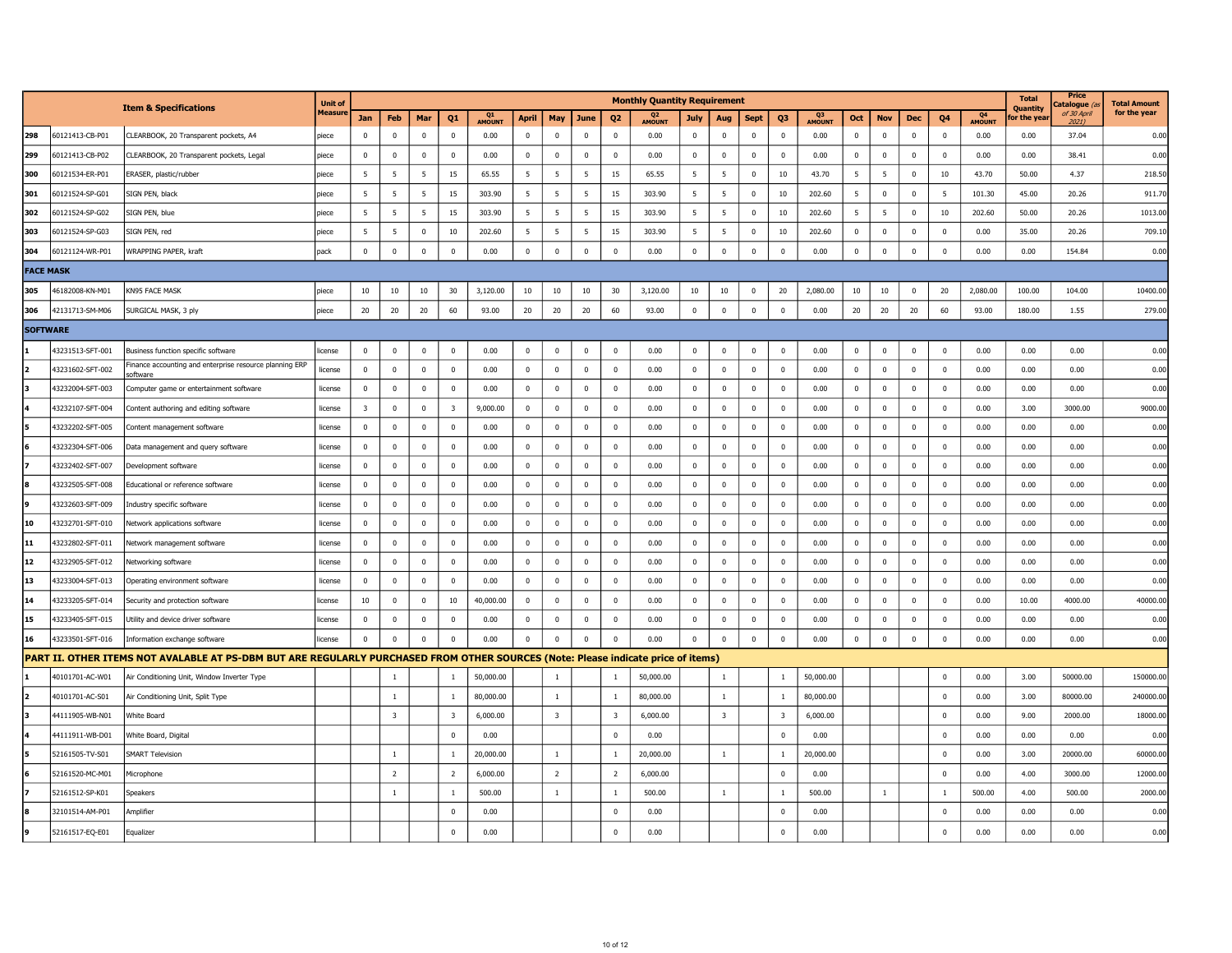|                  |                  |                                                                                                                                   | <b>Unit of</b> |                         |                         |              |                         |              |                |                         |                         |                         | <b>Monthly Quantity Requirement</b> |                  |                         |                |                         |                     |              |                  |              |                |                                 | <b>Total</b><br><b>Ouantity</b> | Price<br>atalogue (a    | <b>Total Amount</b> |
|------------------|------------------|-----------------------------------------------------------------------------------------------------------------------------------|----------------|-------------------------|-------------------------|--------------|-------------------------|--------------|----------------|-------------------------|-------------------------|-------------------------|-------------------------------------|------------------|-------------------------|----------------|-------------------------|---------------------|--------------|------------------|--------------|----------------|---------------------------------|---------------------------------|-------------------------|---------------------|
|                  |                  | <b>Item &amp; Specifications</b>                                                                                                  | Measun         | Jan                     | Feb                     | Mar          | Q1                      | Q1<br>AMOUNT | April          | May                     | June                    | Q <sub>2</sub>          | Q <sub>2</sub><br>AMOUNT            | July             | Aug                     | <b>Sept</b>    | Q <sub>3</sub>          | Q3<br><b>AMOUNT</b> | Oct          | <b>Nov</b>       | Dec          | Q <sub>4</sub> | Q <sub>4</sub><br><b>AMOUNT</b> | or the vea                      | of 30 April<br>$2021$ ) | for the year        |
| 298              | 60121413-CB-P01  | CLEARBOOK, 20 Transparent pockets, A4                                                                                             | piece          | $\mathbf 0$             | $\mathbf 0$             | $\Omega$     | $\mathbf 0$             | 0.00         | $\mathbf 0$    | $\mathbf 0$             | $\mathbf 0$             | $\Omega$                | 0.00                                | $\mathbf 0$      | $\Omega$                | $\Omega$       | $\mathbf 0$             | 0.00                | $\mathbf 0$  | $\mathbf 0$      | $\Omega$     | $\Omega$       | 0.00                            | 0.00                            | 37.04                   | 0.00                |
| 299              | 60121413-CB-P02  | CLEARBOOK, 20 Transparent pockets, Legal                                                                                          | piece          | $\mathbf 0$             | $\mathbf 0$             | $\mathbf 0$  | $\mathbf 0$             | 0.00         | $\mathbf 0$    | $\mathbf 0$             | $\mathbf 0$             | $\mathbf 0$             | 0.00                                | $\mathbf 0$      | $\overline{0}$          | $\mathbf 0$    | $\mathbf 0$             | 0.00                | $\mathbf 0$  | $\mathbf 0$      | $\mathbf 0$  | $\mathbf 0$    | 0.00                            | 0.00                            | 38.41                   | 0.00                |
| 300              | 60121534-ER-P01  | ERASER, plastic/rubber                                                                                                            | piece          | 5                       | 5                       | 5            | 15                      | 65.55        | 5              | 5                       | 5                       | 15                      | 65.55                               | 5                | 5                       | $\mathbf 0$    | 10                      | 43.70               | 5            | 5                | $\mathbf 0$  | 10             | 43.70                           | 50.00                           | 4.37                    | 218.5               |
| 301              | 60121524-SP-G01  | SIGN PEN, black                                                                                                                   | piece          | 5                       | $5\overline{5}$         | 5            | 15                      | 303.90       | 5              | 5                       | 5                       | 15                      | 303.90                              | 5                | 5                       | $\pmb{0}$      | 10                      | 202.60              | 5            | $\mathbf 0$      | $\mathbf 0$  | 5              | 101.30                          | 45.00                           | 20.26                   | 911.7               |
| 302              | 60121524-SP-G02  | SIGN PEN, blue                                                                                                                    | piece          | 5                       | 5                       | 5            | 15                      | 303.90       | -5             | 5                       | 5                       | 15                      | 303.90                              | 5                | 5                       | $\mathbf 0$    | 10                      | 202.60              | 5            | 5                | $\mathbf 0$  | 10             | 202.60                          | 50.00                           | 20.26                   | 1013.0              |
| 303              | 60121524-SP-G03  | SIGN PEN, red                                                                                                                     | piece          | 5                       | 5                       | 0            | 10                      | 202.60       | 5              | 5                       | 5                       | 15                      | 303.90                              | 5                | 5                       | $\mathbf 0$    | $10\,$                  | 202.60              | 0            | $\mathbf 0$      | 0            | $\mathbf 0$    | 0.00                            | 35.00                           | 20.26                   | 709.1               |
| 304              | 60121124-WR-P01  | WRAPPING PAPER, kraft                                                                                                             | pack           | $\mathbf 0$             | $\Omega$                | $\Omega$     | $\mathbf 0$             | 0.00         | $\mathbf 0$    | $\mathbf 0$             | $\overline{0}$          | $\Omega$                | 0.00                                | $\mathbf 0$      | $\overline{0}$          | $\mathbf 0$    | $\mathbf 0$             | 0.00                | $\mathbf 0$  | $\mathbf 0$      | $\Omega$     | $\Omega$       | 0.00                            | 0.00                            | 154.84                  | 0.00                |
| <b>FACE MASK</b> |                  |                                                                                                                                   |                |                         |                         |              |                         |              |                |                         |                         |                         |                                     |                  |                         |                |                         |                     |              |                  |              |                |                                 |                                 |                         |                     |
| 305              | 46182008-KN-M01  | KN95 FACE MASK                                                                                                                    | piece          | 10                      | 10                      | $10\,$       | 30                      | 3,120.00     | 10             | 10                      | 10                      | 30                      | 3,120.00                            | 10 <sub>10</sub> | 10                      | $\overline{0}$ | 20                      | 2,080.00            | 10           | 10 <sub>10</sub> | $\mathbf 0$  | 20             | 2,080.00                        | 100.00                          | 104.00                  | 10400.0             |
| 306              | 42131713-SM-M06  | SURGICAL MASK, 3 ply                                                                                                              | piece          | 20                      | 20                      | $20\,$       | 60                      | 93.00        | 20             | 20                      | 20                      | 60                      | 93.00                               | $\mathbf 0$      | $\mathbf 0$             | $\mathbf 0$    | $\pmb{0}$               | 0.00                | 20           | 20               | 20           | 60             | 93.00                           | 180.00                          | 1.55                    | 279.0               |
| <b>SOFTWARE</b>  |                  |                                                                                                                                   |                |                         |                         |              |                         |              |                |                         |                         |                         |                                     |                  |                         |                |                         |                     |              |                  |              |                |                                 |                                 |                         |                     |
|                  | 43231513-SFT-001 | Business function specific software                                                                                               | license        | $\mathbf 0$             | $\overline{0}$          | $\mathbf 0$  | $\mathbf 0$             | 0.00         | $\mathbf 0$    | $\mathbf 0$             | $\overline{0}$          | $\overline{0}$          | 0.00                                | $\mathbf 0$      | $\overline{\mathbf{0}}$ | $\mathbf 0$    | $\pmb{0}$               | 0.00                | $\mathbf 0$  | $\mathbf 0$      | $\mathbf 0$  | $\mathbf 0$    | 0.00                            | 0.00                            | 0.00                    | 0.00                |
|                  | 43231602-SFT-002 | Finance accounting and enterprise resource planning ERP<br>software                                                               | license        | $\mathbf 0$             | $\mathbf 0$             | $\mathbf 0$  | $\mathbf 0$             | 0.00         | $\mathbf 0$    | $\mathbf 0$             | $\mathbf 0$             | $\mathbf 0$             | 0.00                                | $\mathbf{0}$     | $\overline{0}$          | $\mathbf 0$    | $\mathbf 0$             | 0.00                | $\mathbf 0$  | $\mathbf 0$      | $\mathbf 0$  | $\mathbf 0$    | 0.00                            | 0.00                            | 0.00                    | 0.00                |
|                  | 43232004-SFT-003 | Computer game or entertainment software                                                                                           | license        | $\mathbf 0$             | $\mathbf 0$             | $\mathbf 0$  | $\mathbf 0$             | 0.00         | $\mathbf 0$    | $\mathbf 0$             | $\mathbf 0$             | $\mathbf 0$             | 0.00                                | $\mathbf 0$      | $\overline{\mathbf{0}}$ | $\pmb{0}$      | $\mathbf 0$             | 0.00                | $\mathbf 0$  | $\mathbf 0$      | $\mathbf 0$  | $^{\circ}$     | 0.00                            | 0.00                            | 0.00                    | 0.00                |
|                  | 43232107-SFT-004 | Content authoring and editing software                                                                                            | license        | $\overline{\mathbf{3}}$ | $\overline{0}$          | $\Omega$     | $\overline{\mathbf{3}}$ | 9,000.00     | $\mathbf 0$    | $\mathbf 0$             | $\mathbf 0$             | $\mathbf 0$             | 0.00                                | $\mathbf 0$      | $\overline{0}$          | $\mathbf 0$    | $\mathbf 0$             | 0.00                | $\mathbf{0}$ | $\mathbf 0$      | $\Omega$     | $\Omega$       | 0.00                            | 3.00                            | 3000.00                 | 9000.00             |
|                  | 43232202-SFT-005 | Content management software                                                                                                       | license        | $\mathbf 0$             | $\mathbf 0$             | $\mathbf 0$  | $\mathbf 0$             | 0.00         | $\pmb{0}$      | $\mathbf 0$             | $\overline{\mathbf{0}}$ | $\Omega$                | 0.00                                | $\Omega$         | $\Omega$                | $\Omega$       | $\pmb{0}$               | 0.00                | $\mathbf 0$  | $\mathbf 0$      | $\mathbf 0$  | $\mathbf 0$    | 0.00                            | 0.00                            | 0.00                    | 0.00                |
|                  | 43232304-SFT-006 | Data management and query software                                                                                                | license        | $\mathbf 0$             | $\overline{0}$          | $\mathbf 0$  | $\mathbf 0$             | 0.00         | $\pmb{0}$      | $\mathbf 0$             | $\mathbf 0$             | $\mathbf 0$             | 0.00                                | $\mathbf 0$      | $\pmb{0}$               | $\mathbf 0$    | $\pmb{0}$               | 0.00                | $\mathbf 0$  | $\mathbf 0$      | $\mathbf 0$  | $\mathbf 0$    | 0.00                            | 0.00                            | 0.00                    | 0.00                |
|                  | 43232402-SFT-007 | Development software                                                                                                              | license        | $\mathbf{0}$            | $\bf{0}$                | $\mathbf{0}$ | $\mathbf{0}$            | 0.00         | $\overline{0}$ | $\mathbf{0}$            | $\overline{0}$          | $^{\circ}$              | 0.00                                | $\mathbf{0}$     | $\Omega$                | $\mathbf{0}$   | $\pmb{0}$               | 0.00                | $\mathbf{0}$ | $\mathbf 0$      | $\mathbf{0}$ | $\mathbf{0}$   | 0.00                            | 0.00                            | 0.00                    | 0.00                |
|                  | 43232505-SFT-008 | Educational or reference software                                                                                                 | license        | $\mathbf 0$             | $\mathbf 0$             | $\mathbf 0$  | $\mathbf 0$             | 0.00         | $\pmb{0}$      | $\mathbf 0$             | $\mathbf 0$             | $\overline{0}$          | 0.00                                | $\mathbf 0$      | $\overline{0}$          | $\mathbf 0$    | $\pmb{0}$               | 0.00                | $\bf{0}$     | $\mathbf 0$      | $^{\circ}$   | $\mathbf 0$    | 0.00                            | 0.00                            | 0.00                    | 0.00                |
|                  | 43232603-SFT-009 | Industry specific software                                                                                                        | license        | $\mathbf 0$             | $\overline{0}$          | $\Omega$     | $\mathbf 0$             | 0.00         | $\mathbf 0$    | $\mathbf 0$             | $\overline{0}$          | $\mathbf 0$             | 0.00                                | $\mathbf 0$      | $\overline{0}$          | $\mathbf 0$    | $\mathbf 0$             | 0.00                | $\mathbf 0$  | $\mathbf 0$      | $\Omega$     | $\Omega$       | 0.00                            | 0.00                            | 0.00                    | 0.00                |
| 10               | 43232701-SFT-010 | Network applications software                                                                                                     | license        | $\mathbf 0$             | $\overline{\mathbf{0}}$ | $\mathbf 0$  | $\mathbf 0$             | 0.00         | $\mathbf 0$    | $\mathbf 0$             | $\mathbf 0$             | $\overline{0}$          | 0.00                                | $\mathbf 0$      | $\overline{0}$          | $\mathbf 0$    | $\mathbf 0$             | 0.00                | $\mathbf 0$  | $\mathbf 0$      | $\Omega$     | $\mathbf 0$    | 0.00                            | 0.00                            | 0.00                    | 0.00                |
| 11               | 43232802-SFT-011 | Network management software                                                                                                       | license        | $\mathbf 0$             | $\mathbf 0$             | $\mathbf 0$  | $\mathbf{0}$            | 0.00         | $\mathbf 0$    | $\mathbf 0$             | $\mathbf 0$             | $\mathbf 0$             | 0.00                                | $\mathbf 0$      | $\overline{0}$          | $\mathbf 0$    | $\mathbf 0$             | 0.00                | $\mathbf 0$  | $\mathbf 0$      | $\mathbf 0$  | $\mathbf 0$    | 0.00                            | 0.00                            | 0.00                    | 0.00                |
| 12               | 43232905-SFT-012 | Networking software                                                                                                               | license        | $\mathbf 0$             | $\overline{0}$          | $\mathbf 0$  | $\mathbf 0$             | 0.00         | $\mathbf 0$    | $\mathbf 0$             | $\mathbf 0$             | $\overline{0}$          | 0.00                                | $\mathbf 0$      | $\overline{0}$          | $\mathbf 0$    | $\mathbf 0$             | 0.00                | $\mathbf 0$  | $\mathbf 0$      | $\mathbf 0$  | $\mathbf 0$    | 0.00                            | 0.00                            | 0.00                    | 0.00                |
| 13               | 43233004-SFT-013 | Operating environment software                                                                                                    | license        | $\mathbf 0$             | $\mathbf 0$             | $\Omega$     | $\mathbf 0$             | 0.00         | $\mathbf 0$    | $\mathbf 0$             | $\mathbf 0$             | $\Omega$                | 0.00                                | $\mathbf 0$      | $\overline{0}$          | $\mathbf 0$    | $\mathbf 0$             | 0.00                | $\mathbf 0$  | $\overline{0}$   | $\Omega$     | $\Omega$       | 0.00                            | 0.00                            | 0.00                    | 0.00                |
| 14               | 43233205-SFT-014 | Security and protection software                                                                                                  | icense         | 10                      | $\mathbf 0$             | $^{\circ}$   | 10                      | 40,000.00    | $\mathbf 0$    | $\mathbf 0$             | $\mathbf 0$             | $\overline{0}$          | 0.00                                | $\mathbf 0$      | $\mathbf 0$             | $\overline{0}$ | $\pmb{0}$               | 0.00                | $\mathbf 0$  | $\mathbf 0$      | $\mathbf 0$  | $\mathbf 0$    | 0.00                            | 10.00                           | 4000.00                 | 40000.0             |
| 15               | 43233405-SFT-015 | Utility and device driver software                                                                                                | license        | $\mathbf{0}$            | $\mathbf 0$             | $\Omega$     | $\mathbf 0$             | 0.00         | $\mathbf 0$    | $\mathbf 0$             | $\Omega$                | $\Omega$                | 0.00                                | $\mathbf 0$      | $\Omega$                | $\Omega$       | $\mathbf 0$             | 0.00                | $\mathbf{0}$ | $\mathbf{0}$     | $\Omega$     | $\Omega$       | 0.00                            | 0.00                            | 0.00                    | 0.00                |
| 16               | 43233501-SFT-016 | Information exchange software                                                                                                     | license        | $\mathbf 0$             | $\pmb{0}$               | $\mathbf 0$  | $\mathbf 0$             | 0.00         | $\pmb{0}$      | $\mathbf 0$             | $\mathbf 0$             | $\mathbf 0$             | 0.00                                | $\mathbf 0$      | $\overline{0}$          | $\overline{0}$ | $\pmb{0}$               | 0.00                | $\mathbf 0$  | $\mathbf 0$      | $\mathbf 0$  | $\mathbf 0$    | 0.00                            | 0.00                            | 0.00                    | 0.00                |
|                  |                  | PART II. OTHER ITEMS NOT AVALABLE AT PS-DBM BUT ARE REGULARLY PURCHASED FROM OTHER SOURCES (Note: Please indicate price of items) |                |                         |                         |              |                         |              |                |                         |                         |                         |                                     |                  |                         |                |                         |                     |              |                  |              |                |                                 |                                 |                         |                     |
|                  | 40101701-AC-W01  | Air Conditioning Unit, Window Inverter Type                                                                                       |                |                         | $\mathbf{1}$            |              | 1                       | 50,000.00    |                | $\mathbf{1}$            |                         | $\overline{1}$          | 50,000.00                           |                  | $\mathbf{1}$            |                | $\mathbf{1}$            | 50,000.00           |              |                  |              | $\mathbf 0$    | 0.00                            | 3.00                            | 50000.00                | 150000.0            |
|                  | 40101701-AC-S01  | Air Conditioning Unit, Split Type                                                                                                 |                |                         | $\mathbf{1}$            |              | $\mathbf{1}$            | 80,000.00    |                | $\mathbf{1}$            |                         | $\mathbf{1}$            | 80,000.00                           |                  | $\mathbf{1}$            |                | $\mathbf{1}$            | 80,000.00           |              |                  |              | $\mathbf 0$    | 0.00                            | 3.00                            | 80000.00                | 240000.0            |
|                  | 44111905-WB-N01  | White Board                                                                                                                       |                |                         | $\overline{\mathbf{3}}$ |              | 3                       | 6,000.00     |                | $\overline{\mathbf{3}}$ |                         | $\overline{\mathbf{3}}$ | 6,000.00                            |                  | $\overline{\mathbf{3}}$ |                | $\overline{\mathbf{3}}$ | 6,000.00            |              |                  |              | $\mathbf 0$    | 0.00                            | 9.00                            | 2000.00                 | 18000.00            |
|                  | 44111911-WB-D01  | White Board, Digital                                                                                                              |                |                         |                         |              | $\mathbf 0$             | 0.00         |                |                         |                         | $\mathbf 0$             | 0.00                                |                  |                         |                | $\mathbf 0$             | 0.00                |              |                  |              | $\mathbf 0$    | 0.00                            | 0.00                            | 0.00                    | 0.00                |
|                  | 52161505-TV-S01  | <b>SMART Television</b>                                                                                                           |                |                         | $\overline{1}$          |              | $\mathbf{1}$            | 20,000.00    |                | $\mathbf{1}$            |                         | $\mathbf{1}$            | 20,000.00                           |                  | $\overline{1}$          |                | 1                       | 20,000.00           |              |                  |              | $\mathbf 0$    | 0.00                            | 3.00                            | 20000.00                | 60000.0             |
|                  | 52161520-MC-M01  | Microphone                                                                                                                        |                |                         | $\overline{2}$          |              | $\overline{2}$          | 6,000.00     |                | $\overline{2}$          |                         | $\overline{2}$          | 6,000.00                            |                  |                         |                | $\Omega$                | 0.00                |              |                  |              | $\mathbf{0}$   | 0.00                            | 4.00                            | 3000.00                 | 12000.0             |
|                  | 52161512-SP-K01  | Speakers                                                                                                                          |                |                         | $\mathbf{1}$            |              | $\mathbf{1}$            | 500.00       |                | $\mathbf{1}$            |                         | $\overline{1}$          | 500.00                              |                  | $\overline{1}$          |                | $\overline{1}$          | 500.00              |              | $\mathbf{1}$     |              | 1              | 500.00                          | 4.00                            | 500.00                  | 2000.0              |
|                  | 32101514-AM-P01  | Amplifier                                                                                                                         |                |                         |                         |              | $\mathbf 0$             | 0.00         |                |                         |                         | $\Omega$                | 0.00                                |                  |                         |                | $\mathbf 0$             | 0.00                |              |                  |              | $\Omega$       | 0.00                            | 0.00                            | 0.00                    | 0.00                |
|                  | 52161517-EQ-E01  | Equalizer                                                                                                                         |                |                         |                         |              | $\mathbf 0$             | 0.00         |                |                         |                         | $\Omega$                | 0.00                                |                  |                         |                | $\pmb{0}$               | 0.00                |              |                  |              | $\Omega$       | 0.00                            | 0.00                            | 0.00                    | 0.00                |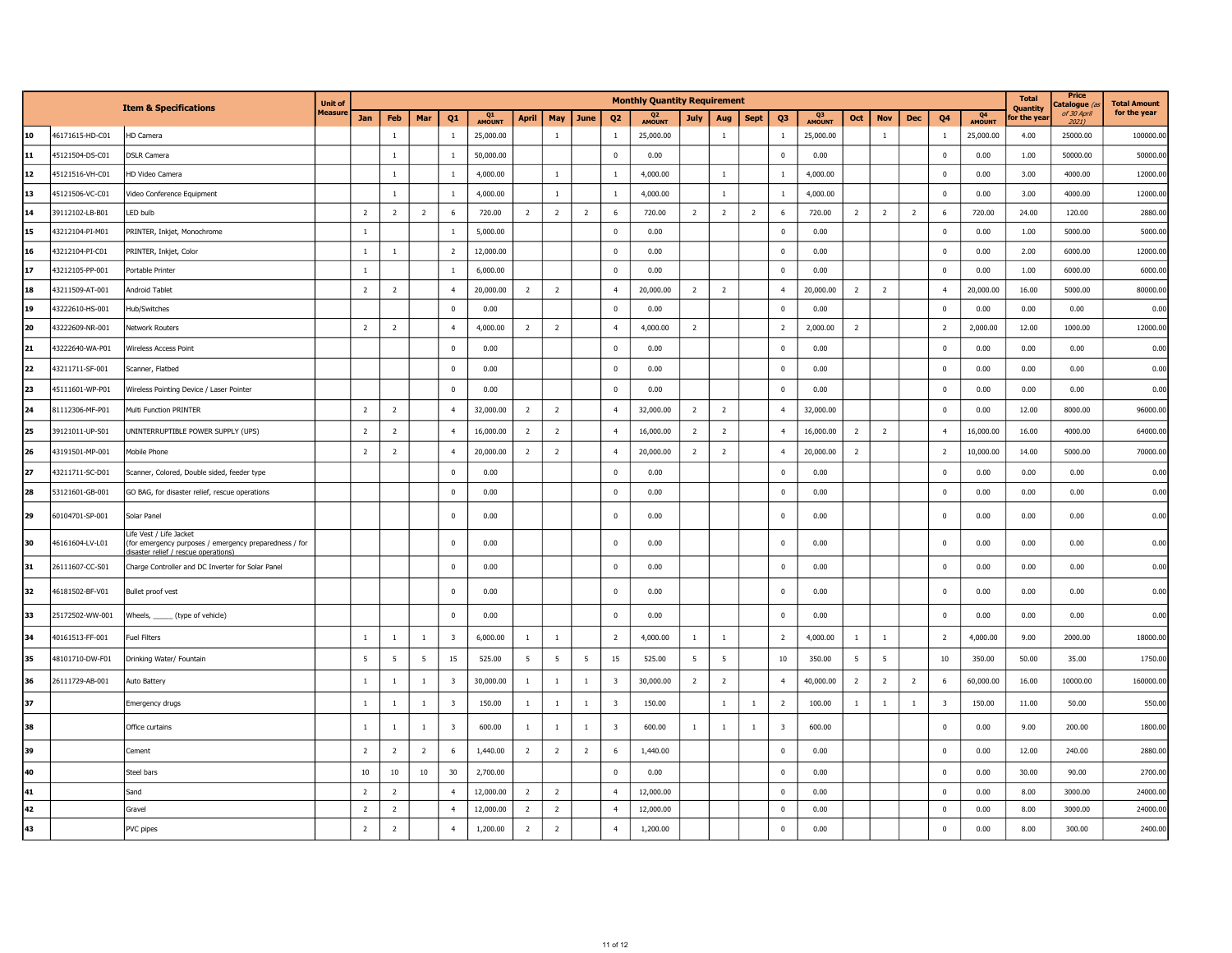|    |                 |                                                                                                                           | <b>Unit of</b> |                |                |                |                         |                     |                |                |                |                         | <b>Monthly Quantity Requirement</b> |                |                |                |                |              |                 |                |                |                         |                                 | <b>Total</b><br>Quantity | Price<br>atalogue (     | <b>Total Amount</b> |
|----|-----------------|---------------------------------------------------------------------------------------------------------------------------|----------------|----------------|----------------|----------------|-------------------------|---------------------|----------------|----------------|----------------|-------------------------|-------------------------------------|----------------|----------------|----------------|----------------|--------------|-----------------|----------------|----------------|-------------------------|---------------------------------|--------------------------|-------------------------|---------------------|
|    |                 | <b>Item &amp; Specifications</b>                                                                                          | <b>Measure</b> | Jan            | Feb            | Mar            | Q1                      | Q1<br><b>AMOUNT</b> | <b>April</b>   | May            | June           | Q <sub>2</sub>          | Q <sub>2</sub><br>AMOUNT            | <b>July</b>    | Aug            | <b>Sept</b>    | Q <sub>3</sub> | Q3<br>AMOUNT | Oct             | <b>Nov</b>     | <b>Dec</b>     | Q4                      | Q <sub>4</sub><br><b>AMOUNT</b> | or the yea               | of 30 April<br>$2021$ ) | for the year        |
| 10 | 46171615-HD-C01 | HD Camera                                                                                                                 |                |                | $\mathbf{1}$   |                | $\overline{1}$          | 25,000.00           |                | $\overline{1}$ |                | $\overline{1}$          | 25,000.00                           |                | $\mathbf{1}$   |                | $\overline{1}$ | 25,000.00    |                 | $\mathbf{1}$   |                | $\overline{1}$          | 25,000.00                       | 4.00                     | 25000.00                | 100000.00           |
| 11 | 45121504-DS-C01 | <b>DSLR Camera</b>                                                                                                        |                |                | $\mathbf{1}$   |                | $\overline{1}$          | 50,000.00           |                |                |                | $\mathbf 0$             | 0.00                                |                |                |                | $\Omega$       | 0.00         |                 |                |                | $\mathbf 0$             | 0.00                            | 1.00                     | 50000.00                | 50000.00            |
| 12 | 45121516-VH-C01 | HD Video Camera                                                                                                           |                |                | $1\,$          |                | $\mathbf{1}$            | 4,000.00            |                | $\overline{1}$ |                | <sup>1</sup>            | 4,000.00                            |                | $\mathbf{1}$   |                | <sup>1</sup>   | 4,000.00     |                 |                |                | $\mathbf 0$             | 0.00                            | 3.00                     | 4000.00                 | 12000.00            |
| 13 | 45121506-VC-C01 | Video Conference Equipment                                                                                                |                |                | $\mathbf{1}$   |                | $\overline{1}$          | 4,000.00            |                | $\mathbf{1}$   |                | $\overline{1}$          | 4,000.00                            |                | $\mathbf{1}$   |                | $\mathbf{1}$   | 4,000.00     |                 |                |                | $\mathbf{0}$            | 0.00                            | 3.00                     | 4000.00                 | 12000.00            |
| 14 | 39112102-LB-B01 | LED bulb                                                                                                                  |                | $\overline{2}$ | $\overline{2}$ | $\overline{2}$ | 6                       | 720.00              | $\overline{2}$ | $\overline{2}$ | $\overline{2}$ | 6                       | 720.00                              | $\overline{2}$ | $\overline{2}$ | $\overline{2}$ | 6              | 720.00       | $\overline{2}$  | $\overline{2}$ | $\overline{2}$ | 6                       | 720.00                          | 24.00                    | 120.00                  | 2880.00             |
| 15 | 43212104-PI-M01 | PRINTER, Inkjet, Monochrome                                                                                               |                | $\mathbf{1}$   |                |                |                         | 5,000.00            |                |                |                | $\overline{\mathbf{0}}$ | 0.00                                |                |                |                | $\mathbf{0}$   | 0.00         |                 |                |                | $\mathbf 0$             | 0.00                            | 1.00                     | 5000.00                 | 5000.00             |
| 16 | 43212104-PI-C01 | PRINTER, Inkjet, Color                                                                                                    |                | $\,$ 1 $\,$    | $\mathbf{1}$   |                | $\overline{2}$          | 12,000.00           |                |                |                | $\mathbf 0$             | 0.00                                |                |                |                | $\Omega$       | 0.00         |                 |                |                | $\mathbf{0}$            | 0.00                            | 2.00                     | 6000.00                 | 12000.00            |
| 17 | 43212105-PP-001 | Portable Printer                                                                                                          |                | $\mathbf{1}$   |                |                | $\mathbf{1}$            | 6,000.00            |                |                |                | $\mathbf 0$             | 0.00                                |                |                |                | $\mathbf 0$    | 0.00         |                 |                |                | $\pmb{0}$               | 0.00                            | 1.00                     | 6000.00                 | 6000.00             |
| 18 | 43211509-AT-001 | Android Tablet                                                                                                            |                | $\overline{2}$ | $\overline{2}$ |                | $\overline{4}$          | 20,000.00           | $\overline{2}$ | $\overline{2}$ |                | $\overline{4}$          | 20,000.00                           | $\overline{2}$ | $\overline{2}$ |                | $\overline{4}$ | 20,000.00    | $\overline{2}$  | $\overline{2}$ |                | $\overline{4}$          | 20,000.00                       | 16.00                    | 5000.00                 | 80000.00            |
| 19 | 43222610-HS-001 | Hub/Switches                                                                                                              |                |                |                |                | $\mathbf 0$             | 0.00                |                |                |                | $\mathbf 0$             | 0.00                                |                |                |                | $\Omega$       | 0.00         |                 |                |                | $\mathbf 0$             | 0.00                            | 0.00                     | 0.00                    | 0.00                |
| 20 | 43222609-NR-001 | Network Routers                                                                                                           |                | $\overline{2}$ | $\overline{2}$ |                | $\overline{4}$          | 4,000.00            | $\overline{2}$ | $\overline{2}$ |                | $\overline{4}$          | 4,000.00                            | $\overline{2}$ |                |                | $\overline{2}$ | 2,000.00     | $\overline{2}$  |                |                | $\overline{2}$          | 2,000.00                        | 12.00                    | 1000.00                 | 12000.00            |
| 21 | 43222640-WA-P01 | Wireless Access Point                                                                                                     |                |                |                |                | $\mathbf 0$             | 0.00                |                |                |                | $\mathbf 0$             | 0.00                                |                |                |                | $\mathbf 0$    | 0.00         |                 |                |                | $\mathbf 0$             | 0.00                            | 0.00                     | 0.00                    | 0.00                |
| 22 | 43211711-SF-001 | Scanner, Flatbed                                                                                                          |                |                |                |                | $\overline{\mathbf{0}}$ | 0.00                |                |                |                | $\mathbf 0$             | 0.00                                |                |                |                | $\mathbf 0$    | 0.00         |                 |                |                | $\mathbf 0$             | 0.00                            | 0.00                     | 0.00                    | 0.00                |
| 23 | 45111601-WP-P01 | Wireless Pointing Device / Laser Pointer                                                                                  |                |                |                |                | $\Omega$                | 0.00                |                |                |                | $\overline{0}$          | 0.00                                |                |                |                | $\Omega$       | 0.00         |                 |                |                | $\Omega$                | 0.00                            | 0.00                     | 0.00                    | 0.00                |
| 24 | 81112306-MF-P01 | Multi Function PRINTER                                                                                                    |                | $\overline{2}$ | $\overline{2}$ |                | $\overline{4}$          | 32,000.00           | $\overline{2}$ | $\overline{2}$ |                | $\overline{4}$          | 32,000.00                           | $\overline{2}$ | $\overline{2}$ |                | $\overline{4}$ | 32,000.00    |                 |                |                | $^{\circ}$              | 0.00                            | 12.00                    | 8000.00                 | 96000.00            |
| 25 | 39121011-UP-S01 | UNINTERRUPTIBLE POWER SUPPLY (UPS)                                                                                        |                | $\overline{2}$ | $\overline{2}$ |                | $\overline{4}$          | 16,000.00           | $\overline{2}$ | $\overline{2}$ |                | $\overline{4}$          | 16,000.00                           | $\overline{2}$ | $\overline{2}$ |                | $\overline{4}$ | 16,000.00    | $\overline{2}$  | $\overline{2}$ |                | $\overline{4}$          | 16,000.00                       | 16.00                    | 4000.00                 | 64000.00            |
| 26 | 43191501-MP-001 | Mobile Phone                                                                                                              |                | $\overline{2}$ | $\overline{2}$ |                | $\overline{4}$          | 20,000.00           | $\overline{2}$ | $\overline{2}$ |                | $\overline{4}$          | 20,000.00                           | $\overline{2}$ | $\overline{2}$ |                | $\overline{4}$ | 20,000.00    | $\overline{2}$  |                |                | $\overline{2}$          | 10,000.00                       | 14.00                    | 5000.00                 | 70000.00            |
| 27 | 43211711-SC-D01 | Scanner, Colored, Double sided, feeder type                                                                               |                |                |                |                | $\overline{0}$          | 0.00                |                |                |                | $\overline{0}$          | 0.00                                |                |                |                | $\Omega$       | 0.00         |                 |                |                | $^{\circ}$              | 0.00                            | 0.00                     | 0.00                    | 0.00                |
| 28 | 53121601-GB-001 | GO BAG, for disaster relief, rescue operations                                                                            |                |                |                |                | $\mathbf 0$             | 0.00                |                |                |                | $\mathbf 0$             | 0.00                                |                |                |                | $\mathbf 0$    | 0.00         |                 |                |                | $\mathbf 0$             | 0.00                            | 0.00                     | 0.00                    | 0.00                |
| 29 | 60104701-SP-001 | Solar Panel                                                                                                               |                |                |                |                | $\mathbf 0$             | 0.00                |                |                |                | $\Omega$                | 0.00                                |                |                |                | $\Omega$       | 0.00         |                 |                |                | $\Omega$                | 0.00                            | 0.00                     | 0.00                    | 0.00                |
| 30 | 46161604-LV-L01 | Life Vest / Life Jacket<br>(for emergency purposes / emergency preparedness / for<br>disaster relief / rescue operations) |                |                |                |                | $\mathbf 0$             | 0.00                |                |                |                | $\Omega$                | 0.00                                |                |                |                | $\Omega$       | 0.00         |                 |                |                | $\Omega$                | 0.00                            | 0.00                     | 0.00                    | 0.00                |
| 31 | 26111607-CC-S01 | Charge Controller and DC Inverter for Solar Panel                                                                         |                |                |                |                | $\mathbf 0$             | 0.00                |                |                |                | $\overline{\mathbf{0}}$ | 0.00                                |                |                |                | $\mathbf 0$    | 0.00         |                 |                |                | $\mathbf 0$             | 0.00                            | 0.00                     | 0.00                    | 0.00                |
| 32 | 46181502-BF-V01 | Bullet proof vest                                                                                                         |                |                |                |                | $\Omega$                | 0.00                |                |                |                | $\overline{\mathbf{0}}$ | 0.00                                |                |                |                | $\mathbf 0$    | 0.00         |                 |                |                | $\mathbf{0}$            | 0.00                            | 0.00                     | 0.00                    | 0.00                |
| 33 | 25172502-WW-001 | Wheels,<br>__ (type of vehicle)                                                                                           |                |                |                |                | $\mathbf 0$             | 0.00                |                |                |                | $\mathbf 0$             | 0.00                                |                |                |                | $\mathbf 0$    | 0.00         |                 |                |                | $\mathbf 0$             | 0.00                            | 0.00                     | 0.00                    | 0.00                |
| 34 | 40161513-FF-001 | <b>Fuel Filters</b>                                                                                                       |                | $\mathbf{1}$   | $\mathbf{1}$   | $\,$ 1 $\,$    | $\overline{\mathbf{3}}$ | 6,000.00            | -1             | $\mathbf{1}$   |                | $\overline{2}$          | 4,000.00                            | $\mathbf{1}$   | $\,$ 1 $\,$    |                | $\overline{2}$ | 4,000.00     | $\mathbf{1}$    | $\mathbf{1}$   |                | $\overline{2}$          | 4,000.00                        | 9.00                     | 2000.00                 | 18000.00            |
| 35 | 48101710-DW-F01 | Drinking Water/ Fountain                                                                                                  |                | $\overline{5}$ | 5              | $\overline{5}$ | 15                      | 525.00              | 5              | 5              | 5              | 15                      | 525.00                              | 5              | $\overline{5}$ |                | 10             | 350.00       | $5\phantom{.0}$ | 5              |                | 10                      | 350.00                          | 50.00                    | 35.00                   | 1750.00             |
| 36 | 26111729-AB-001 | Auto Battery                                                                                                              |                | $\mathbf{1}$   | $\mathbf{1}$   | $\mathbf{1}$   | $\overline{\mathbf{3}}$ | 30,000.00           | $\mathbf{1}$   | $\mathbf{1}$   | $\mathbf{1}$   | $\overline{\mathbf{3}}$ | 30,000.00                           | $\overline{2}$ | $\overline{2}$ |                | $\overline{4}$ | 40,000.00    | $\overline{2}$  | $\overline{2}$ | $\overline{2}$ | 6                       | 60,000.00                       | 16.00                    | 10000.00                | 160000.00           |
| 37 |                 | Emergency drugs                                                                                                           |                | $\mathbf{1}$   | $\mathbf{1}$   | $\mathbf{1}$   | $\overline{\mathbf{3}}$ | 150.00              | $\mathbf{1}$   | $\mathbf{1}$   | $\mathbf{1}$   | $\overline{\mathbf{3}}$ | 150.00                              |                | $\mathbf{1}$   | $\mathbf{1}$   | $\overline{2}$ | 100.00       | $\mathbf{1}$    | $\mathbf{1}$   | $\mathbf{1}$   | $\overline{\mathbf{3}}$ | 150.00                          | 11.00                    | 50.00                   | 550.00              |
| 38 |                 | Office curtains                                                                                                           |                | $\mathbf{1}$   | <sup>1</sup>   | $\mathbf{1}$   | $\overline{\mathbf{3}}$ | 600.00              | $\mathbf{1}$   | $\mathbf{1}$   | 1              | $\overline{\mathbf{3}}$ | 600.00                              | $\mathbf{1}$   | $\overline{1}$ | $\overline{1}$ | 3              | 600.00       |                 |                |                | $\mathbf 0$             | 0.00                            | 9.00                     | 200.00                  | 1800.00             |
| 39 |                 | Cement                                                                                                                    |                | $\overline{2}$ | $\overline{2}$ | $\overline{2}$ | 6                       | 1,440.00            | $\overline{2}$ | $\overline{2}$ | $\overline{2}$ | 6                       | 1,440.00                            |                |                |                | $\mathbf 0$    | 0.00         |                 |                |                | $\mathbf 0$             | 0.00                            | 12.00                    | 240.00                  | 2880.00             |
| 40 |                 | Steel bars                                                                                                                |                | $10\,$         | 10             | $10\,$         | 30                      | 2,700.00            |                |                |                | $\overline{\mathbf{0}}$ | 0.00                                |                |                |                | $\Omega$       | 0.00         |                 |                |                | $\mathbf 0$             | 0.00                            | 30.00                    | 90.00                   | 2700.00             |
| 41 |                 | Sand                                                                                                                      |                | $\overline{2}$ | $\overline{2}$ |                | $\overline{4}$          | 12,000.00           | $\overline{2}$ | $\overline{2}$ |                | $\overline{4}$          | 12,000.00                           |                |                |                | $\mathbf 0$    | 0.00         |                 |                |                | $\mathbf 0$             | 0.00                            | 8.00                     | 3000.00                 | 24000.00            |
| 42 |                 | Gravel                                                                                                                    |                | $\overline{2}$ | $\overline{2}$ |                | $\overline{4}$          | 12,000.00           | $\overline{2}$ | $\overline{2}$ |                | $\overline{4}$          | 12,000.00                           |                |                |                | $\mathbf 0$    | 0.00         |                 |                |                | $\mathbf 0$             | 0.00                            | 8.00                     | 3000.00                 | 24000.00            |
| 43 |                 | PVC pipes                                                                                                                 |                | $\overline{2}$ | $\overline{2}$ |                | $\overline{4}$          | 1,200.00            | $\overline{2}$ | $\overline{2}$ |                | $\overline{4}$          | 1,200.00                            |                |                |                | $\Omega$       | 0.00         |                 |                |                | $\Omega$                | 0.00                            | 8.00                     | 300.00                  | 2400.00             |